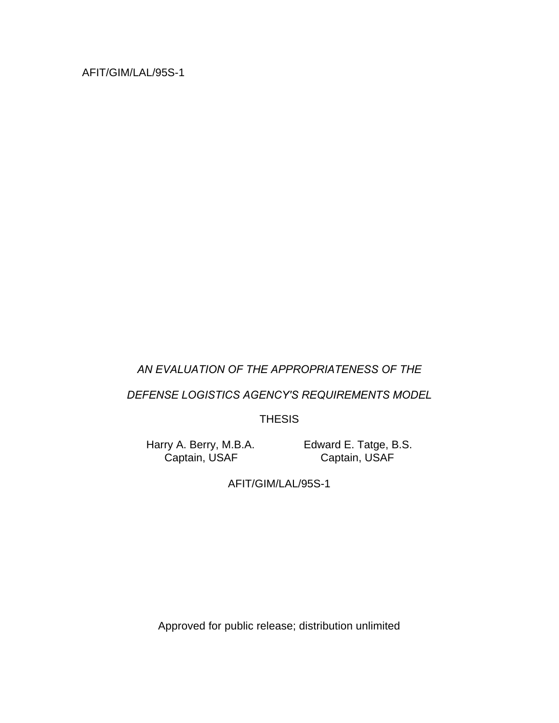AFIT/GIM/LAL/95S-1

## *AN EVALUATION OF THE APPROPRIATENESS OF THE*

*DEFENSE LOGISTICS AGENCY'S REQUIREMENTS MODEL* 

THESIS

Harry A. Berry, M.B.A. Edward E. Tatge, B.S.<br>Captain, USAF Captain, USAF

Captain, USAF

AFIT/GIM/LAL/95S-1

Approved for public release; distribution unlimited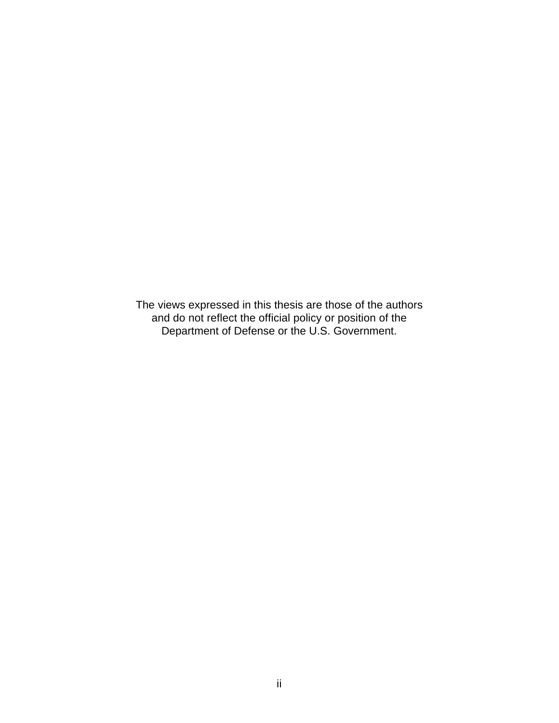The views expressed in this thesis are those of the authors and do not reflect the official policy or position of the Department of Defense or the U.S. Government.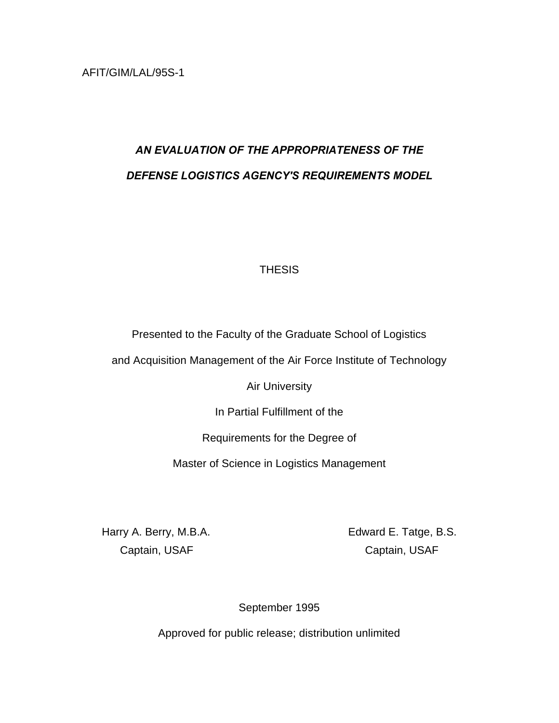AFIT/GIM/LAL/95S-1

# *AN EVALUATION OF THE APPROPRIATENESS OF THE DEFENSE LOGISTICS AGENCY'S REQUIREMENTS MODEL*

### THESIS

Presented to the Faculty of the Graduate School of Logistics

and Acquisition Management of the Air Force Institute of Technology

Air University

In Partial Fulfillment of the

Requirements for the Degree of

Master of Science in Logistics Management

Harry A. Berry, M.B.A. **Edward E. Tatge, B.S.** Edward E. Tatge, B.S. Captain, USAF Captain, USAF

September 1995

Approved for public release; distribution unlimited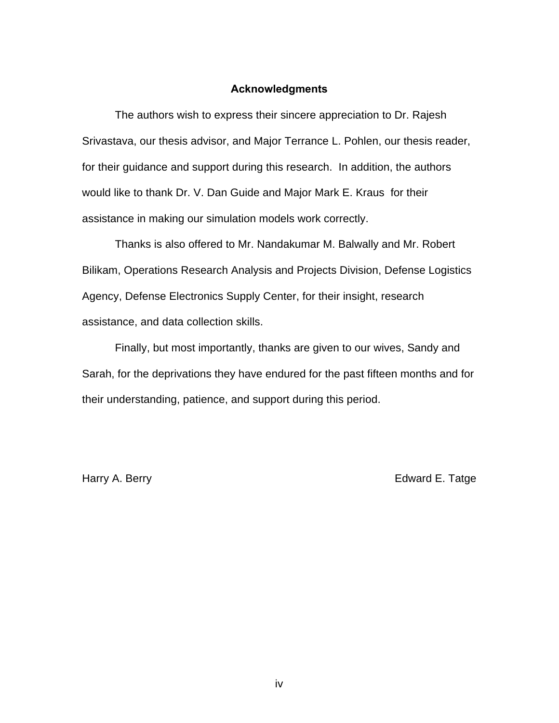#### **Acknowledgments**

The authors wish to express their sincere appreciation to Dr. Rajesh Srivastava, our thesis advisor, and Major Terrance L. Pohlen, our thesis reader, for their guidance and support during this research. In addition, the authors would like to thank Dr. V. Dan Guide and Major Mark E. Kraus for their assistance in making our simulation models work correctly.

Thanks is also offered to Mr. Nandakumar M. Balwally and Mr. Robert Bilikam, Operations Research Analysis and Projects Division, Defense Logistics Agency, Defense Electronics Supply Center, for their insight, research assistance, and data collection skills.

Finally, but most importantly, thanks are given to our wives, Sandy and Sarah, for the deprivations they have endured for the past fifteen months and for their understanding, patience, and support during this period.

Harry A. Berry **Edward E. Tatge**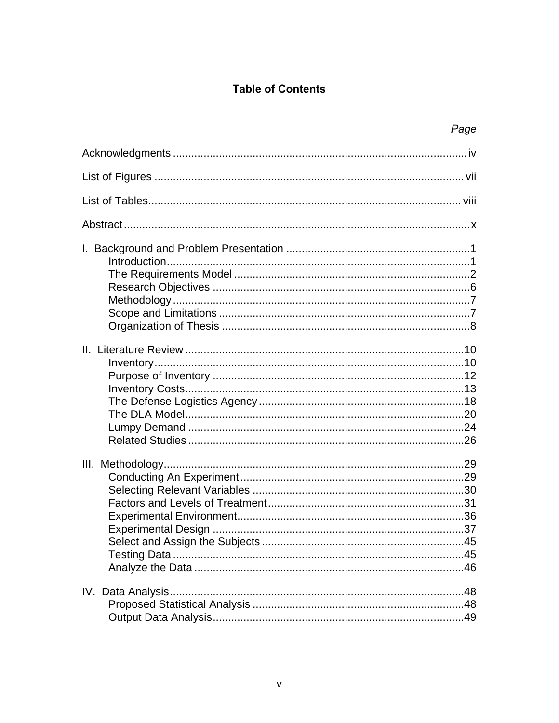# **Table of Contents**

| Page |
|------|
|      |
|      |
|      |
|      |
|      |
|      |
|      |
|      |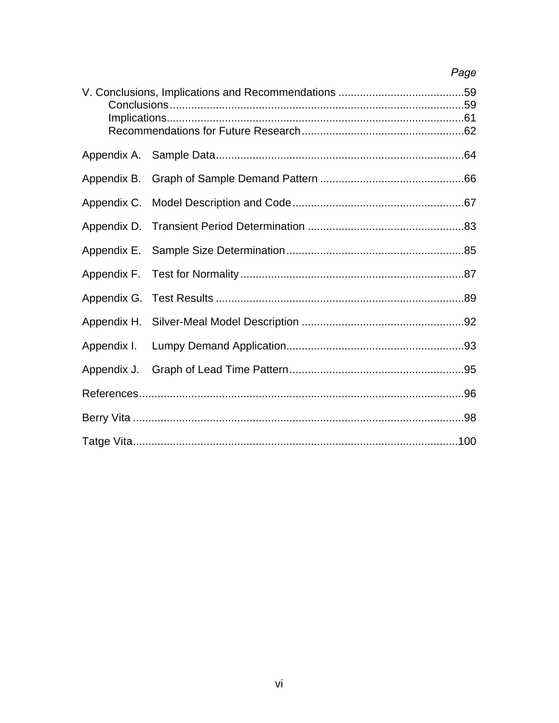# Page

| Appendix J. |  |
|-------------|--|
|             |  |
|             |  |
|             |  |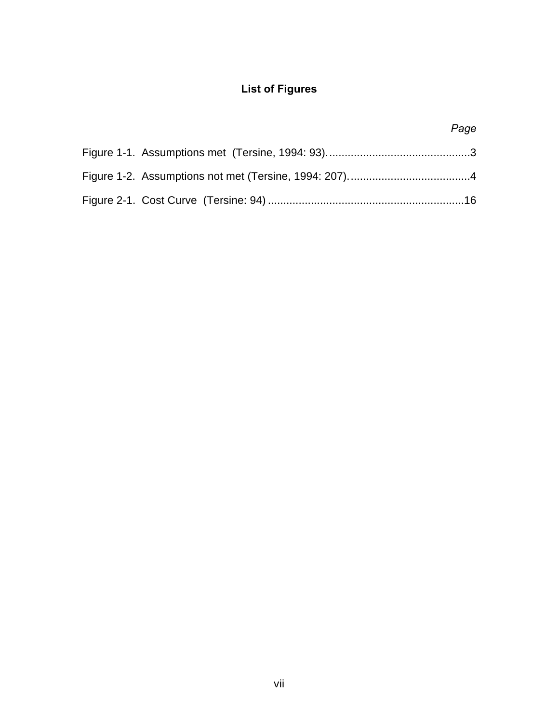# **List of Figures**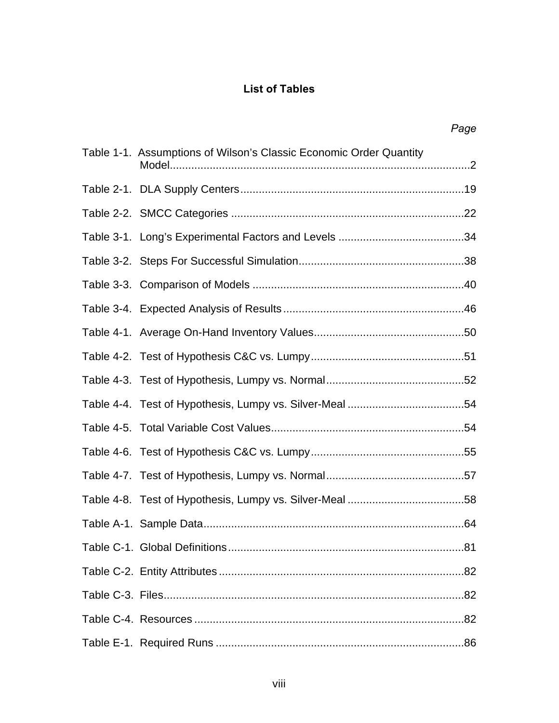# **List of Tables**

|                                                                    | Page |
|--------------------------------------------------------------------|------|
| Table 1-1. Assumptions of Wilson's Classic Economic Order Quantity |      |
|                                                                    |      |
|                                                                    |      |
|                                                                    |      |
|                                                                    |      |
|                                                                    |      |
|                                                                    |      |
|                                                                    |      |
|                                                                    |      |
|                                                                    |      |
|                                                                    |      |
|                                                                    |      |
|                                                                    |      |
|                                                                    |      |
|                                                                    |      |
|                                                                    |      |
|                                                                    |      |
|                                                                    |      |
|                                                                    |      |
|                                                                    |      |
|                                                                    |      |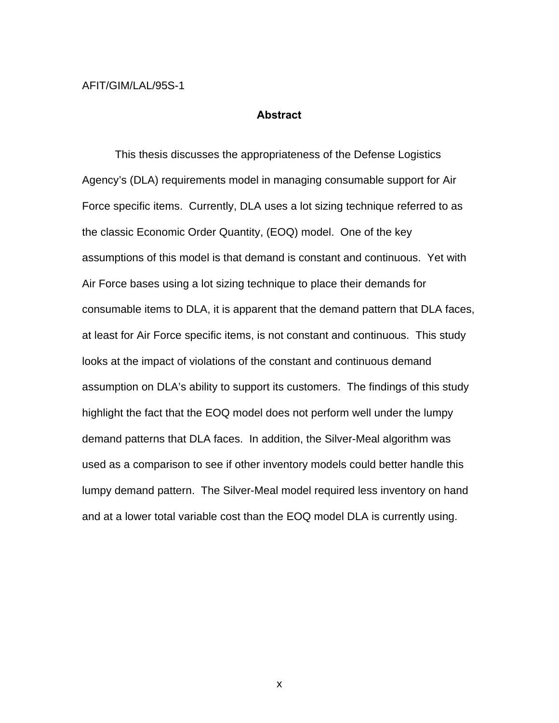#### **Abstract**

This thesis discusses the appropriateness of the Defense Logistics Agency's (DLA) requirements model in managing consumable support for Air Force specific items. Currently, DLA uses a lot sizing technique referred to as the classic Economic Order Quantity, (EOQ) model. One of the key assumptions of this model is that demand is constant and continuous. Yet with Air Force bases using a lot sizing technique to place their demands for consumable items to DLA, it is apparent that the demand pattern that DLA faces, at least for Air Force specific items, is not constant and continuous. This study looks at the impact of violations of the constant and continuous demand assumption on DLA's ability to support its customers. The findings of this study highlight the fact that the EOQ model does not perform well under the lumpy demand patterns that DLA faces. In addition, the Silver-Meal algorithm was used as a comparison to see if other inventory models could better handle this lumpy demand pattern. The Silver-Meal model required less inventory on hand and at a lower total variable cost than the EOQ model DLA is currently using.

x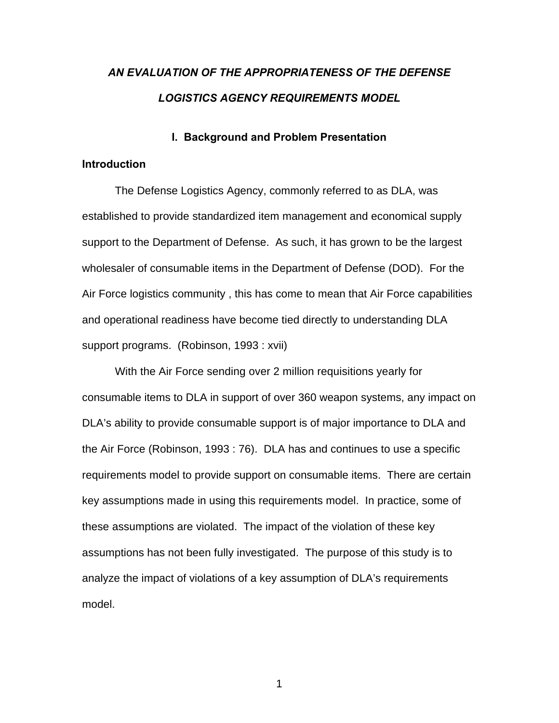# *AN EVALUATION OF THE APPROPRIATENESS OF THE DEFENSE LOGISTICS AGENCY REQUIREMENTS MODEL*

#### **I. Background and Problem Presentation**

#### **Introduction**

The Defense Logistics Agency, commonly referred to as DLA, was established to provide standardized item management and economical supply support to the Department of Defense. As such, it has grown to be the largest wholesaler of consumable items in the Department of Defense (DOD). For the Air Force logistics community , this has come to mean that Air Force capabilities and operational readiness have become tied directly to understanding DLA support programs. (Robinson, 1993 : xvii)

With the Air Force sending over 2 million requisitions yearly for consumable items to DLA in support of over 360 weapon systems, any impact on DLA's ability to provide consumable support is of major importance to DLA and the Air Force (Robinson, 1993 : 76). DLA has and continues to use a specific requirements model to provide support on consumable items. There are certain key assumptions made in using this requirements model. In practice, some of these assumptions are violated. The impact of the violation of these key assumptions has not been fully investigated. The purpose of this study is to analyze the impact of violations of a key assumption of DLA's requirements model.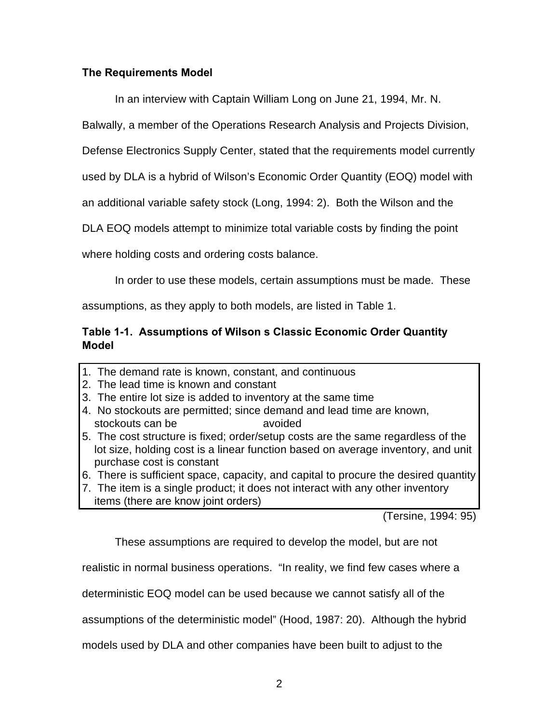### **The Requirements Model**

In an interview with Captain William Long on June 21, 1994, Mr. N.

Balwally, a member of the Operations Research Analysis and Projects Division,

Defense Electronics Supply Center, stated that the requirements model currently

used by DLA is a hybrid of Wilson's Economic Order Quantity (EOQ) model with

an additional variable safety stock (Long, 1994: 2). Both the Wilson and the

DLA EOQ models attempt to minimize total variable costs by finding the point

where holding costs and ordering costs balance.

In order to use these models, certain assumptions must be made. These

assumptions, as they apply to both models, are listed in Table 1.

### **Table 1-1. Assumptions of Wilson's Classic Economic Order Quantity Model**

- 1. The demand rate is known, constant, and continuous
- 2. The lead time is known and constant
- 3. The entire lot size is added to inventory at the same time
- 4. No stockouts are permitted; since demand and lead time are known, stockouts can be avoided
- 5. The cost structure is fixed; order/setup costs are the same regardless of the lot size, holding cost is a linear function based on average inventory, and unit purchase cost is constant
- 6. There is sufficient space, capacity, and capital to procure the desired quantity
- 7. The item is a single product; it does not interact with any other inventory items (there are know joint orders)

(Tersine, 1994: 95)

These assumptions are required to develop the model, but are not

realistic in normal business operations. "In reality, we find few cases where a

deterministic EOQ model can be used because we cannot satisfy all of the

assumptions of the deterministic model" (Hood, 1987: 20). Although the hybrid

models used by DLA and other companies have been built to adjust to the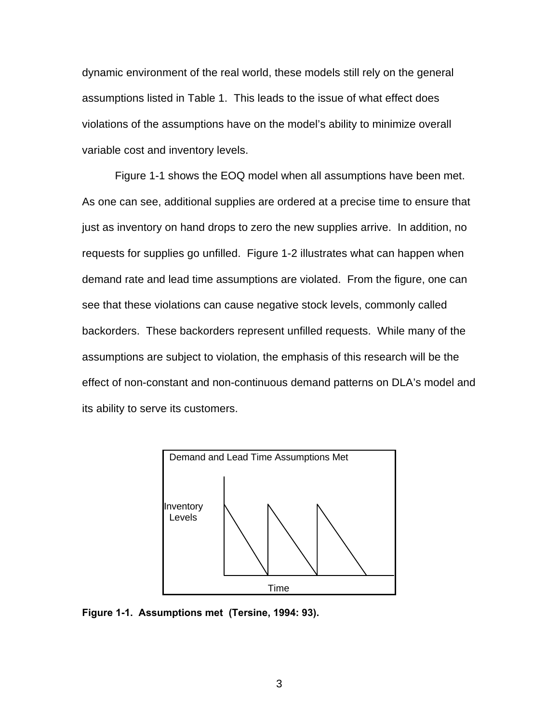dynamic environment of the real world, these models still rely on the general assumptions listed in Table 1. This leads to the issue of what effect does violations of the assumptions have on the model's ability to minimize overall variable cost and inventory levels.

Figure 1-1 shows the EOQ model when all assumptions have been met. As one can see, additional supplies are ordered at a precise time to ensure that just as inventory on hand drops to zero the new supplies arrive. In addition, no requests for supplies go unfilled. Figure 1-2 illustrates what can happen when demand rate and lead time assumptions are violated. From the figure, one can see that these violations can cause negative stock levels, commonly called backorders. These backorders represent unfilled requests. While many of the assumptions are subject to violation, the emphasis of this research will be the effect of non-constant and non-continuous demand patterns on DLA's model and its ability to serve its customers.



**Figure 1-1. Assumptions met (Tersine, 1994: 93).**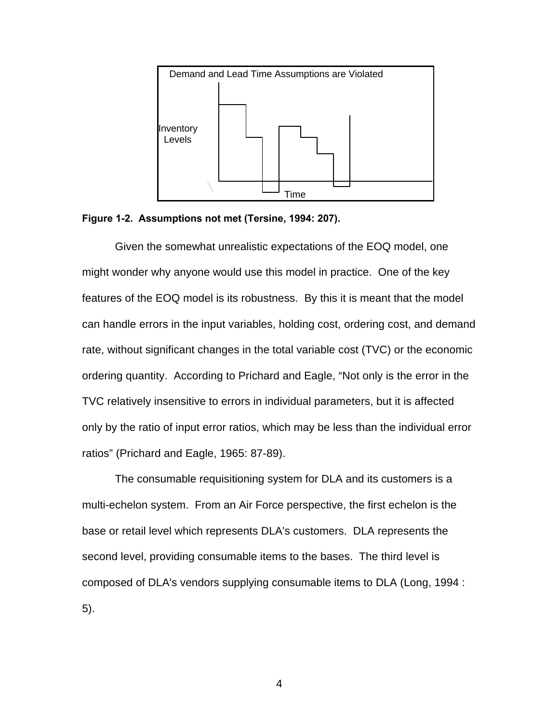



Given the somewhat unrealistic expectations of the EOQ model, one might wonder why anyone would use this model in practice. One of the key features of the EOQ model is its robustness. By this it is meant that the model can handle errors in the input variables, holding cost, ordering cost, and demand rate, without significant changes in the total variable cost (TVC) or the economic ordering quantity. According to Prichard and Eagle, "Not only is the error in the TVC relatively insensitive to errors in individual parameters, but it is affected only by the ratio of input error ratios, which may be less than the individual error ratios" (Prichard and Eagle, 1965: 87-89).

The consumable requisitioning system for DLA and its customers is a multi-echelon system. From an Air Force perspective, the first echelon is the base or retail level which represents DLA's customers. DLA represents the second level, providing consumable items to the bases. The third level is composed of DLA's vendors supplying consumable items to DLA (Long, 1994 : 5).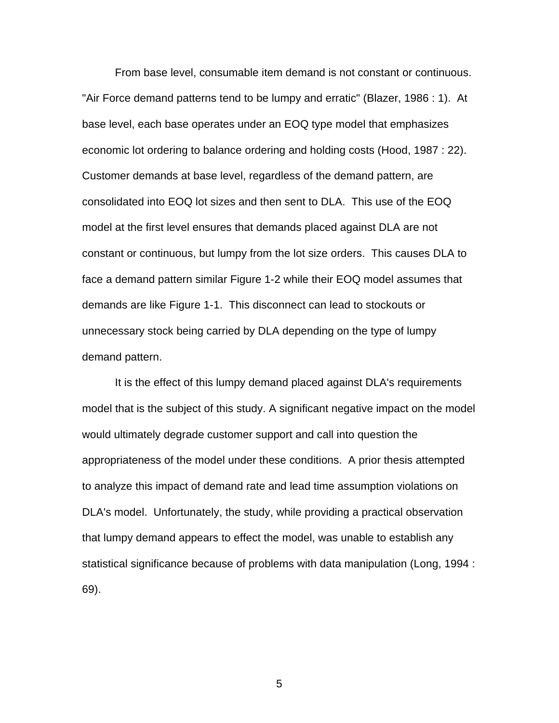From base level, consumable item demand is not constant or continuous. "Air Force demand patterns tend to be lumpy and erratic" (Blazer, 1986 : 1). At base level, each base operates under an EOQ type model that emphasizes economic lot ordering to balance ordering and holding costs (Hood, 1987 : 22). Customer demands at base level, regardless of the demand pattern, are consolidated into EOQ lot sizes and then sent to DLA. This use of the EOQ model at the first level ensures that demands placed against DLA are not constant or continuous, but lumpy from the lot size orders. This causes DLA to face a demand pattern similar Figure 1-2 while their EOQ model assumes that demands are like Figure 1-1. This disconnect can lead to stockouts or unnecessary stock being carried by DLA depending on the type of lumpy demand pattern.

It is the effect of this lumpy demand placed against DLA's requirements model that is the subject of this study. A significant negative impact on the model would ultimately degrade customer support and call into question the appropriateness of the model under these conditions. A prior thesis attempted to analyze this impact of demand rate and lead time assumption violations on DLA's model. Unfortunately, the study, while providing a practical observation that lumpy demand appears to effect the model, was unable to establish any statistical significance because of problems with data manipulation (Long, 1994 : 69).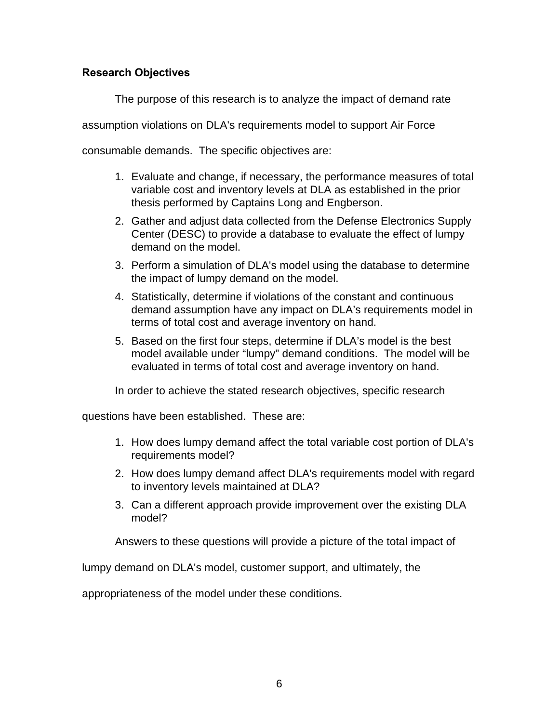### **Research Objectives**

The purpose of this research is to analyze the impact of demand rate

assumption violations on DLA's requirements model to support Air Force

consumable demands. The specific objectives are:

- 1. Evaluate and change, if necessary, the performance measures of total variable cost and inventory levels at DLA as established in the prior thesis performed by Captains Long and Engberson.
- 2. Gather and adjust data collected from the Defense Electronics Supply Center (DESC) to provide a database to evaluate the effect of lumpy demand on the model.
- 3. Perform a simulation of DLA's model using the database to determine the impact of lumpy demand on the model.
- 4. Statistically, determine if violations of the constant and continuous demand assumption have any impact on DLA's requirements model in terms of total cost and average inventory on hand.
- 5. Based on the first four steps, determine if DLA's model is the best model available under "lumpy" demand conditions. The model will be evaluated in terms of total cost and average inventory on hand.

In order to achieve the stated research objectives, specific research

questions have been established. These are:

- 1. How does lumpy demand affect the total variable cost portion of DLA's requirements model?
- 2. How does lumpy demand affect DLA's requirements model with regard to inventory levels maintained at DLA?
- 3. Can a different approach provide improvement over the existing DLA model?

Answers to these questions will provide a picture of the total impact of

lumpy demand on DLA's model, customer support, and ultimately, the

appropriateness of the model under these conditions.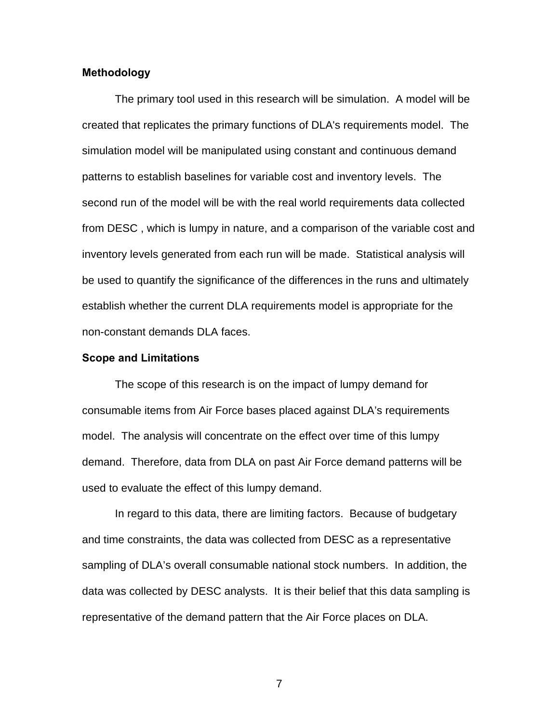#### **Methodology**

The primary tool used in this research will be simulation. A model will be created that replicates the primary functions of DLA's requirements model. The simulation model will be manipulated using constant and continuous demand patterns to establish baselines for variable cost and inventory levels. The second run of the model will be with the real world requirements data collected from DESC , which is lumpy in nature, and a comparison of the variable cost and inventory levels generated from each run will be made. Statistical analysis will be used to quantify the significance of the differences in the runs and ultimately establish whether the current DLA requirements model is appropriate for the non-constant demands DLA faces.

#### **Scope and Limitations**

The scope of this research is on the impact of lumpy demand for consumable items from Air Force bases placed against DLA's requirements model. The analysis will concentrate on the effect over time of this lumpy demand. Therefore, data from DLA on past Air Force demand patterns will be used to evaluate the effect of this lumpy demand.

In regard to this data, there are limiting factors. Because of budgetary and time constraints, the data was collected from DESC as a representative sampling of DLA's overall consumable national stock numbers. In addition, the data was collected by DESC analysts. It is their belief that this data sampling is representative of the demand pattern that the Air Force places on DLA.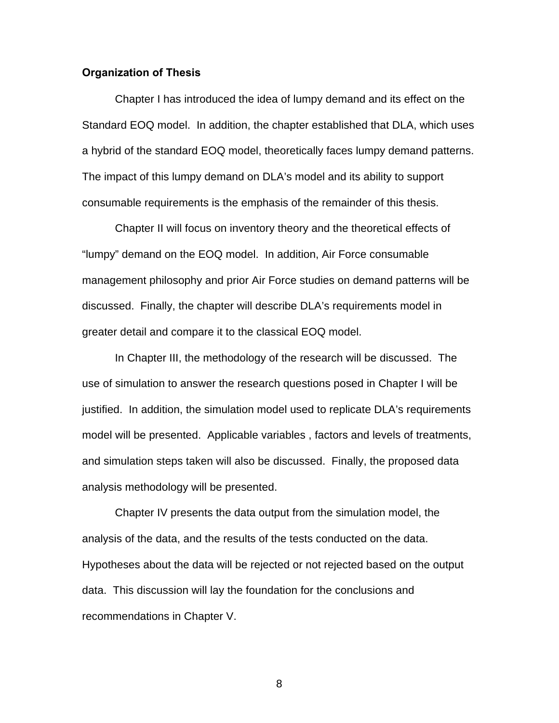#### **Organization of Thesis**

Chapter I has introduced the idea of lumpy demand and its effect on the Standard EOQ model. In addition, the chapter established that DLA, which uses a hybrid of the standard EOQ model, theoretically faces lumpy demand patterns. The impact of this lumpy demand on DLA's model and its ability to support consumable requirements is the emphasis of the remainder of this thesis.

Chapter II will focus on inventory theory and the theoretical effects of "lumpy" demand on the EOQ model. In addition, Air Force consumable management philosophy and prior Air Force studies on demand patterns will be discussed. Finally, the chapter will describe DLA's requirements model in greater detail and compare it to the classical EOQ model.

In Chapter III, the methodology of the research will be discussed. The use of simulation to answer the research questions posed in Chapter I will be justified. In addition, the simulation model used to replicate DLA's requirements model will be presented. Applicable variables , factors and levels of treatments, and simulation steps taken will also be discussed. Finally, the proposed data analysis methodology will be presented.

Chapter IV presents the data output from the simulation model, the analysis of the data, and the results of the tests conducted on the data. Hypotheses about the data will be rejected or not rejected based on the output data. This discussion will lay the foundation for the conclusions and recommendations in Chapter V.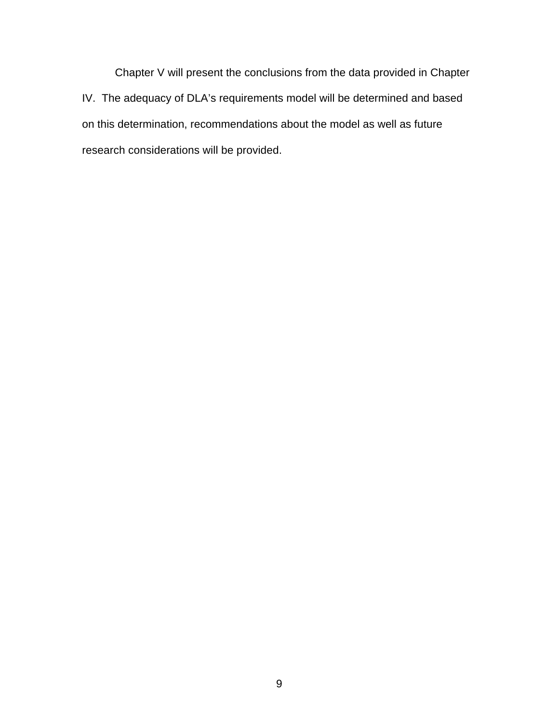Chapter V will present the conclusions from the data provided in Chapter IV. The adequacy of DLA's requirements model will be determined and based on this determination, recommendations about the model as well as future research considerations will be provided.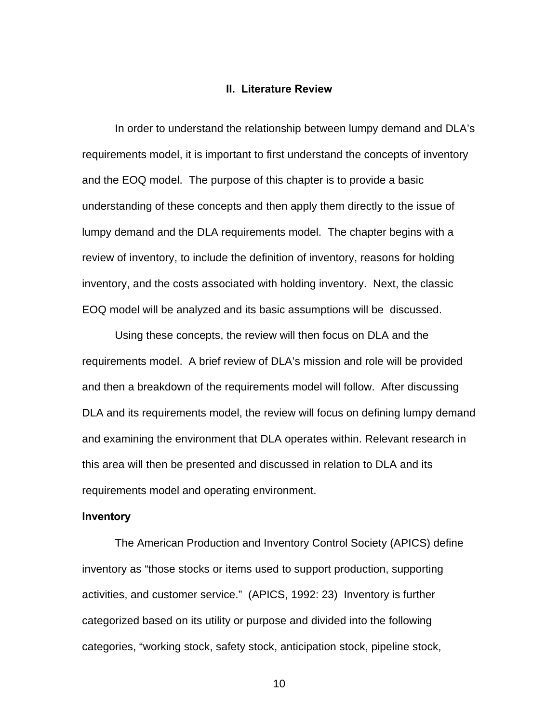#### **II. Literature Review**

In order to understand the relationship between lumpy demand and DLA's requirements model, it is important to first understand the concepts of inventory and the EOQ model. The purpose of this chapter is to provide a basic understanding of these concepts and then apply them directly to the issue of lumpy demand and the DLA requirements model. The chapter begins with a review of inventory, to include the definition of inventory, reasons for holding inventory, and the costs associated with holding inventory. Next, the classic EOQ model will be analyzed and its basic assumptions will be discussed.

Using these concepts, the review will then focus on DLA and the requirements model. A brief review of DLA's mission and role will be provided and then a breakdown of the requirements model will follow. After discussing DLA and its requirements model, the review will focus on defining lumpy demand and examining the environment that DLA operates within. Relevant research in this area will then be presented and discussed in relation to DLA and its requirements model and operating environment.

#### **Inventory**

The American Production and Inventory Control Society (APICS) define inventory as "those stocks or items used to support production, supporting activities, and customer service." (APICS, 1992: 23) Inventory is further categorized based on its utility or purpose and divided into the following categories, "working stock, safety stock, anticipation stock, pipeline stock,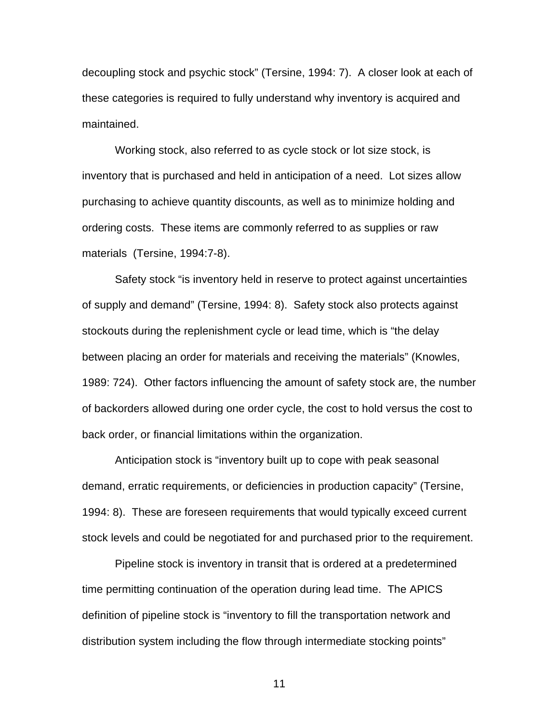decoupling stock and psychic stock" (Tersine, 1994: 7). A closer look at each of these categories is required to fully understand why inventory is acquired and maintained.

Working stock, also referred to as cycle stock or lot size stock, is inventory that is purchased and held in anticipation of a need. Lot sizes allow purchasing to achieve quantity discounts, as well as to minimize holding and ordering costs. These items are commonly referred to as supplies or raw materials (Tersine, 1994:7-8).

Safety stock "is inventory held in reserve to protect against uncertainties of supply and demand" (Tersine, 1994: 8). Safety stock also protects against stockouts during the replenishment cycle or lead time, which is "the delay between placing an order for materials and receiving the materials" (Knowles, 1989: 724). Other factors influencing the amount of safety stock are, the number of backorders allowed during one order cycle, the cost to hold versus the cost to back order, or financial limitations within the organization.

Anticipation stock is "inventory built up to cope with peak seasonal demand, erratic requirements, or deficiencies in production capacity" (Tersine, 1994: 8). These are foreseen requirements that would typically exceed current stock levels and could be negotiated for and purchased prior to the requirement.

Pipeline stock is inventory in transit that is ordered at a predetermined time permitting continuation of the operation during lead time. The APICS definition of pipeline stock is "inventory to fill the transportation network and distribution system including the flow through intermediate stocking points"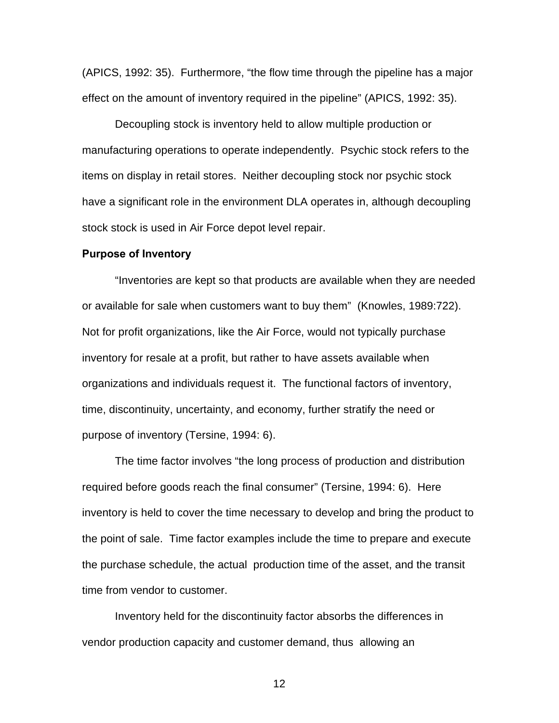(APICS, 1992: 35). Furthermore, "the flow time through the pipeline has a major effect on the amount of inventory required in the pipeline" (APICS, 1992: 35).

Decoupling stock is inventory held to allow multiple production or manufacturing operations to operate independently. Psychic stock refers to the items on display in retail stores. Neither decoupling stock nor psychic stock have a significant role in the environment DLA operates in, although decoupling stock stock is used in Air Force depot level repair.

#### **Purpose of Inventory**

"Inventories are kept so that products are available when they are needed or available for sale when customers want to buy them" (Knowles, 1989:722). Not for profit organizations, like the Air Force, would not typically purchase inventory for resale at a profit, but rather to have assets available when organizations and individuals request it. The functional factors of inventory, time, discontinuity, uncertainty, and economy, further stratify the need or purpose of inventory (Tersine, 1994: 6).

The time factor involves "the long process of production and distribution required before goods reach the final consumer" (Tersine, 1994: 6). Here inventory is held to cover the time necessary to develop and bring the product to the point of sale. Time factor examples include the time to prepare and execute the purchase schedule, the actual production time of the asset, and the transit time from vendor to customer.

Inventory held for the discontinuity factor absorbs the differences in vendor production capacity and customer demand, thus allowing an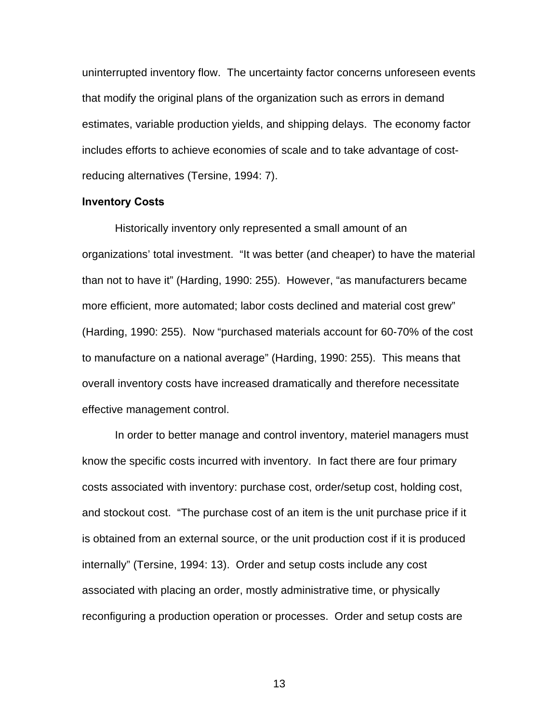uninterrupted inventory flow. The uncertainty factor concerns unforeseen events that modify the original plans of the organization such as errors in demand estimates, variable production yields, and shipping delays. The economy factor includes efforts to achieve economies of scale and to take advantage of costreducing alternatives (Tersine, 1994: 7).

#### **Inventory Costs**

Historically inventory only represented a small amount of an organizations' total investment. "It was better (and cheaper) to have the material than not to have it" (Harding, 1990: 255). However, "as manufacturers became more efficient, more automated; labor costs declined and material cost grew" (Harding, 1990: 255). Now "purchased materials account for 60-70% of the cost to manufacture on a national average" (Harding, 1990: 255). This means that overall inventory costs have increased dramatically and therefore necessitate effective management control.

In order to better manage and control inventory, materiel managers must know the specific costs incurred with inventory. In fact there are four primary costs associated with inventory: purchase cost, order/setup cost, holding cost, and stockout cost. "The purchase cost of an item is the unit purchase price if it is obtained from an external source, or the unit production cost if it is produced internally" (Tersine, 1994: 13). Order and setup costs include any cost associated with placing an order, mostly administrative time, or physically reconfiguring a production operation or processes. Order and setup costs are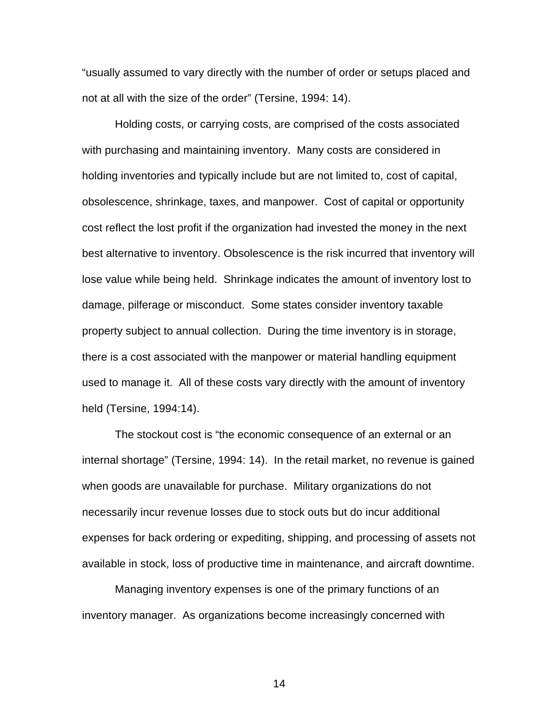"usually assumed to vary directly with the number of order or setups placed and not at all with the size of the order" (Tersine, 1994: 14).

Holding costs, or carrying costs, are comprised of the costs associated with purchasing and maintaining inventory. Many costs are considered in holding inventories and typically include but are not limited to, cost of capital, obsolescence, shrinkage, taxes, and manpower. Cost of capital or opportunity cost reflect the lost profit if the organization had invested the money in the next best alternative to inventory. Obsolescence is the risk incurred that inventory will lose value while being held. Shrinkage indicates the amount of inventory lost to damage, pilferage or misconduct. Some states consider inventory taxable property subject to annual collection. During the time inventory is in storage, there is a cost associated with the manpower or material handling equipment used to manage it. All of these costs vary directly with the amount of inventory held (Tersine, 1994:14).

The stockout cost is "the economic consequence of an external or an internal shortage" (Tersine, 1994: 14). In the retail market, no revenue is gained when goods are unavailable for purchase. Military organizations do not necessarily incur revenue losses due to stock outs but do incur additional expenses for back ordering or expediting, shipping, and processing of assets not available in stock, loss of productive time in maintenance, and aircraft downtime.

Managing inventory expenses is one of the primary functions of an inventory manager. As organizations become increasingly concerned with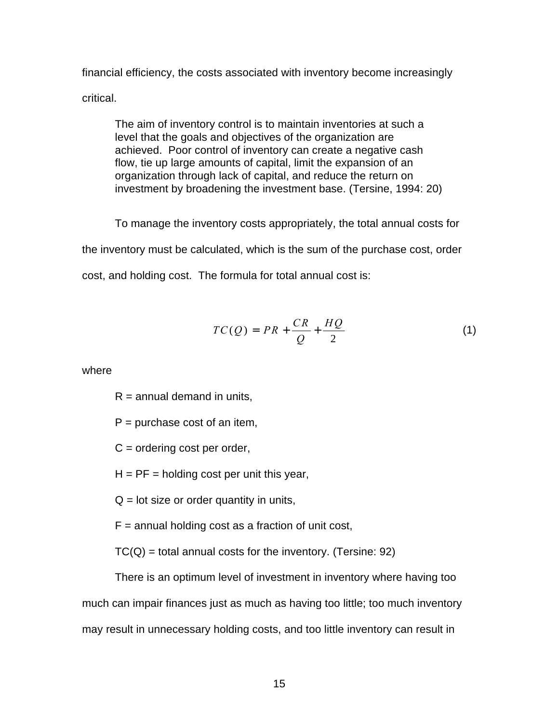financial efficiency, the costs associated with inventory become increasingly critical.

The aim of inventory control is to maintain inventories at such a level that the goals and objectives of the organization are achieved. Poor control of inventory can create a negative cash flow, tie up large amounts of capital, limit the expansion of an organization through lack of capital, and reduce the return on investment by broadening the investment base. (Tersine, 1994: 20)

To manage the inventory costs appropriately, the total annual costs for the inventory must be calculated, which is the sum of the purchase cost, order cost, and holding cost. The formula for total annual cost is:

$$
TC(Q) = PR + \frac{CR}{Q} + \frac{HQ}{2}
$$
 (1)

where

 $R =$  annual demand in units,

 $P =$  purchase cost of an item,

 $C =$  ordering cost per order,

 $H = PF =$  holding cost per unit this year,

 $Q =$  lot size or order quantity in units,

 $F =$  annual holding cost as a fraction of unit cost,

 $TC(Q)$  = total annual costs for the inventory. (Tersine: 92)

There is an optimum level of investment in inventory where having too much can impair finances just as much as having too little; too much inventory may result in unnecessary holding costs, and too little inventory can result in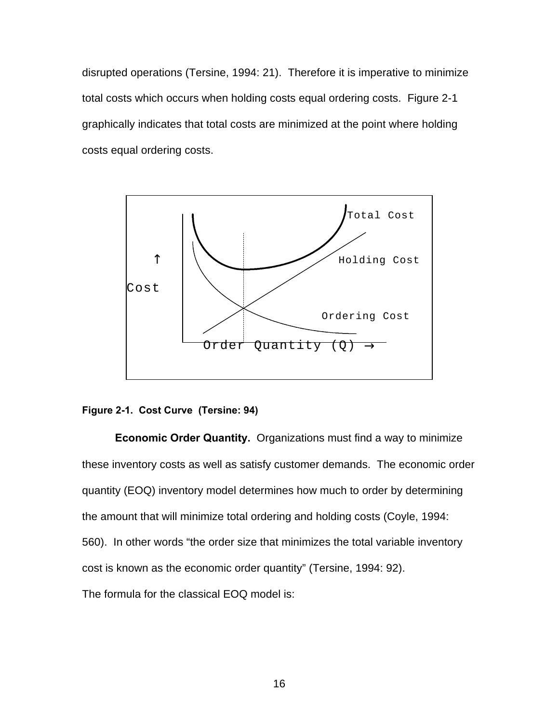disrupted operations (Tersine, 1994: 21). Therefore it is imperative to minimize total costs which occurs when holding costs equal ordering costs. Figure 2-1 graphically indicates that total costs are minimized at the point where holding costs equal ordering costs.



#### **Figure 2-1. Cost Curve (Tersine: 94)**

**Economic Order Quantity.** Organizations must find a way to minimize these inventory costs as well as satisfy customer demands. The economic order quantity (EOQ) inventory model determines how much to order by determining the amount that will minimize total ordering and holding costs (Coyle, 1994: 560). In other words "the order size that minimizes the total variable inventory cost is known as the economic order quantity" (Tersine, 1994: 92). The formula for the classical EOQ model is: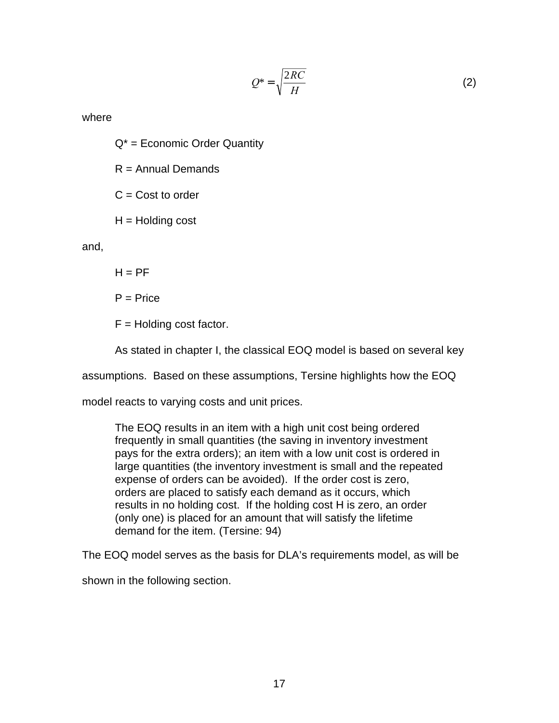$$
Q^* = \sqrt{\frac{2RC}{H}}
$$
 (2)

where

 $Q^*$  = Economic Order Quantity

 $R =$  Annual Demands

 $C = Cost to order$ 

 $H =$  Holding cost

and,

 $H = PF$ 

 $P = Price$ 

 $F =$  Holding cost factor.

As stated in chapter I, the classical EOQ model is based on several key

assumptions. Based on these assumptions, Tersine highlights how the EOQ

model reacts to varying costs and unit prices.

The EOQ results in an item with a high unit cost being ordered frequently in small quantities (the saving in inventory investment pays for the extra orders); an item with a low unit cost is ordered in large quantities (the inventory investment is small and the repeated expense of orders can be avoided). If the order cost is zero, orders are placed to satisfy each demand as it occurs, which results in no holding cost. If the holding cost H is zero, an order (only one) is placed for an amount that will satisfy the lifetime demand for the item. (Tersine: 94)

The EOQ model serves as the basis for DLA's requirements model, as will be

shown in the following section.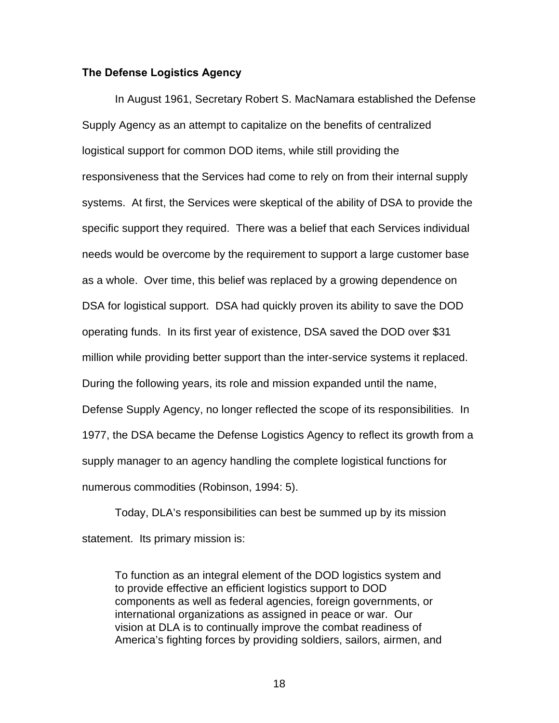#### **The Defense Logistics Agency**

In August 1961, Secretary Robert S. MacNamara established the Defense Supply Agency as an attempt to capitalize on the benefits of centralized logistical support for common DOD items, while still providing the responsiveness that the Services had come to rely on from their internal supply systems. At first, the Services were skeptical of the ability of DSA to provide the specific support they required. There was a belief that each Services individual needs would be overcome by the requirement to support a large customer base as a whole. Over time, this belief was replaced by a growing dependence on DSA for logistical support. DSA had quickly proven its ability to save the DOD operating funds. In its first year of existence, DSA saved the DOD over \$31 million while providing better support than the inter-service systems it replaced. During the following years, its role and mission expanded until the name, Defense Supply Agency, no longer reflected the scope of its responsibilities. In 1977, the DSA became the Defense Logistics Agency to reflect its growth from a supply manager to an agency handling the complete logistical functions for numerous commodities (Robinson, 1994: 5).

Today, DLA's responsibilities can best be summed up by its mission statement. Its primary mission is:

To function as an integral element of the DOD logistics system and to provide effective an efficient logistics support to DOD components as well as federal agencies, foreign governments, or international organizations as assigned in peace or war. Our vision at DLA is to continually improve the combat readiness of America's fighting forces by providing soldiers, sailors, airmen, and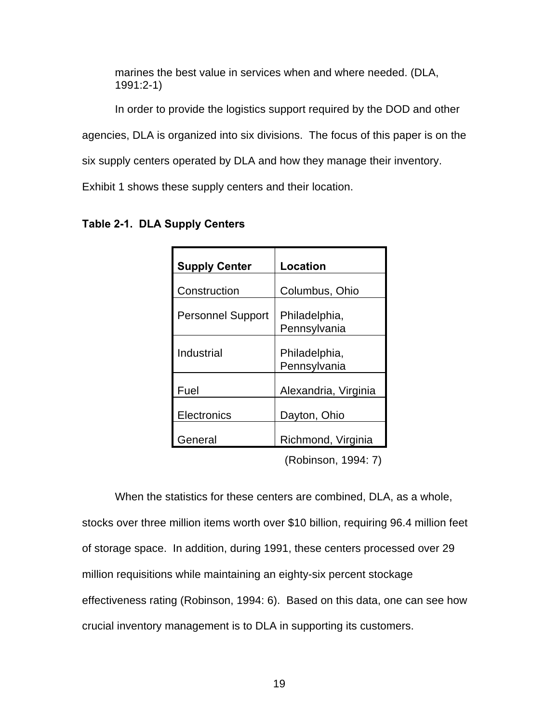marines the best value in services when and where needed. (DLA, 1991:2-1)

In order to provide the logistics support required by the DOD and other agencies, DLA is organized into six divisions. The focus of this paper is on the six supply centers operated by DLA and how they manage their inventory. Exhibit 1 shows these supply centers and their location.

| <b>Supply Center</b>     | Location                      |
|--------------------------|-------------------------------|
| Construction             | Columbus, Ohio                |
| <b>Personnel Support</b> | Philadelphia,<br>Pennsylvania |
| Industrial               | Philadelphia,<br>Pennsylvania |
| Fuel                     | Alexandria, Virginia          |
| Electronics              | Dayton, Ohio                  |
| General                  | Richmond, Virginia            |

**Table 2-1. DLA Supply Centers** 

(Robinson, 1994: 7)

When the statistics for these centers are combined, DLA, as a whole, stocks over three million items worth over \$10 billion, requiring 96.4 million feet of storage space. In addition, during 1991, these centers processed over 29 million requisitions while maintaining an eighty-six percent stockage effectiveness rating (Robinson, 1994: 6). Based on this data, one can see how crucial inventory management is to DLA in supporting its customers.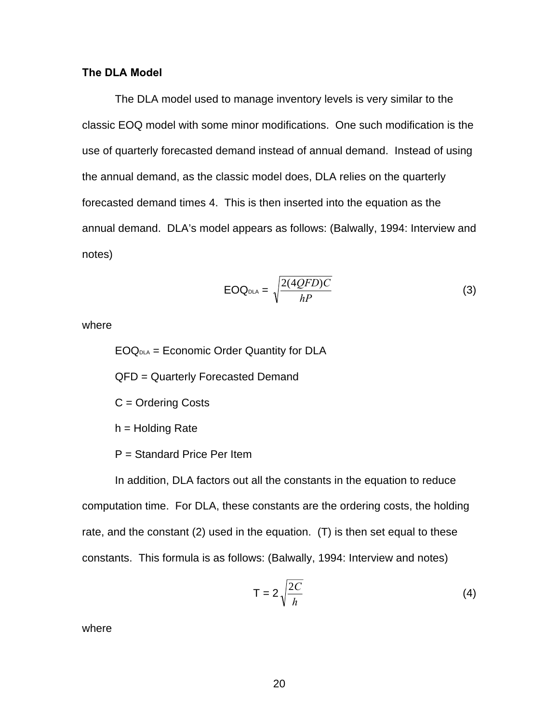#### **The DLA Model**

The DLA model used to manage inventory levels is very similar to the classic EOQ model with some minor modifications. One such modification is the use of quarterly forecasted demand instead of annual demand. Instead of using the annual demand, as the classic model does, DLA relies on the quarterly forecasted demand times 4. This is then inserted into the equation as the annual demand. DLA's model appears as follows: (Balwally, 1994: Interview and notes)

$$
EOQDLA = \sqrt{\frac{2(4QFD)C}{hP}}
$$
 (3)

where

 $EOQ<sub>DLA</sub> = Economic Order Quantity for DLA$ 

QFD = Quarterly Forecasted Demand

C = Ordering Costs

 $h =$  Holding Rate

P = Standard Price Per Item

In addition, DLA factors out all the constants in the equation to reduce computation time. For DLA, these constants are the ordering costs, the holding rate, and the constant (2) used in the equation. (T) is then set equal to these constants. This formula is as follows: (Balwally, 1994: Interview and notes)

$$
T = 2\sqrt{\frac{2C}{h}}
$$
 (4)

where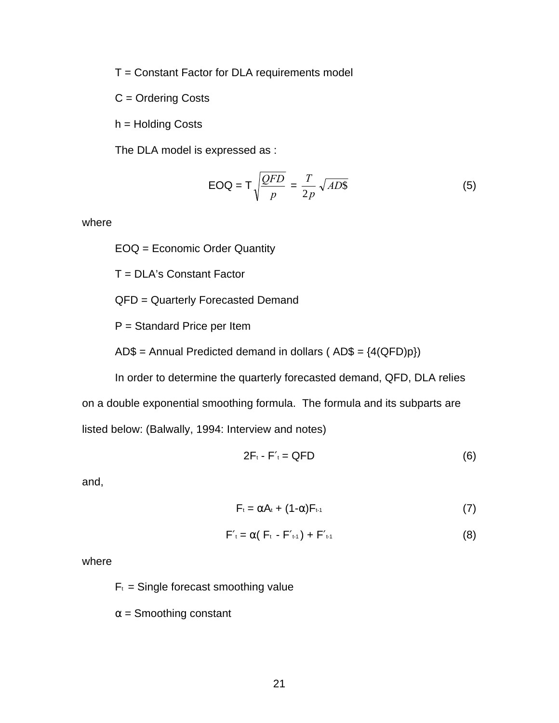T = Constant Factor for DLA requirements model

C = Ordering Costs

h = Holding Costs

The DLA model is expressed as :

$$
\text{EOQ} = \mathsf{T} \sqrt{\frac{QFD}{p}} = \frac{T}{2p} \sqrt{AD\$} \tag{5}
$$

where

EOQ = Economic Order Quantity

T = DLA's Constant Factor

QFD = Quarterly Forecasted Demand

 $P =$  Standard Price per Item

 $AD$ = Annual Predicted demand in dollars (  $AD$ = {4(QFD)p}$ )$ 

In order to determine the quarterly forecasted demand, QFD, DLA relies on a double exponential smoothing formula. The formula and its subparts are listed below: (Balwally, 1994: Interview and notes)

$$
2F_t - F'_t = QFD
$$
 (6)

and,

$$
F_t = \alpha A_t + (1 - \alpha) F_{t-1}
$$
 (7)

$$
F'_{t} = \alpha (F_{t} - F'_{t-1}) + F'_{t-1}
$$
 (8)

where

 $F_t$  = Single forecast smoothing value

 $\alpha$  = Smoothing constant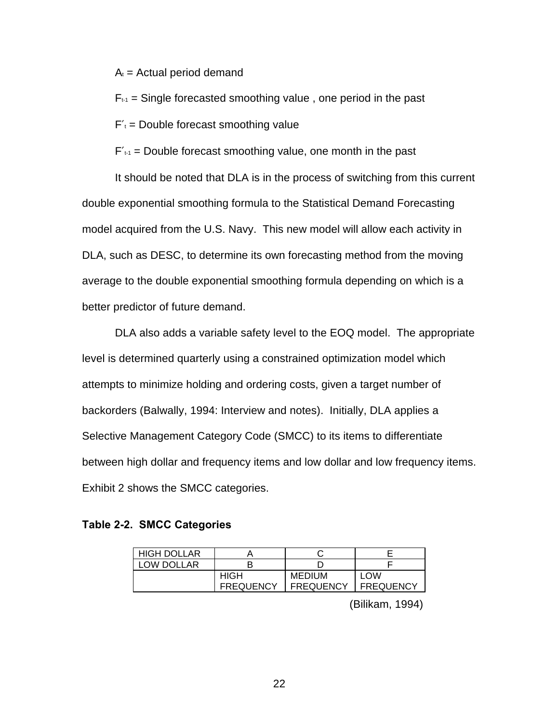$A<sub>t</sub>$  = Actual period demand

 $F_{t-1}$  = Single forecasted smoothing value, one period in the past

 $F'_{t}$  = Double forecast smoothing value

 $F'_{t-1}$  = Double forecast smoothing value, one month in the past

It should be noted that DLA is in the process of switching from this current double exponential smoothing formula to the Statistical Demand Forecasting model acquired from the U.S. Navy. This new model will allow each activity in DLA, such as DESC, to determine its own forecasting method from the moving average to the double exponential smoothing formula depending on which is a better predictor of future demand.

DLA also adds a variable safety level to the EOQ model. The appropriate level is determined quarterly using a constrained optimization model which attempts to minimize holding and ordering costs, given a target number of backorders (Balwally, 1994: Interview and notes). Initially, DLA applies a Selective Management Category Code (SMCC) to its items to differentiate between high dollar and frequency items and low dollar and low frequency items. Exhibit 2 shows the SMCC categories.

#### **Table 2-2. SMCC Categories**

| <b>HIGH DOLLAR</b> |                  |                  |                  |
|--------------------|------------------|------------------|------------------|
| LOW DOLLAR         |                  |                  |                  |
|                    | HIGH             | MEDIUM           | LOW              |
|                    | <b>FREQUENCY</b> | <b>FREQUENCY</b> | <b>FREQUENCY</b> |

(Bilikam, 1994)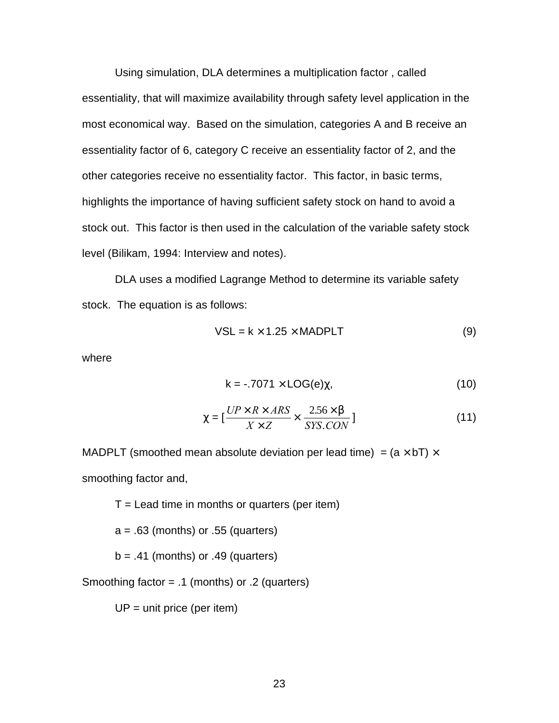Using simulation, DLA determines a multiplication factor , called essentiality, that will maximize availability through safety level application in the most economical way. Based on the simulation, categories A and B receive an essentiality factor of 6, category C receive an essentiality factor of 2, and the other categories receive no essentiality factor. This factor, in basic terms, highlights the importance of having sufficient safety stock on hand to avoid a stock out. This factor is then used in the calculation of the variable safety stock level (Bilikam, 1994: Interview and notes).

DLA uses a modified Lagrange Method to determine its variable safety stock. The equation is as follows:

$$
VSL = k \times 1.25 \times MADPLT
$$
 (9)

where

$$
k = -.7071 \times LOG(e)\chi, \tag{10}
$$

$$
\chi = \left[\frac{UP \times R \times ARS}{X \times Z} \times \frac{2.56 \times b}{SYS. CON}\right]
$$
\n(11)

MADPLT (smoothed mean absolute deviation per lead time) =  $(a \times bT) \times$ smoothing factor and,

 $T =$  Lead time in months or quarters (per item)

 $a = .63$  (months) or  $.55$  (quarters)

 $b = .41$  (months) or  $.49$  (quarters)

Smoothing factor = .1 (months) or .2 (quarters)

 $UP =$  unit price (per item)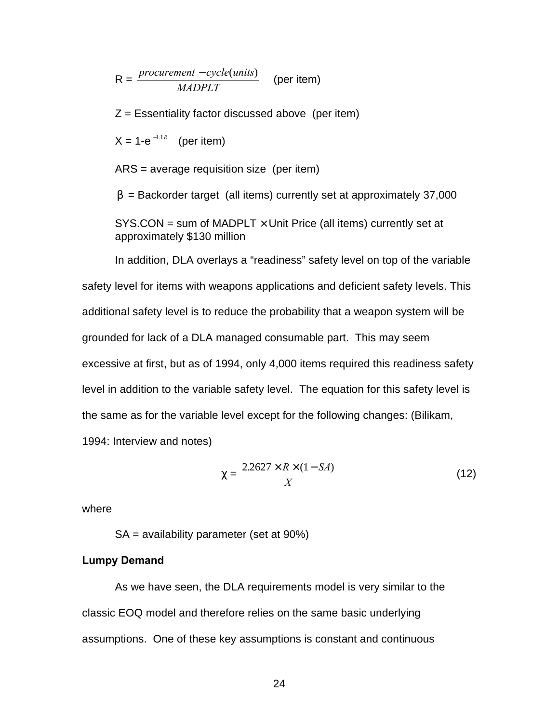$R = \frac{procurrent - cycle (units)}{16.555}$ *MADPLT* (per item)

 $Z =$  Essentiality factor discussed above (per item)

 $X = 1-e^{-1.1R}$  (per item)

ARS = average requisition size (per item)

*b* = Backorder target (all items) currently set at approximately 37,000

 $SYS.COM = sum of MADPLT \times Unit Price (all items) currently set at$ approximately \$130 million

In addition, DLA overlays a "readiness" safety level on top of the variable safety level for items with weapons applications and deficient safety levels. This additional safety level is to reduce the probability that a weapon system will be grounded for lack of a DLA managed consumable part. This may seem excessive at first, but as of 1994, only 4,000 items required this readiness safety level in addition to the variable safety level. The equation for this safety level is the same as for the variable level except for the following changes: (Bilikam, 1994: Interview and notes)

$$
\chi = \frac{2.2627 \times R \times (1 - SA)}{X}
$$
 (12)

where

SA = availability parameter (set at 90%)

#### **Lumpy Demand**

As we have seen, the DLA requirements model is very similar to the classic EOQ model and therefore relies on the same basic underlying assumptions. One of these key assumptions is constant and continuous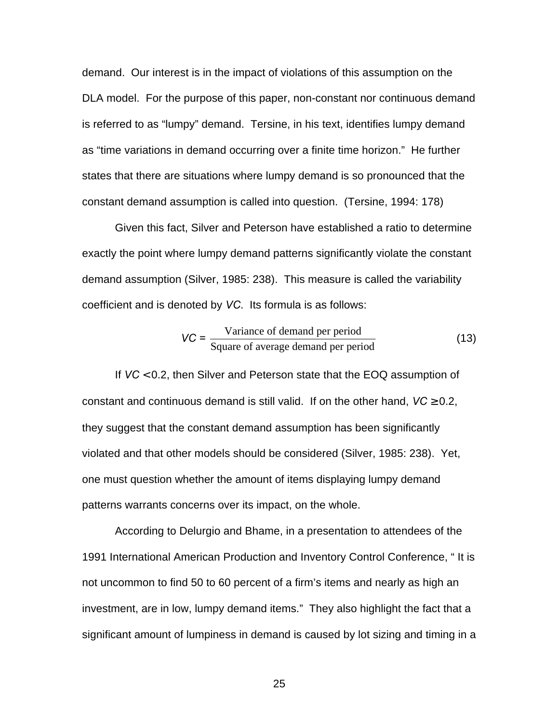demand. Our interest is in the impact of violations of this assumption on the DLA model. For the purpose of this paper, non-constant nor continuous demand is referred to as "lumpy" demand. Tersine, in his text, identifies lumpy demand as "time variations in demand occurring over a finite time horizon." He further states that there are situations where lumpy demand is so pronounced that the constant demand assumption is called into question. (Tersine, 1994: 178)

Given this fact, Silver and Peterson have established a ratio to determine exactly the point where lumpy demand patterns significantly violate the constant demand assumption (Silver, 1985: 238). This measure is called the variability coefficient and is denoted by *VC*. Its formula is as follows:

$$
VC = \frac{\text{Variance of demand per period}}{\text{Square of average demand per period}}
$$
 (13)

If *VC* < 0.2, then Silver and Peterson state that the EOQ assumption of constant and continuous demand is still valid. If on the other hand,  $VC \geq 0.2$ , they suggest that the constant demand assumption has been significantly violated and that other models should be considered (Silver, 1985: 238). Yet, one must question whether the amount of items displaying lumpy demand patterns warrants concerns over its impact, on the whole.

According to Delurgio and Bhame, in a presentation to attendees of the 1991 International American Production and Inventory Control Conference, " It is not uncommon to find 50 to 60 percent of a firm's items and nearly as high an investment, are in low, lumpy demand items." They also highlight the fact that a significant amount of lumpiness in demand is caused by lot sizing and timing in a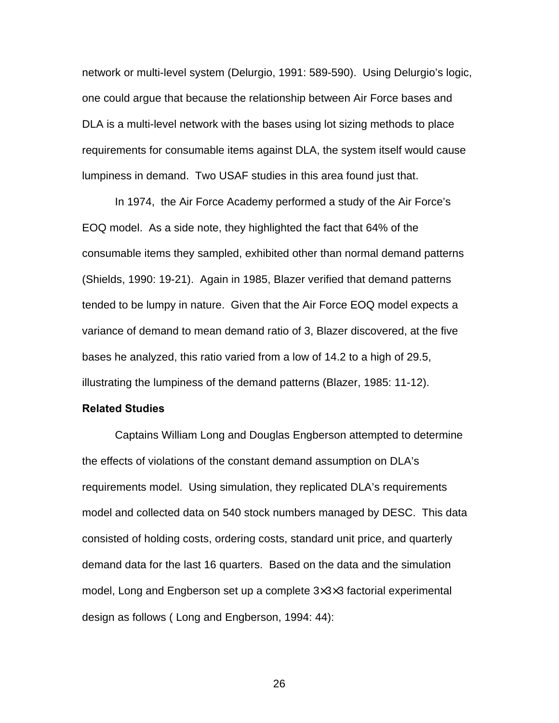network or multi-level system (Delurgio, 1991: 589-590). Using Delurgio's logic, one could argue that because the relationship between Air Force bases and DLA is a multi-level network with the bases using lot sizing methods to place requirements for consumable items against DLA, the system itself would cause lumpiness in demand. Two USAF studies in this area found just that.

In 1974, the Air Force Academy performed a study of the Air Force's EOQ model. As a side note, they highlighted the fact that 64% of the consumable items they sampled, exhibited other than normal demand patterns (Shields, 1990: 19-21). Again in 1985, Blazer verified that demand patterns tended to be lumpy in nature. Given that the Air Force EOQ model expects a variance of demand to mean demand ratio of 3, Blazer discovered, at the five bases he analyzed, this ratio varied from a low of 14.2 to a high of 29.5, illustrating the lumpiness of the demand patterns (Blazer, 1985: 11-12).

#### **Related Studies**

Captains William Long and Douglas Engberson attempted to determine the effects of violations of the constant demand assumption on DLA's requirements model. Using simulation, they replicated DLA's requirements model and collected data on 540 stock numbers managed by DESC. This data consisted of holding costs, ordering costs, standard unit price, and quarterly demand data for the last 16 quarters. Based on the data and the simulation model, Long and Engberson set up a complete 3×3×3 factorial experimental design as follows ( Long and Engberson, 1994: 44):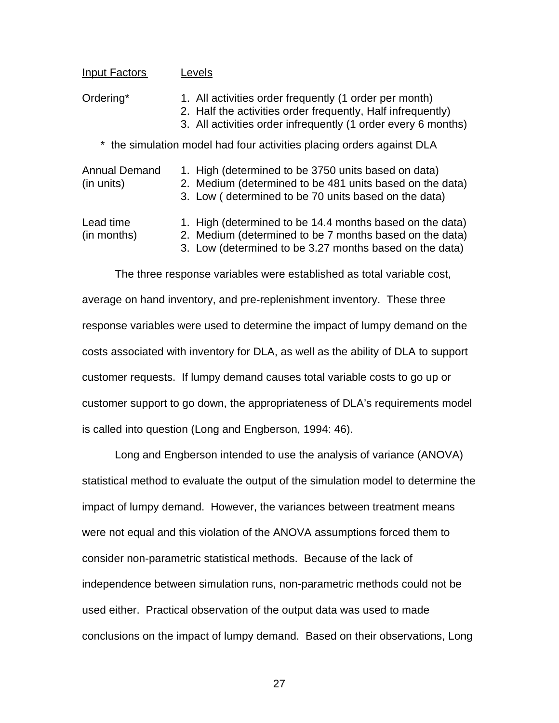| Input Factors                      | Levels                                                                                                                                                                                 |
|------------------------------------|----------------------------------------------------------------------------------------------------------------------------------------------------------------------------------------|
| Ordering*                          | 1. All activities order frequently (1 order per month)<br>2. Half the activities order frequently, Half infrequently)<br>3. All activities order infrequently (1 order every 6 months) |
|                                    | * the simulation model had four activities placing orders against DLA                                                                                                                  |
| <b>Annual Demand</b><br>(in units) | 1. High (determined to be 3750 units based on data)<br>2. Medium (determined to be 481 units based on the data)<br>3. Low (determined to be 70 units based on the data)                |
| Lead time<br>(in months)           | 1. High (determined to be 14.4 months based on the data)<br>2. Medium (determined to be 7 months based on the data)<br>3. Low (determined to be 3.27 months based on the data)         |

The three response variables were established as total variable cost, average on hand inventory, and pre-replenishment inventory. These three response variables were used to determine the impact of lumpy demand on the costs associated with inventory for DLA, as well as the ability of DLA to support customer requests. If lumpy demand causes total variable costs to go up or customer support to go down, the appropriateness of DLA's requirements model is called into question (Long and Engberson, 1994: 46).

Long and Engberson intended to use the analysis of variance (ANOVA) statistical method to evaluate the output of the simulation model to determine the impact of lumpy demand. However, the variances between treatment means were not equal and this violation of the ANOVA assumptions forced them to consider non-parametric statistical methods. Because of the lack of independence between simulation runs, non-parametric methods could not be used either. Practical observation of the output data was used to made conclusions on the impact of lumpy demand. Based on their observations, Long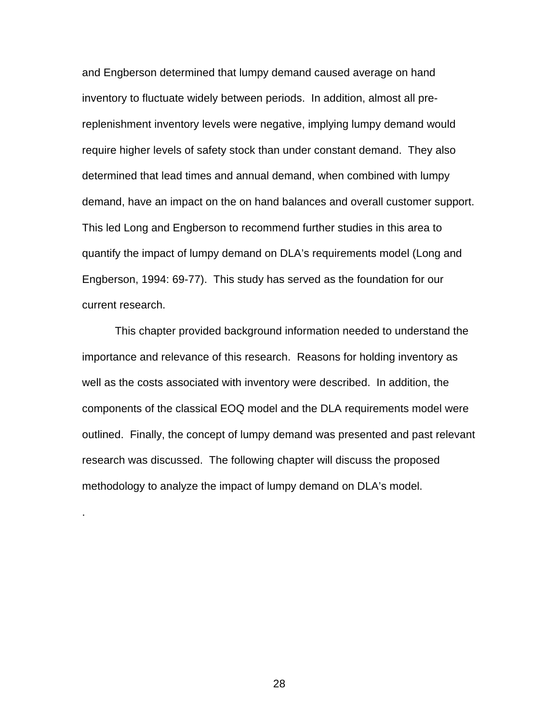and Engberson determined that lumpy demand caused average on hand inventory to fluctuate widely between periods. In addition, almost all prereplenishment inventory levels were negative, implying lumpy demand would require higher levels of safety stock than under constant demand. They also determined that lead times and annual demand, when combined with lumpy demand, have an impact on the on hand balances and overall customer support. This led Long and Engberson to recommend further studies in this area to quantify the impact of lumpy demand on DLA's requirements model (Long and Engberson, 1994: 69-77). This study has served as the foundation for our current research.

This chapter provided background information needed to understand the importance and relevance of this research. Reasons for holding inventory as well as the costs associated with inventory were described. In addition, the components of the classical EOQ model and the DLA requirements model were outlined. Finally, the concept of lumpy demand was presented and past relevant research was discussed. The following chapter will discuss the proposed methodology to analyze the impact of lumpy demand on DLA's model.

.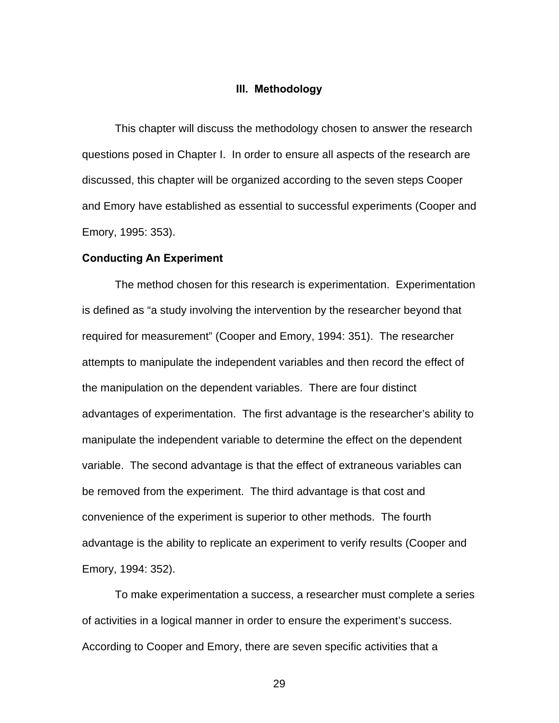### **III. Methodology**

This chapter will discuss the methodology chosen to answer the research questions posed in Chapter I. In order to ensure all aspects of the research are discussed, this chapter will be organized according to the seven steps Cooper and Emory have established as essential to successful experiments (Cooper and Emory, 1995: 353).

#### **Conducting An Experiment**

The method chosen for this research is experimentation. Experimentation is defined as "a study involving the intervention by the researcher beyond that required for measurement" (Cooper and Emory, 1994: 351). The researcher attempts to manipulate the independent variables and then record the effect of the manipulation on the dependent variables. There are four distinct advantages of experimentation. The first advantage is the researcher's ability to manipulate the independent variable to determine the effect on the dependent variable. The second advantage is that the effect of extraneous variables can be removed from the experiment. The third advantage is that cost and convenience of the experiment is superior to other methods. The fourth advantage is the ability to replicate an experiment to verify results (Cooper and Emory, 1994: 352).

To make experimentation a success, a researcher must complete a series of activities in a logical manner in order to ensure the experiment's success. According to Cooper and Emory, there are seven specific activities that a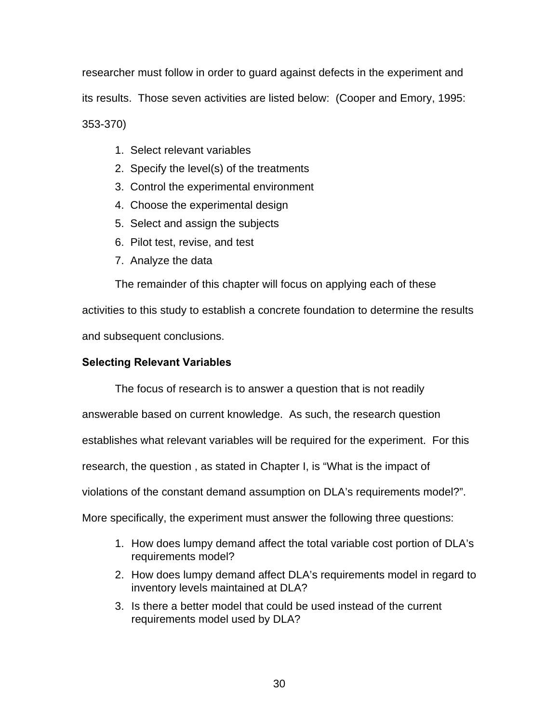researcher must follow in order to guard against defects in the experiment and its results. Those seven activities are listed below: (Cooper and Emory, 1995: 353-370)

- 1. Select relevant variables
- 2. Specify the level(s) of the treatments
- 3. Control the experimental environment
- 4. Choose the experimental design
- 5. Select and assign the subjects
- 6. Pilot test, revise, and test
- 7. Analyze the data

The remainder of this chapter will focus on applying each of these

activities to this study to establish a concrete foundation to determine the results and subsequent conclusions.

# **Selecting Relevant Variables**

The focus of research is to answer a question that is not readily answerable based on current knowledge. As such, the research question establishes what relevant variables will be required for the experiment. For this research, the question , as stated in Chapter I, is "What is the impact of violations of the constant demand assumption on DLA's requirements model?". More specifically, the experiment must answer the following three questions:

- 1. How does lumpy demand affect the total variable cost portion of DLA's requirements model?
- 2. How does lumpy demand affect DLA's requirements model in regard to inventory levels maintained at DLA?
- 3. Is there a better model that could be used instead of the current requirements model used by DLA?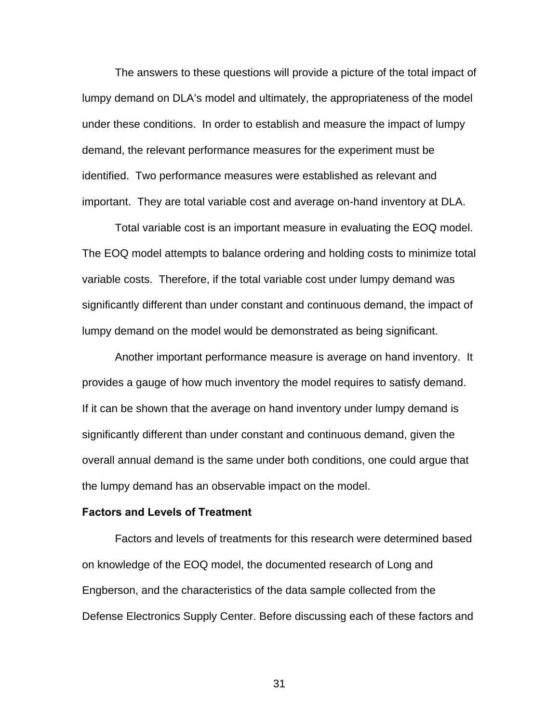The answers to these questions will provide a picture of the total impact of lumpy demand on DLA's model and ultimately, the appropriateness of the model under these conditions. In order to establish and measure the impact of lumpy demand, the relevant performance measures for the experiment must be identified. Two performance measures were established as relevant and important. They are total variable cost and average on-hand inventory at DLA.

Total variable cost is an important measure in evaluating the EOQ model. The EOQ model attempts to balance ordering and holding costs to minimize total variable costs. Therefore, if the total variable cost under lumpy demand was significantly different than under constant and continuous demand, the impact of lumpy demand on the model would be demonstrated as being significant.

Another important performance measure is average on hand inventory. It provides a gauge of how much inventory the model requires to satisfy demand. If it can be shown that the average on hand inventory under lumpy demand is significantly different than under constant and continuous demand, given the overall annual demand is the same under both conditions, one could argue that the lumpy demand has an observable impact on the model.

### **Factors and Levels of Treatment**

Factors and levels of treatments for this research were determined based on knowledge of the EOQ model, the documented research of Long and Engberson, and the characteristics of the data sample collected from the Defense Electronics Supply Center. Before discussing each of these factors and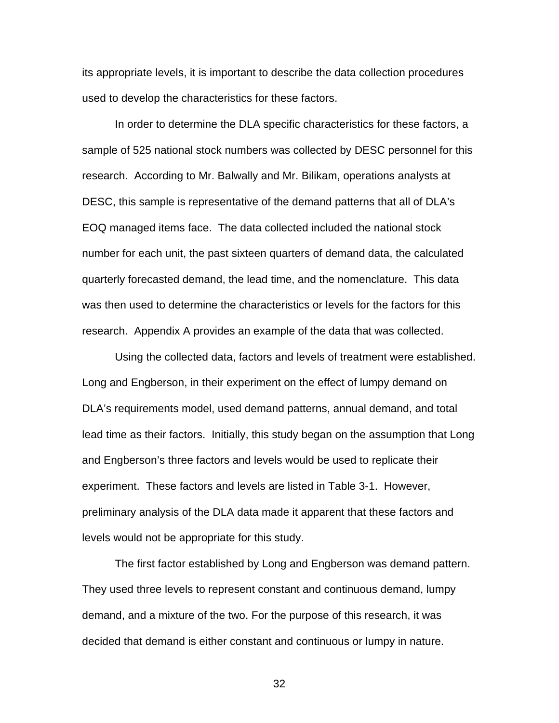its appropriate levels, it is important to describe the data collection procedures used to develop the characteristics for these factors.

In order to determine the DLA specific characteristics for these factors, a sample of 525 national stock numbers was collected by DESC personnel for this research. According to Mr. Balwally and Mr. Bilikam, operations analysts at DESC, this sample is representative of the demand patterns that all of DLA's EOQ managed items face. The data collected included the national stock number for each unit, the past sixteen quarters of demand data, the calculated quarterly forecasted demand, the lead time, and the nomenclature. This data was then used to determine the characteristics or levels for the factors for this research. Appendix A provides an example of the data that was collected.

Using the collected data, factors and levels of treatment were established. Long and Engberson, in their experiment on the effect of lumpy demand on DLA's requirements model, used demand patterns, annual demand, and total lead time as their factors. Initially, this study began on the assumption that Long and Engberson's three factors and levels would be used to replicate their experiment. These factors and levels are listed in Table 3-1. However, preliminary analysis of the DLA data made it apparent that these factors and levels would not be appropriate for this study.

The first factor established by Long and Engberson was demand pattern. They used three levels to represent constant and continuous demand, lumpy demand, and a mixture of the two. For the purpose of this research, it was decided that demand is either constant and continuous or lumpy in nature.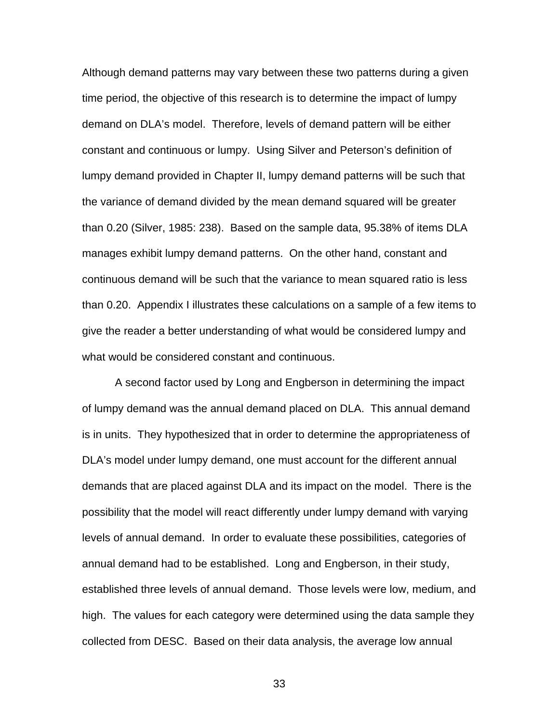Although demand patterns may vary between these two patterns during a given time period, the objective of this research is to determine the impact of lumpy demand on DLA's model. Therefore, levels of demand pattern will be either constant and continuous or lumpy. Using Silver and Peterson's definition of lumpy demand provided in Chapter II, lumpy demand patterns will be such that the variance of demand divided by the mean demand squared will be greater than 0.20 (Silver, 1985: 238). Based on the sample data, 95.38% of items DLA manages exhibit lumpy demand patterns. On the other hand, constant and continuous demand will be such that the variance to mean squared ratio is less than 0.20. Appendix I illustrates these calculations on a sample of a few items to give the reader a better understanding of what would be considered lumpy and what would be considered constant and continuous.

A second factor used by Long and Engberson in determining the impact of lumpy demand was the annual demand placed on DLA. This annual demand is in units. They hypothesized that in order to determine the appropriateness of DLA's model under lumpy demand, one must account for the different annual demands that are placed against DLA and its impact on the model. There is the possibility that the model will react differently under lumpy demand with varying levels of annual demand. In order to evaluate these possibilities, categories of annual demand had to be established. Long and Engberson, in their study, established three levels of annual demand. Those levels were low, medium, and high. The values for each category were determined using the data sample they collected from DESC. Based on their data analysis, the average low annual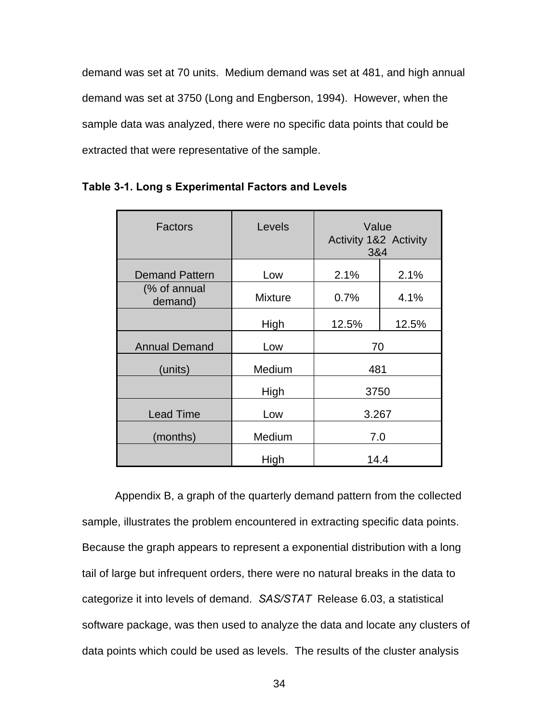demand was set at 70 units. Medium demand was set at 481, and high annual demand was set at 3750 (Long and Engberson, 1994). However, when the sample data was analyzed, there were no specific data points that could be extracted that were representative of the sample.

| Factors                 | Levels         | Value<br><b>Activity 1&amp;2 Activity</b><br>3&4 |       |
|-------------------------|----------------|--------------------------------------------------|-------|
| <b>Demand Pattern</b>   | Low            | 2.1%                                             | 2.1%  |
| (% of annual<br>demand) | <b>Mixture</b> | 0.7%                                             | 4.1%  |
|                         | High           | 12.5%                                            | 12.5% |
| <b>Annual Demand</b>    | Low            | 70                                               |       |
| (units)                 | Medium         | 481                                              |       |
|                         | High           | 3750                                             |       |
| <b>Lead Time</b>        | Low            | 3.267                                            |       |
| (months)                | Medium         | 7.0                                              |       |
|                         | High           | 14.4                                             |       |

**Table 3-1. Long's Experimental Factors and Levels**

Appendix B, a graph of the quarterly demand pattern from the collected sample, illustrates the problem encountered in extracting specific data points. Because the graph appears to represent a exponential distribution with a long tail of large but infrequent orders, there were no natural breaks in the data to categorize it into levels of demand. *SAS/STAT* Release 6.03, a statistical software package, was then used to analyze the data and locate any clusters of data points which could be used as levels. The results of the cluster analysis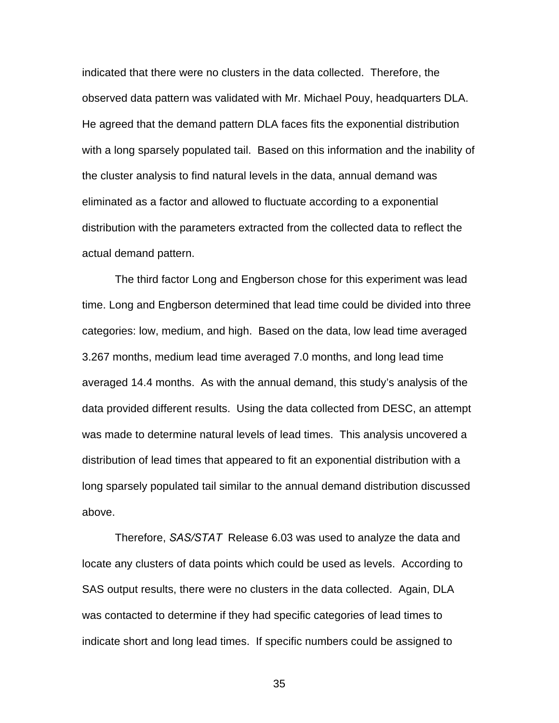indicated that there were no clusters in the data collected. Therefore, the observed data pattern was validated with Mr. Michael Pouy, headquarters DLA. He agreed that the demand pattern DLA faces fits the exponential distribution with a long sparsely populated tail. Based on this information and the inability of the cluster analysis to find natural levels in the data, annual demand was eliminated as a factor and allowed to fluctuate according to a exponential distribution with the parameters extracted from the collected data to reflect the actual demand pattern.

The third factor Long and Engberson chose for this experiment was lead time. Long and Engberson determined that lead time could be divided into three categories: low, medium, and high. Based on the data, low lead time averaged 3.267 months, medium lead time averaged 7.0 months, and long lead time averaged 14.4 months. As with the annual demand, this study's analysis of the data provided different results. Using the data collected from DESC, an attempt was made to determine natural levels of lead times. This analysis uncovered a distribution of lead times that appeared to fit an exponential distribution with a long sparsely populated tail similar to the annual demand distribution discussed above.

Therefore, *SAS/STAT* Release 6.03 was used to analyze the data and locate any clusters of data points which could be used as levels. According to SAS output results, there were no clusters in the data collected. Again, DLA was contacted to determine if they had specific categories of lead times to indicate short and long lead times. If specific numbers could be assigned to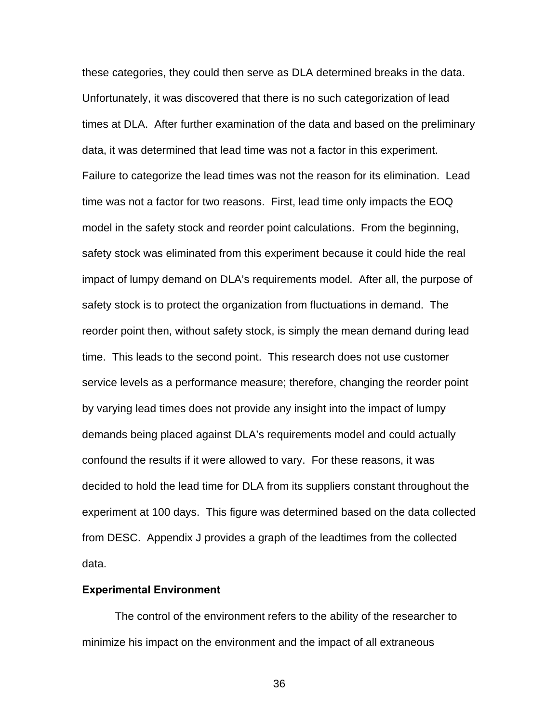these categories, they could then serve as DLA determined breaks in the data. Unfortunately, it was discovered that there is no such categorization of lead times at DLA. After further examination of the data and based on the preliminary data, it was determined that lead time was not a factor in this experiment. Failure to categorize the lead times was not the reason for its elimination. Lead time was not a factor for two reasons. First, lead time only impacts the EOQ model in the safety stock and reorder point calculations. From the beginning, safety stock was eliminated from this experiment because it could hide the real impact of lumpy demand on DLA's requirements model. After all, the purpose of safety stock is to protect the organization from fluctuations in demand. The reorder point then, without safety stock, is simply the mean demand during lead time. This leads to the second point. This research does not use customer service levels as a performance measure; therefore, changing the reorder point by varying lead times does not provide any insight into the impact of lumpy demands being placed against DLA's requirements model and could actually confound the results if it were allowed to vary. For these reasons, it was decided to hold the lead time for DLA from its suppliers constant throughout the experiment at 100 days. This figure was determined based on the data collected from DESC. Appendix J provides a graph of the leadtimes from the collected data.

## **Experimental Environment**

The control of the environment refers to the ability of the researcher to minimize his impact on the environment and the impact of all extraneous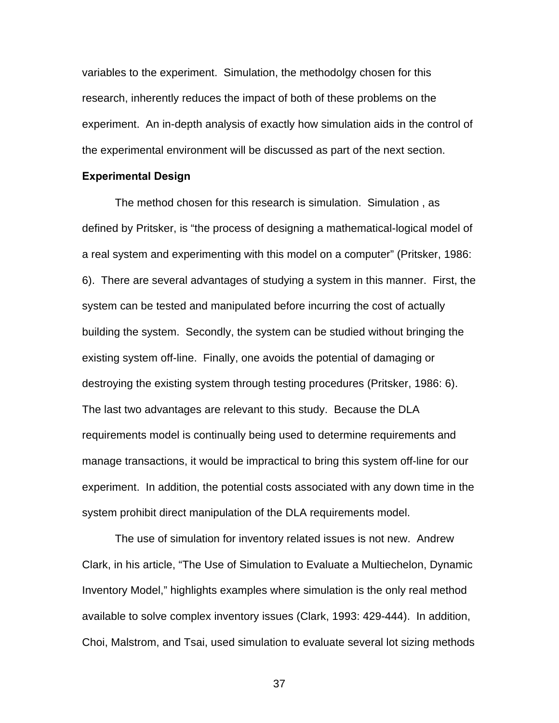variables to the experiment. Simulation, the methodolgy chosen for this research, inherently reduces the impact of both of these problems on the experiment. An in-depth analysis of exactly how simulation aids in the control of the experimental environment will be discussed as part of the next section.

### **Experimental Design**

The method chosen for this research is simulation. Simulation , as defined by Pritsker, is "the process of designing a mathematical-logical model of a real system and experimenting with this model on a computer" (Pritsker, 1986: 6). There are several advantages of studying a system in this manner. First, the system can be tested and manipulated before incurring the cost of actually building the system. Secondly, the system can be studied without bringing the existing system off-line. Finally, one avoids the potential of damaging or destroying the existing system through testing procedures (Pritsker, 1986: 6). The last two advantages are relevant to this study. Because the DLA requirements model is continually being used to determine requirements and manage transactions, it would be impractical to bring this system off-line for our experiment. In addition, the potential costs associated with any down time in the system prohibit direct manipulation of the DLA requirements model.

The use of simulation for inventory related issues is not new. Andrew Clark, in his article, "The Use of Simulation to Evaluate a Multiechelon, Dynamic Inventory Model," highlights examples where simulation is the only real method available to solve complex inventory issues (Clark, 1993: 429-444). In addition, Choi, Malstrom, and Tsai, used simulation to evaluate several lot sizing methods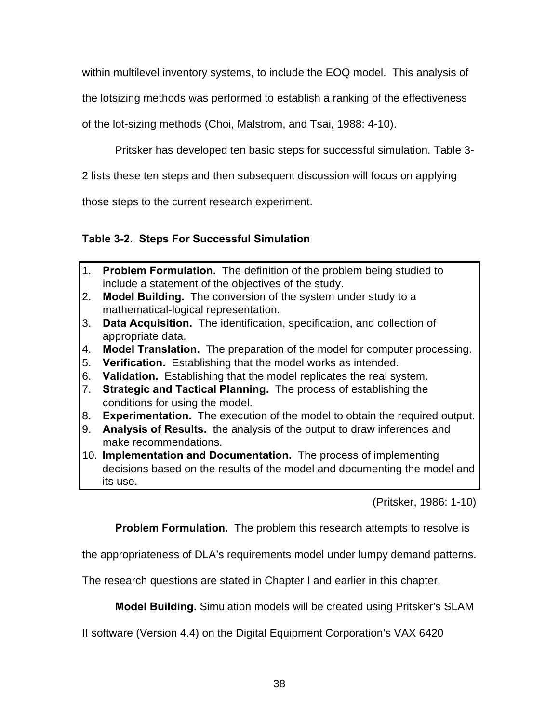within multilevel inventory systems, to include the EOQ model. This analysis of

the lotsizing methods was performed to establish a ranking of the effectiveness

of the lot-sizing methods (Choi, Malstrom, and Tsai, 1988: 4-10).

Pritsker has developed ten basic steps for successful simulation. Table 3-

2 lists these ten steps and then subsequent discussion will focus on applying

those steps to the current research experiment.

# **Table 3-2. Steps For Successful Simulation**

- 1. **Problem Formulation.** The definition of the problem being studied to include a statement of the objectives of the study.
- 2. **Model Building.** The conversion of the system under study to a mathematical-logical representation.
- 3. **Data Acquisition.** The identification, specification, and collection of appropriate data.
- 4. **Model Translation.** The preparation of the model for computer processing.
- 5. **Verification.** Establishing that the model works as intended.
- 6. **Validation.** Establishing that the model replicates the real system.
- 7. **Strategic and Tactical Planning.** The process of establishing the conditions for using the model.
- 8. **Experimentation.** The execution of the model to obtain the required output.
- 9. **Analysis of Results.** the analysis of the output to draw inferences and make recommendations.
- 10. **Implementation and Documentation.** The process of implementing decisions based on the results of the model and documenting the model and its use.

(Pritsker, 1986: 1-10)

**Problem Formulation.** The problem this research attempts to resolve is

the appropriateness of DLA's requirements model under lumpy demand patterns.

The research questions are stated in Chapter I and earlier in this chapter.

**Model Building.** Simulation models will be created using Pritsker's SLAM

II software (Version 4.4) on the Digital Equipment Corporation's VAX 6420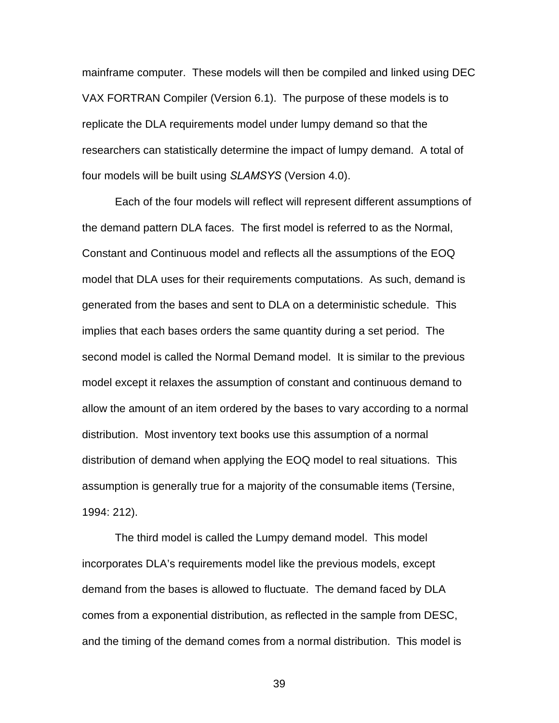mainframe computer. These models will then be compiled and linked using DEC VAX FORTRAN Compiler (Version 6.1). The purpose of these models is to replicate the DLA requirements model under lumpy demand so that the researchers can statistically determine the impact of lumpy demand. A total of four models will be built using *SLAMSYS* (Version 4.0).

Each of the four models will reflect will represent different assumptions of the demand pattern DLA faces. The first model is referred to as the Normal, Constant and Continuous model and reflects all the assumptions of the EOQ model that DLA uses for their requirements computations. As such, demand is generated from the bases and sent to DLA on a deterministic schedule. This implies that each bases orders the same quantity during a set period. The second model is called the Normal Demand model. It is similar to the previous model except it relaxes the assumption of constant and continuous demand to allow the amount of an item ordered by the bases to vary according to a normal distribution. Most inventory text books use this assumption of a normal distribution of demand when applying the EOQ model to real situations. This assumption is generally true for a majority of the consumable items (Tersine, 1994: 212).

The third model is called the Lumpy demand model. This model incorporates DLA's requirements model like the previous models, except demand from the bases is allowed to fluctuate. The demand faced by DLA comes from a exponential distribution, as reflected in the sample from DESC, and the timing of the demand comes from a normal distribution. This model is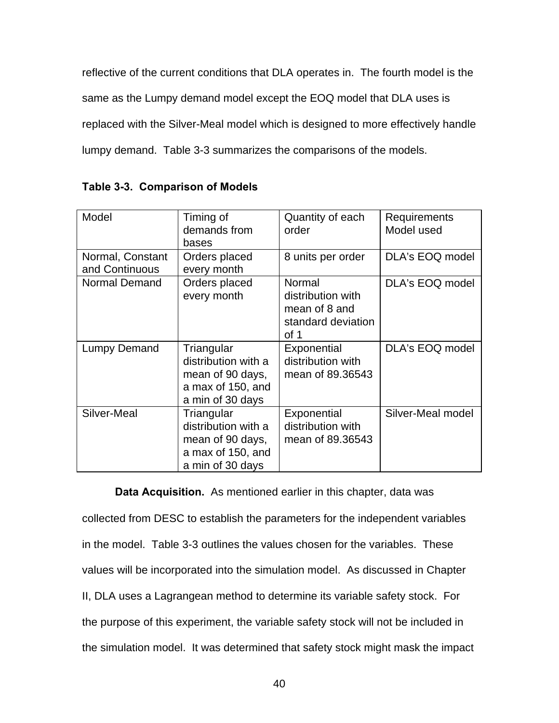reflective of the current conditions that DLA operates in. The fourth model is the same as the Lumpy demand model except the EOQ model that DLA uses is replaced with the Silver-Meal model which is designed to more effectively handle lumpy demand. Table 3-3 summarizes the comparisons of the models.

| Model                              | Timing of<br>demands from<br>bases                                                             | Quantity of each<br>order                                                  | Requirements<br>Model used |
|------------------------------------|------------------------------------------------------------------------------------------------|----------------------------------------------------------------------------|----------------------------|
| Normal, Constant<br>and Continuous | Orders placed<br>every month                                                                   | 8 units per order                                                          | DLA's EOQ model            |
| Normal Demand                      | Orders placed<br>every month                                                                   | Normal<br>distribution with<br>mean of 8 and<br>standard deviation<br>of 1 | DLA's EOQ model            |
| <b>Lumpy Demand</b>                | Triangular<br>distribution with a<br>mean of 90 days,<br>a max of 150, and<br>a min of 30 days | Exponential<br>distribution with<br>mean of 89.36543                       | DLA's EOQ model            |
| Silver-Meal                        | Triangular<br>distribution with a<br>mean of 90 days,<br>a max of 150, and<br>a min of 30 days | Exponential<br>distribution with<br>mean of 89.36543                       | Silver-Meal model          |

|  | <b>Table 3-3. Comparison of Models</b> |  |
|--|----------------------------------------|--|
|--|----------------------------------------|--|

**Data Acquisition.** As mentioned earlier in this chapter, data was collected from DESC to establish the parameters for the independent variables in the model. Table 3-3 outlines the values chosen for the variables. These values will be incorporated into the simulation model. As discussed in Chapter II, DLA uses a Lagrangean method to determine its variable safety stock. For the purpose of this experiment, the variable safety stock will not be included in the simulation model. It was determined that safety stock might mask the impact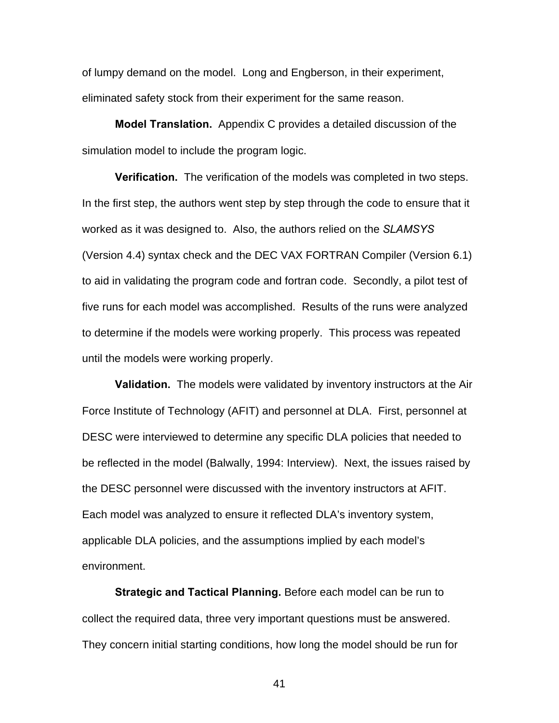of lumpy demand on the model. Long and Engberson, in their experiment, eliminated safety stock from their experiment for the same reason.

**Model Translation.** Appendix C provides a detailed discussion of the simulation model to include the program logic.

**Verification.** The verification of the models was completed in two steps. In the first step, the authors went step by step through the code to ensure that it worked as it was designed to. Also, the authors relied on the *SLAMSYS* (Version 4.4) syntax check and the DEC VAX FORTRAN Compiler (Version 6.1) to aid in validating the program code and fortran code. Secondly, a pilot test of five runs for each model was accomplished. Results of the runs were analyzed to determine if the models were working properly. This process was repeated until the models were working properly.

**Validation.** The models were validated by inventory instructors at the Air Force Institute of Technology (AFIT) and personnel at DLA. First, personnel at DESC were interviewed to determine any specific DLA policies that needed to be reflected in the model (Balwally, 1994: Interview). Next, the issues raised by the DESC personnel were discussed with the inventory instructors at AFIT. Each model was analyzed to ensure it reflected DLA's inventory system, applicable DLA policies, and the assumptions implied by each model's environment.

**Strategic and Tactical Planning.** Before each model can be run to collect the required data, three very important questions must be answered. They concern initial starting conditions, how long the model should be run for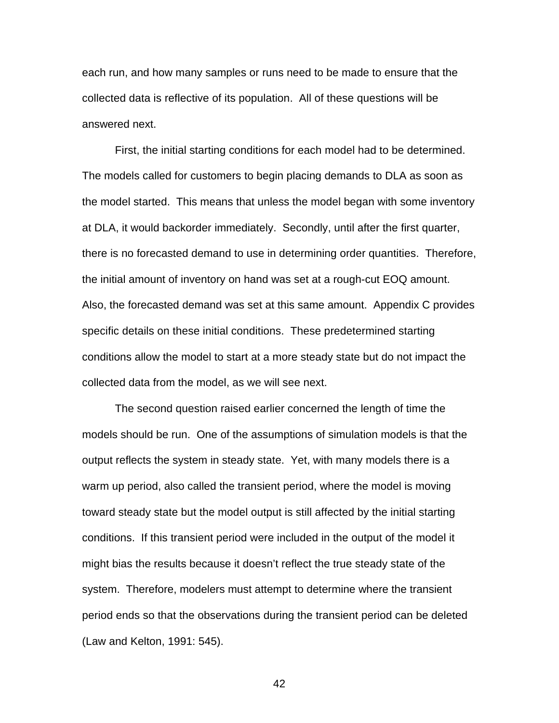each run, and how many samples or runs need to be made to ensure that the collected data is reflective of its population. All of these questions will be answered next.

First, the initial starting conditions for each model had to be determined. The models called for customers to begin placing demands to DLA as soon as the model started. This means that unless the model began with some inventory at DLA, it would backorder immediately. Secondly, until after the first quarter, there is no forecasted demand to use in determining order quantities. Therefore, the initial amount of inventory on hand was set at a rough-cut EOQ amount. Also, the forecasted demand was set at this same amount. Appendix C provides specific details on these initial conditions. These predetermined starting conditions allow the model to start at a more steady state but do not impact the collected data from the model, as we will see next.

The second question raised earlier concerned the length of time the models should be run. One of the assumptions of simulation models is that the output reflects the system in steady state. Yet, with many models there is a warm up period, also called the transient period, where the model is moving toward steady state but the model output is still affected by the initial starting conditions. If this transient period were included in the output of the model it might bias the results because it doesn't reflect the true steady state of the system. Therefore, modelers must attempt to determine where the transient period ends so that the observations during the transient period can be deleted (Law and Kelton, 1991: 545).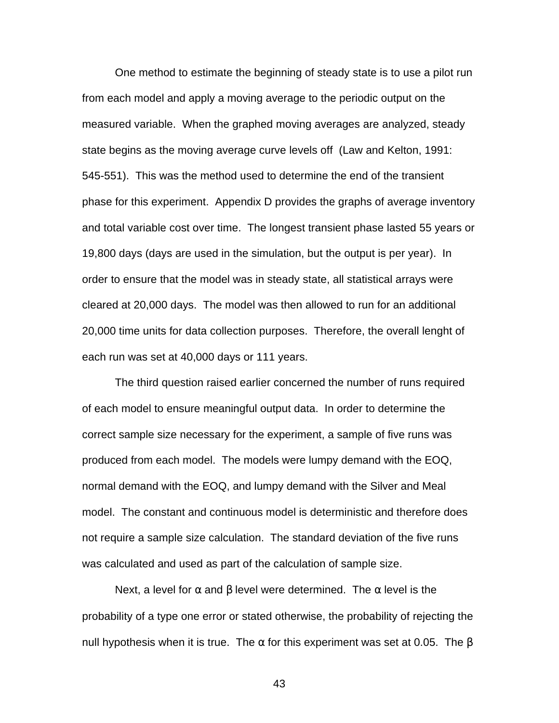One method to estimate the beginning of steady state is to use a pilot run from each model and apply a moving average to the periodic output on the measured variable. When the graphed moving averages are analyzed, steady state begins as the moving average curve levels off (Law and Kelton, 1991: 545-551). This was the method used to determine the end of the transient phase for this experiment. Appendix D provides the graphs of average inventory and total variable cost over time. The longest transient phase lasted 55 years or 19,800 days (days are used in the simulation, but the output is per year). In order to ensure that the model was in steady state, all statistical arrays were cleared at 20,000 days. The model was then allowed to run for an additional 20,000 time units for data collection purposes. Therefore, the overall lenght of each run was set at 40,000 days or 111 years.

The third question raised earlier concerned the number of runs required of each model to ensure meaningful output data. In order to determine the correct sample size necessary for the experiment, a sample of five runs was produced from each model. The models were lumpy demand with the EOQ, normal demand with the EOQ, and lumpy demand with the Silver and Meal model. The constant and continuous model is deterministic and therefore does not require a sample size calculation. The standard deviation of the five runs was calculated and used as part of the calculation of sample size.

Next, a level for  $\alpha$  and  $\beta$  level were determined. The  $\alpha$  level is the probability of a type one error or stated otherwise, the probability of rejecting the null hypothesis when it is true. The  $\alpha$  for this experiment was set at 0.05. The β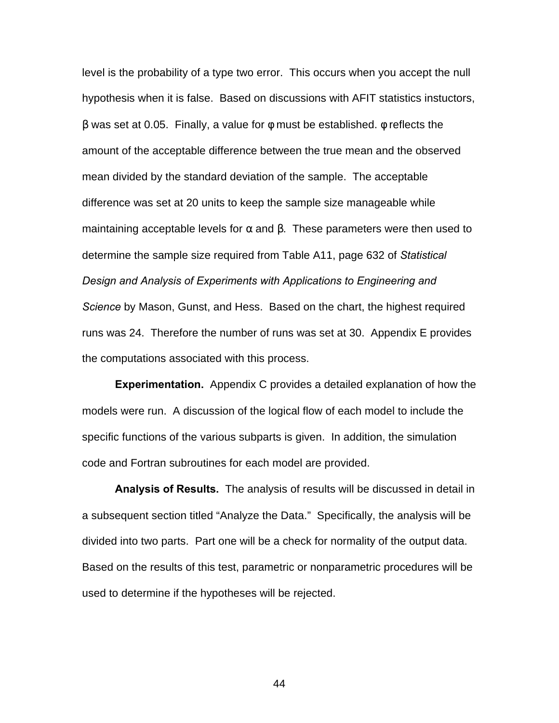level is the probability of a type two error. This occurs when you accept the null hypothesis when it is false. Based on discussions with AFIT statistics instuctors, β was set at 0.05. Finally, a value for φ must be established. φ reflects the amount of the acceptable difference between the true mean and the observed mean divided by the standard deviation of the sample. The acceptable difference was set at 20 units to keep the sample size manageable while maintaining acceptable levels for  $\alpha$  and  $\beta$ . These parameters were then used to determine the sample size required from Table A11, page 632 of *Statistical Design and Analysis of Experiments with Applications to Engineering and Science* by Mason, Gunst, and Hess. Based on the chart, the highest required runs was 24. Therefore the number of runs was set at 30. Appendix E provides the computations associated with this process.

**Experimentation.** Appendix C provides a detailed explanation of how the models were run. A discussion of the logical flow of each model to include the specific functions of the various subparts is given. In addition, the simulation code and Fortran subroutines for each model are provided.

**Analysis of Results.** The analysis of results will be discussed in detail in a subsequent section titled "Analyze the Data." Specifically, the analysis will be divided into two parts. Part one will be a check for normality of the output data. Based on the results of this test, parametric or nonparametric procedures will be used to determine if the hypotheses will be rejected.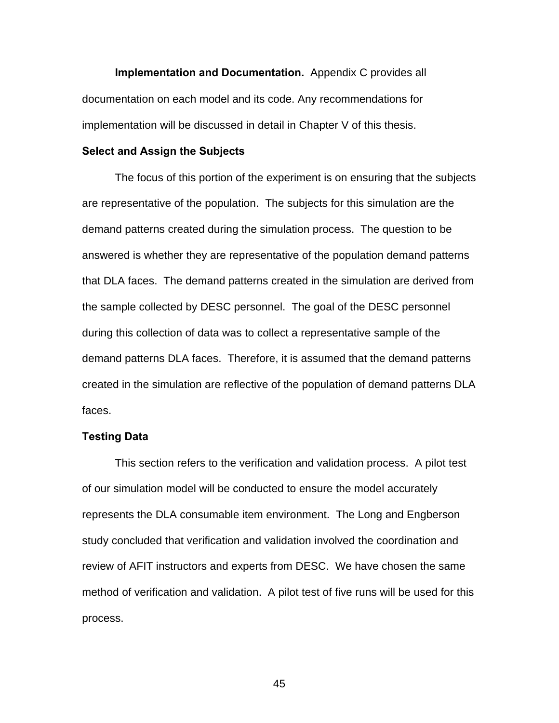**Implementation and Documentation.** Appendix C provides all documentation on each model and its code. Any recommendations for implementation will be discussed in detail in Chapter V of this thesis.

### **Select and Assign the Subjects**

The focus of this portion of the experiment is on ensuring that the subjects are representative of the population. The subjects for this simulation are the demand patterns created during the simulation process. The question to be answered is whether they are representative of the population demand patterns that DLA faces. The demand patterns created in the simulation are derived from the sample collected by DESC personnel. The goal of the DESC personnel during this collection of data was to collect a representative sample of the demand patterns DLA faces. Therefore, it is assumed that the demand patterns created in the simulation are reflective of the population of demand patterns DLA faces.

### **Testing Data**

This section refers to the verification and validation process. A pilot test of our simulation model will be conducted to ensure the model accurately represents the DLA consumable item environment. The Long and Engberson study concluded that verification and validation involved the coordination and review of AFIT instructors and experts from DESC. We have chosen the same method of verification and validation. A pilot test of five runs will be used for this process.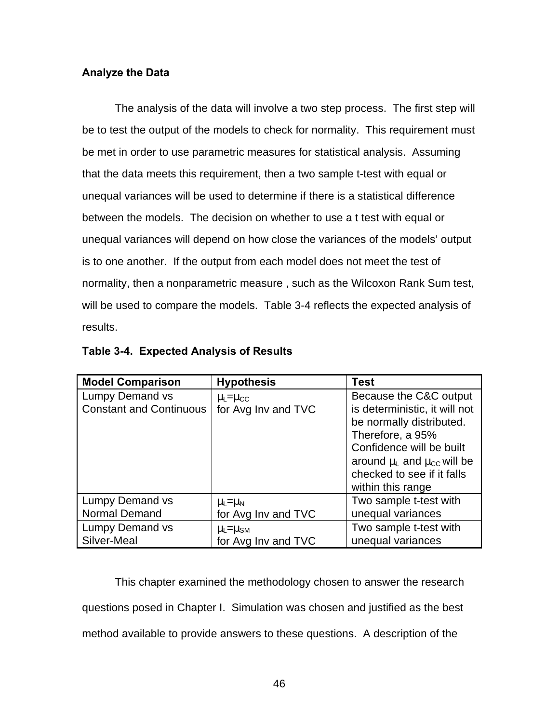## **Analyze the Data**

The analysis of the data will involve a two step process. The first step will be to test the output of the models to check for normality. This requirement must be met in order to use parametric measures for statistical analysis. Assuming that the data meets this requirement, then a two sample t-test with equal or unequal variances will be used to determine if there is a statistical difference between the models. The decision on whether to use a t test with equal or unequal variances will depend on how close the variances of the models' output is to one another. If the output from each model does not meet the test of normality, then a nonparametric measure , such as the Wilcoxon Rank Sum test, will be used to compare the models. Table 3-4 reflects the expected analysis of results.

| <b>Model Comparison</b>        | <b>Hypothesis</b>                        | <b>Test</b>                                               |
|--------------------------------|------------------------------------------|-----------------------------------------------------------|
| <b>Lumpy Demand vs</b>         | $\mu$ <sub>L</sub> = $\mu$ <sub>CC</sub> | Because the C&C output                                    |
| <b>Constant and Continuous</b> | for Avg Inv and TVC                      | is deterministic, it will not                             |
|                                |                                          | be normally distributed.                                  |
|                                |                                          | Therefore, a 95%                                          |
|                                |                                          | Confidence will be built                                  |
|                                |                                          | around $\mu$ <sub>L</sub> and $\mu$ <sub>cc</sub> will be |
|                                |                                          | checked to see if it falls                                |
|                                |                                          | within this range                                         |
| Lumpy Demand vs                | $\mu_L = \mu_N$                          | Two sample t-test with                                    |
| Normal Demand                  | for Avg Inv and TVC                      | unequal variances                                         |
| Lumpy Demand vs                | $\mu_{L} = \mu_{SM}$                     | Two sample t-test with                                    |
| Silver-Meal                    | for Avg Inv and TVC                      | unequal variances                                         |

## **Table 3-4. Expected Analysis of Results**

This chapter examined the methodology chosen to answer the research questions posed in Chapter I. Simulation was chosen and justified as the best method available to provide answers to these questions. A description of the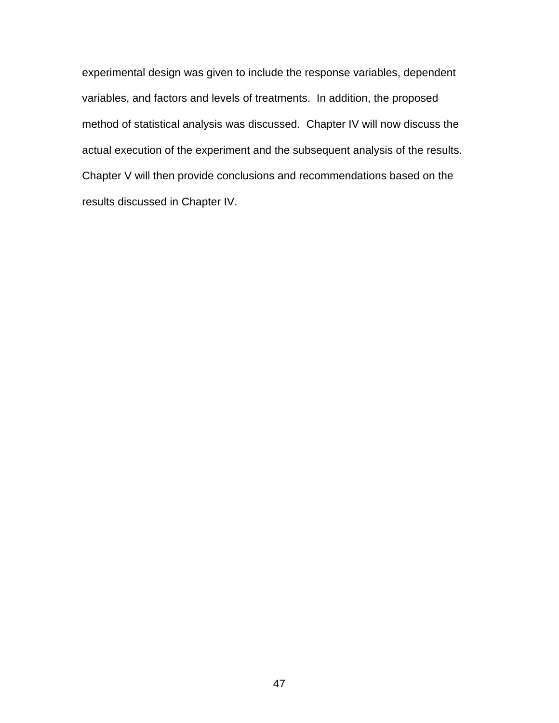experimental design was given to include the response variables, dependent variables, and factors and levels of treatments. In addition, the proposed method of statistical analysis was discussed. Chapter IV will now discuss the actual execution of the experiment and the subsequent analysis of the results. Chapter V will then provide conclusions and recommendations based on the results discussed in Chapter IV.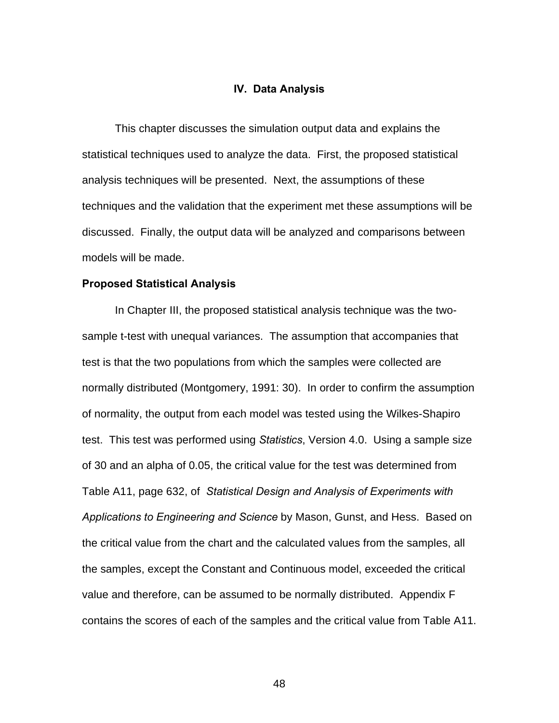#### **IV. Data Analysis**

This chapter discusses the simulation output data and explains the statistical techniques used to analyze the data. First, the proposed statistical analysis techniques will be presented. Next, the assumptions of these techniques and the validation that the experiment met these assumptions will be discussed. Finally, the output data will be analyzed and comparisons between models will be made.

#### **Proposed Statistical Analysis**

In Chapter III, the proposed statistical analysis technique was the twosample t-test with unequal variances. The assumption that accompanies that test is that the two populations from which the samples were collected are normally distributed (Montgomery, 1991: 30). In order to confirm the assumption of normality, the output from each model was tested using the Wilkes-Shapiro test. This test was performed using *Statistics*, Version 4.0. Using a sample size of 30 and an alpha of 0.05, the critical value for the test was determined from Table A11, page 632, of *Statistical Design and Analysis of Experiments with Applications to Engineering and Science* by Mason, Gunst, and Hess. Based on the critical value from the chart and the calculated values from the samples, all the samples, except the Constant and Continuous model, exceeded the critical value and therefore, can be assumed to be normally distributed. Appendix F contains the scores of each of the samples and the critical value from Table A11.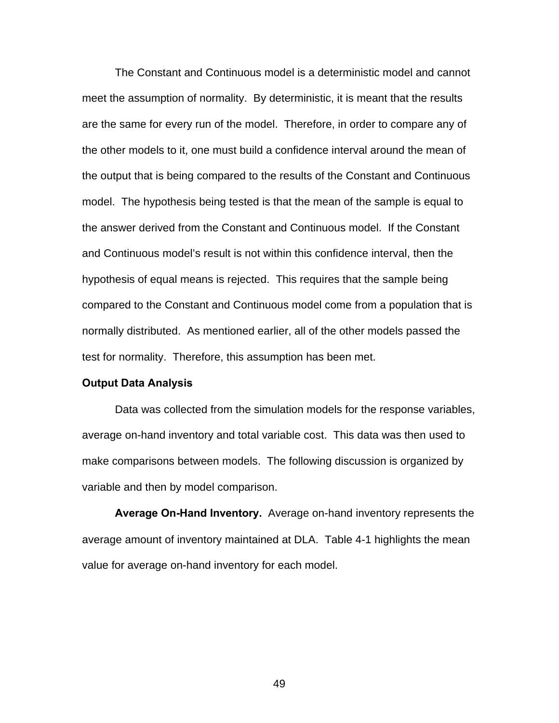The Constant and Continuous model is a deterministic model and cannot meet the assumption of normality. By deterministic, it is meant that the results are the same for every run of the model. Therefore, in order to compare any of the other models to it, one must build a confidence interval around the mean of the output that is being compared to the results of the Constant and Continuous model. The hypothesis being tested is that the mean of the sample is equal to the answer derived from the Constant and Continuous model. If the Constant and Continuous model's result is not within this confidence interval, then the hypothesis of equal means is rejected. This requires that the sample being compared to the Constant and Continuous model come from a population that is normally distributed. As mentioned earlier, all of the other models passed the test for normality. Therefore, this assumption has been met.

### **Output Data Analysis**

Data was collected from the simulation models for the response variables, average on-hand inventory and total variable cost. This data was then used to make comparisons between models. The following discussion is organized by variable and then by model comparison.

**Average On-Hand Inventory.** Average on-hand inventory represents the average amount of inventory maintained at DLA. Table 4-1 highlights the mean value for average on-hand inventory for each model.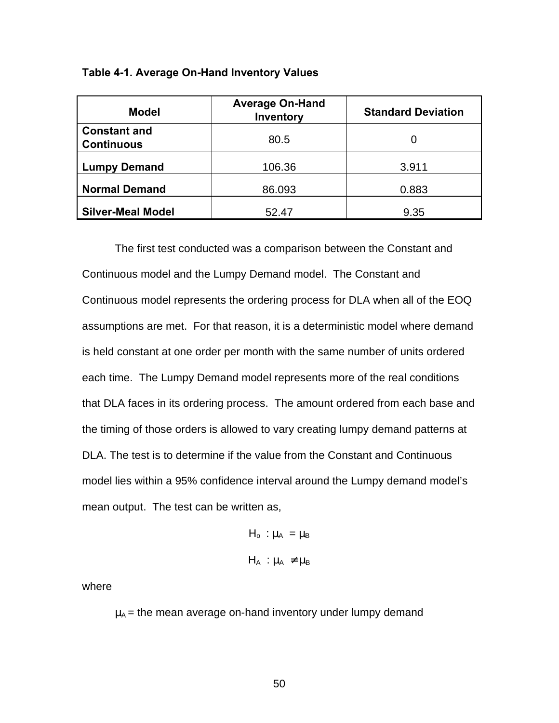| <b>Model</b>                             | <b>Average On-Hand</b><br>Inventory | <b>Standard Deviation</b> |
|------------------------------------------|-------------------------------------|---------------------------|
| <b>Constant and</b><br><b>Continuous</b> | 80.5                                | 0                         |
| <b>Lumpy Demand</b>                      | 106.36                              | 3.911                     |
| <b>Normal Demand</b>                     | 86.093                              | 0.883                     |
| <b>Silver-Meal Model</b>                 | 52.47                               | 9.35                      |

**Table 4-1. Average On-Hand Inventory Values**

The first test conducted was a comparison between the Constant and Continuous model and the Lumpy Demand model. The Constant and Continuous model represents the ordering process for DLA when all of the EOQ assumptions are met. For that reason, it is a deterministic model where demand is held constant at one order per month with the same number of units ordered each time. The Lumpy Demand model represents more of the real conditions that DLA faces in its ordering process. The amount ordered from each base and the timing of those orders is allowed to vary creating lumpy demand patterns at DLA. The test is to determine if the value from the Constant and Continuous model lies within a 95% confidence interval around the Lumpy demand model's mean output. The test can be written as,

> $H_o$  :  $\mu_A$  =  $\mu_B$  $H_A$  :  $\mu_A \neq \mu_B$

where

 $\mu_A$  = the mean average on-hand inventory under lumpy demand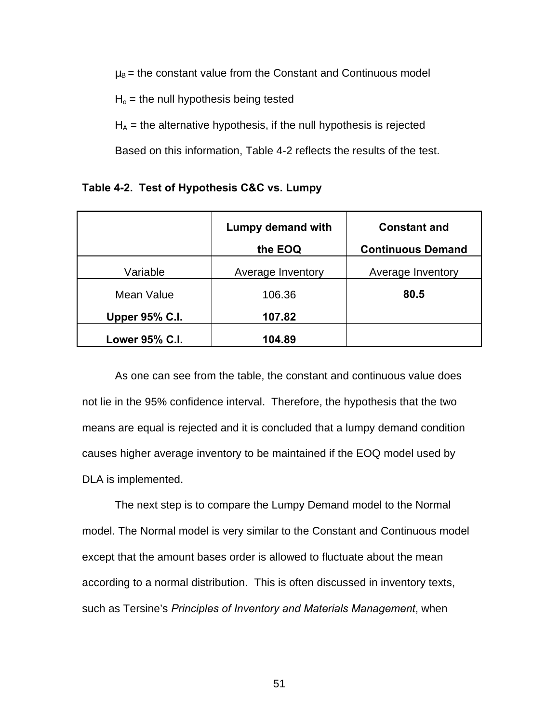$\mu_B$  = the constant value from the Constant and Continuous model

 $H<sub>o</sub>$  = the null hypothesis being tested

 $H_A$  = the alternative hypothesis, if the null hypothesis is rejected

Based on this information, Table 4-2 reflects the results of the test.

|                       | <b>Lumpy demand with</b><br>the EOQ | <b>Constant and</b><br><b>Continuous Demand</b> |
|-----------------------|-------------------------------------|-------------------------------------------------|
| Variable              | Average Inventory                   | Average Inventory                               |
| Mean Value            | 106.36                              | 80.5                                            |
| <b>Upper 95% C.I.</b> | 107.82                              |                                                 |
| Lower 95% C.I.        | 104.89                              |                                                 |

| Table 4-2. Test of Hypothesis C&C vs. Lumpy |
|---------------------------------------------|
|---------------------------------------------|

As one can see from the table, the constant and continuous value does not lie in the 95% confidence interval. Therefore, the hypothesis that the two means are equal is rejected and it is concluded that a lumpy demand condition causes higher average inventory to be maintained if the EOQ model used by DLA is implemented.

The next step is to compare the Lumpy Demand model to the Normal model. The Normal model is very similar to the Constant and Continuous model except that the amount bases order is allowed to fluctuate about the mean according to a normal distribution. This is often discussed in inventory texts, such as Tersine's *Principles of Inventory and Materials Management*, when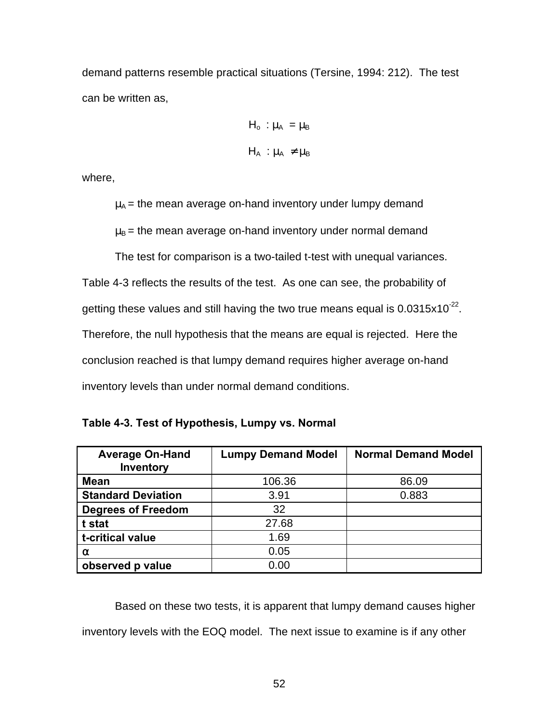demand patterns resemble practical situations (Tersine, 1994: 212). The test can be written as,

$$
H_o : \mu_A = \mu_B
$$
  

$$
H_A : \mu_A \neq \mu_B
$$

where,

 $\mu_A$  = the mean average on-hand inventory under lumpy demand

 $\mu_B$  = the mean average on-hand inventory under normal demand

The test for comparison is a two-tailed t-test with unequal variances.

Table 4-3 reflects the results of the test. As one can see, the probability of getting these values and still having the two true means equal is  $0.0315x10^{-22}$ . Therefore, the null hypothesis that the means are equal is rejected. Here the conclusion reached is that lumpy demand requires higher average on-hand inventory levels than under normal demand conditions.

|  |  | Table 4-3. Test of Hypothesis, Lumpy vs. Normal |  |  |
|--|--|-------------------------------------------------|--|--|
|--|--|-------------------------------------------------|--|--|

| <b>Average On-Hand</b><br>Inventory | <b>Lumpy Demand Model</b> | <b>Normal Demand Model</b> |
|-------------------------------------|---------------------------|----------------------------|
| <b>Mean</b>                         | 106.36                    | 86.09                      |
| <b>Standard Deviation</b>           | 3.91                      | 0.883                      |
| <b>Degrees of Freedom</b>           | 32                        |                            |
| t stat                              | 27.68                     |                            |
| t-critical value                    | 1.69                      |                            |
| $\alpha$                            | 0.05                      |                            |
| observed p value                    | 0.00                      |                            |

Based on these two tests, it is apparent that lumpy demand causes higher inventory levels with the EOQ model. The next issue to examine is if any other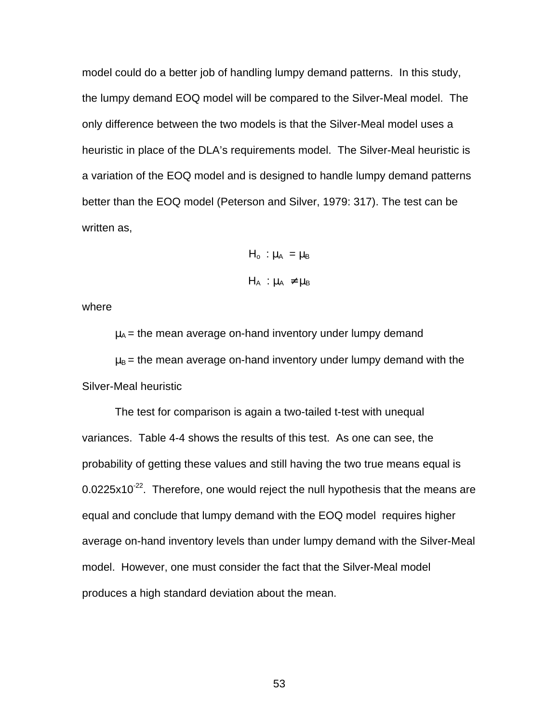model could do a better job of handling lumpy demand patterns. In this study, the lumpy demand EOQ model will be compared to the Silver-Meal model. The only difference between the two models is that the Silver-Meal model uses a heuristic in place of the DLA's requirements model. The Silver-Meal heuristic is a variation of the EOQ model and is designed to handle lumpy demand patterns better than the EOQ model (Peterson and Silver, 1979: 317). The test can be written as,

$$
H_o : \mu_A = \mu_B
$$
  

$$
H_A : \mu_A \neq \mu_B
$$

where

 $\mu_A$  = the mean average on-hand inventory under lumpy demand  $\mu_B$  = the mean average on-hand inventory under lumpy demand with the Silver-Meal heuristic

The test for comparison is again a two-tailed t-test with unequal variances. Table 4-4 shows the results of this test. As one can see, the probability of getting these values and still having the two true means equal is  $0.0225x10^{-22}$ . Therefore, one would reject the null hypothesis that the means are equal and conclude that lumpy demand with the EOQ model requires higher average on-hand inventory levels than under lumpy demand with the Silver-Meal model. However, one must consider the fact that the Silver-Meal model produces a high standard deviation about the mean.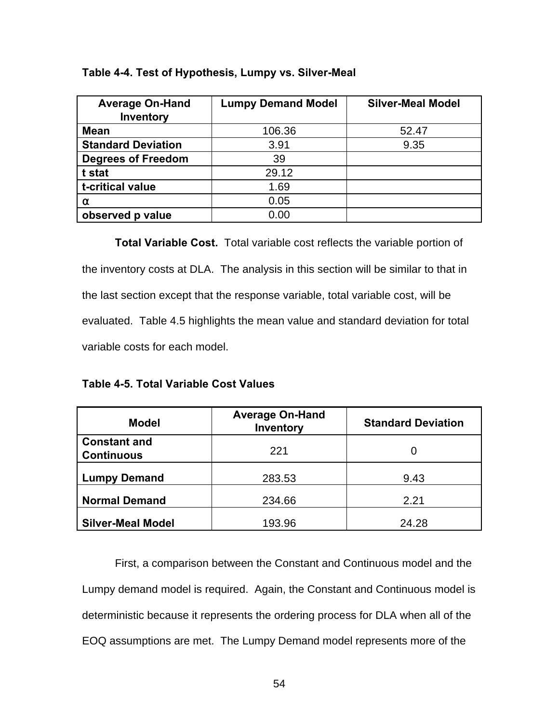| <b>Average On-Hand</b><br><b>Inventory</b> | <b>Lumpy Demand Model</b> | <b>Silver-Meal Model</b> |
|--------------------------------------------|---------------------------|--------------------------|
| <b>Mean</b>                                | 106.36                    | 52.47                    |
| <b>Standard Deviation</b>                  | 3.91                      | 9.35                     |
| <b>Degrees of Freedom</b>                  | 39                        |                          |
| t stat                                     | 29.12                     |                          |
| t-critical value                           | 1.69                      |                          |
| $\alpha$                                   | 0.05                      |                          |
| observed p value                           | 0.00                      |                          |

## **Table 4-4. Test of Hypothesis, Lumpy vs. Silver-Meal**

**Total Variable Cost.** Total variable cost reflects the variable portion of the inventory costs at DLA. The analysis in this section will be similar to that in the last section except that the response variable, total variable cost, will be evaluated. Table 4.5 highlights the mean value and standard deviation for total variable costs for each model.

**Table 4-5. Total Variable Cost Values**

| <b>Model</b>                             | <b>Average On-Hand</b><br>Inventory | <b>Standard Deviation</b> |
|------------------------------------------|-------------------------------------|---------------------------|
| <b>Constant and</b><br><b>Continuous</b> | 221                                 | O                         |
| <b>Lumpy Demand</b>                      | 283.53                              | 9.43                      |
| <b>Normal Demand</b>                     | 234.66                              | 2.21                      |
| <b>Silver-Meal Model</b>                 | 193.96                              | 24.28                     |

First, a comparison between the Constant and Continuous model and the Lumpy demand model is required. Again, the Constant and Continuous model is deterministic because it represents the ordering process for DLA when all of the EOQ assumptions are met. The Lumpy Demand model represents more of the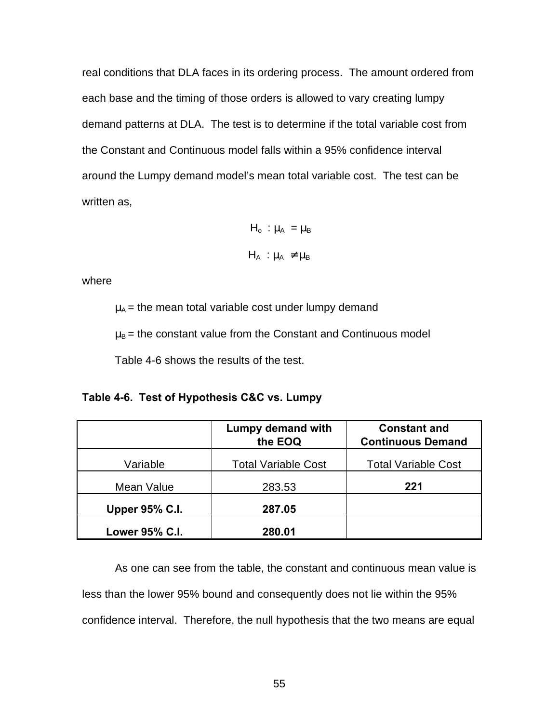real conditions that DLA faces in its ordering process. The amount ordered from each base and the timing of those orders is allowed to vary creating lumpy demand patterns at DLA. The test is to determine if the total variable cost from the Constant and Continuous model falls within a 95% confidence interval around the Lumpy demand model's mean total variable cost. The test can be written as,

$$
H_o: \mu_A = \mu_B
$$
  

$$
H_A: \mu_A \neq \mu_B
$$

where

 $\mu_A$  = the mean total variable cost under lumpy demand

 $\mu_B$  = the constant value from the Constant and Continuous model

Table 4-6 shows the results of the test.

**Table 4-6. Test of Hypothesis C&C vs. Lumpy**

|                       | Lumpy demand with<br>the EOQ | <b>Constant and</b><br><b>Continuous Demand</b> |
|-----------------------|------------------------------|-------------------------------------------------|
| Variable              | <b>Total Variable Cost</b>   | <b>Total Variable Cost</b>                      |
| Mean Value            | 283.53                       | 221                                             |
| <b>Upper 95% C.I.</b> | 287.05                       |                                                 |
| Lower 95% C.I.        | 280.01                       |                                                 |

As one can see from the table, the constant and continuous mean value is less than the lower 95% bound and consequently does not lie within the 95% confidence interval. Therefore, the null hypothesis that the two means are equal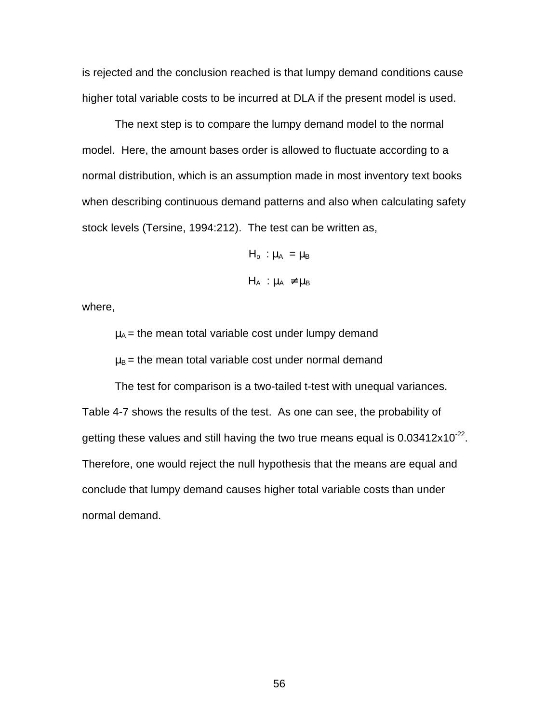is rejected and the conclusion reached is that lumpy demand conditions cause higher total variable costs to be incurred at DLA if the present model is used.

The next step is to compare the lumpy demand model to the normal model. Here, the amount bases order is allowed to fluctuate according to a normal distribution, which is an assumption made in most inventory text books when describing continuous demand patterns and also when calculating safety stock levels (Tersine, 1994:212). The test can be written as,

> $H_o$  :  $\mu_A$  =  $\mu_B$  $H_A$  :  $\mu_A \neq \mu_B$

where,

 $\mu_A$  = the mean total variable cost under lumpy demand

 $\mu_B$  = the mean total variable cost under normal demand

The test for comparison is a two-tailed t-test with unequal variances. Table 4-7 shows the results of the test. As one can see, the probability of getting these values and still having the two true means equal is  $0.03412 \times 10^{-22}$ . Therefore, one would reject the null hypothesis that the means are equal and conclude that lumpy demand causes higher total variable costs than under normal demand.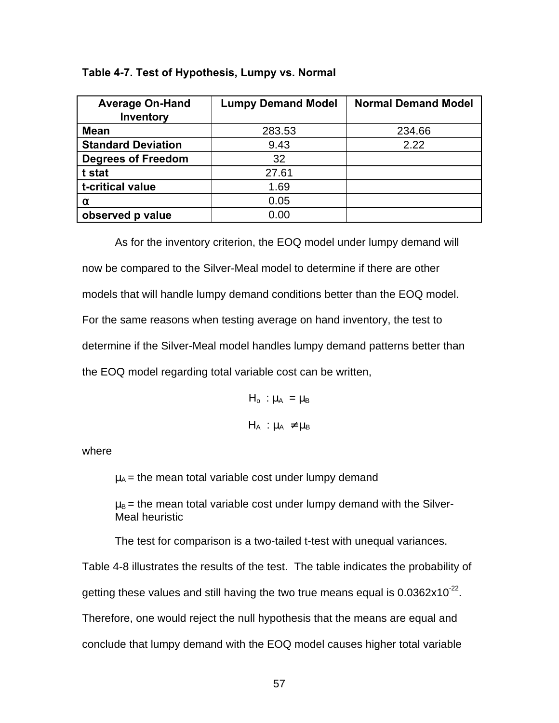| <b>Average On-Hand</b><br>Inventory | <b>Lumpy Demand Model</b> | <b>Normal Demand Model</b> |
|-------------------------------------|---------------------------|----------------------------|
| <b>Mean</b>                         | 283.53                    | 234.66                     |
| <b>Standard Deviation</b>           | 9.43                      | 2.22                       |
| <b>Degrees of Freedom</b>           | 32                        |                            |
| t stat                              | 27.61                     |                            |
| t-critical value                    | 1.69                      |                            |
| $\alpha$                            | 0.05                      |                            |
| observed p value                    | 0.00                      |                            |

## **Table 4-7. Test of Hypothesis, Lumpy vs. Normal**

As for the inventory criterion, the EOQ model under lumpy demand will now be compared to the Silver-Meal model to determine if there are other models that will handle lumpy demand conditions better than the EOQ model. For the same reasons when testing average on hand inventory, the test to determine if the Silver-Meal model handles lumpy demand patterns better than the EOQ model regarding total variable cost can be written,

> $H_o$  :  $\mu_A$  =  $\mu_B$  $H_A$  :  $\mu_A \neq \mu_B$

where

 $\mu_A$  = the mean total variable cost under lumpy demand

 $\mu_B$  = the mean total variable cost under lumpy demand with the Silver-Meal heuristic

The test for comparison is a two-tailed t-test with unequal variances.

Table 4-8 illustrates the results of the test. The table indicates the probability of getting these values and still having the two true means equal is  $0.0362 \times 10^{-22}$ . Therefore, one would reject the null hypothesis that the means are equal and conclude that lumpy demand with the EOQ model causes higher total variable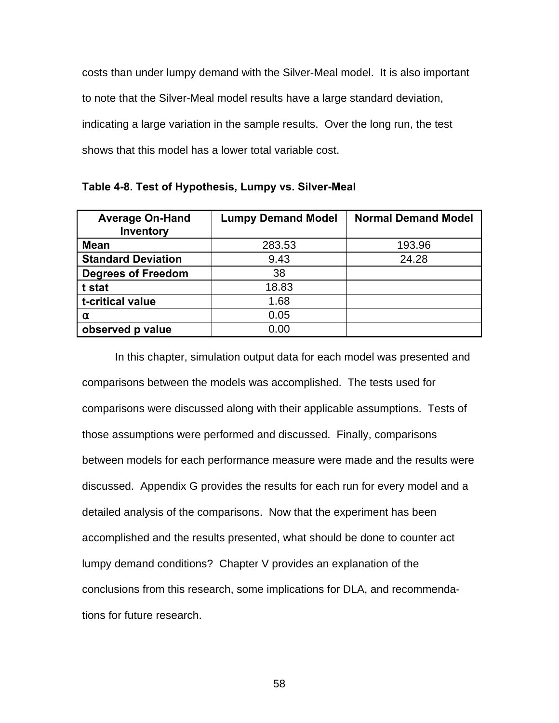costs than under lumpy demand with the Silver-Meal model. It is also important to note that the Silver-Meal model results have a large standard deviation, indicating a large variation in the sample results. Over the long run, the test shows that this model has a lower total variable cost.

| Table 4-8. Test of Hypothesis, Lumpy vs. Silver-Meal |  |
|------------------------------------------------------|--|
|------------------------------------------------------|--|

| <b>Average On-Hand</b><br>Inventory | <b>Lumpy Demand Model</b> | <b>Normal Demand Model</b> |
|-------------------------------------|---------------------------|----------------------------|
| <b>Mean</b>                         | 283.53                    | 193.96                     |
| <b>Standard Deviation</b>           | 9.43                      | 24.28                      |
| <b>Degrees of Freedom</b>           | 38                        |                            |
| t stat                              | 18.83                     |                            |
| t-critical value                    | 1.68                      |                            |
| $\alpha$                            | 0.05                      |                            |
| observed p value                    | 0.00                      |                            |

In this chapter, simulation output data for each model was presented and comparisons between the models was accomplished. The tests used for comparisons were discussed along with their applicable assumptions. Tests of those assumptions were performed and discussed. Finally, comparisons between models for each performance measure were made and the results were discussed. Appendix G provides the results for each run for every model and a detailed analysis of the comparisons. Now that the experiment has been accomplished and the results presented, what should be done to counter act lumpy demand conditions? Chapter V provides an explanation of the conclusions from this research, some implications for DLA, and recommendations for future research.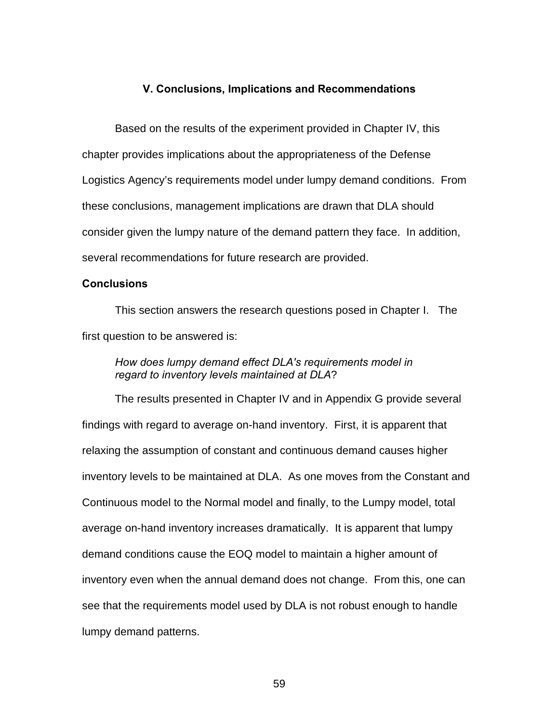#### **V. Conclusions, Implications and Recommendations**

Based on the results of the experiment provided in Chapter IV, this chapter provides implications about the appropriateness of the Defense Logistics Agency's requirements model under lumpy demand conditions. From these conclusions, management implications are drawn that DLA should consider given the lumpy nature of the demand pattern they face. In addition, several recommendations for future research are provided.

#### **Conclusions**

This section answers the research questions posed in Chapter I. The first question to be answered is:

## *How does lumpy demand effect DLA's requirements model in regard to inventory levels maintained at DLA*?

The results presented in Chapter IV and in Appendix G provide several findings with regard to average on-hand inventory. First, it is apparent that relaxing the assumption of constant and continuous demand causes higher inventory levels to be maintained at DLA. As one moves from the Constant and Continuous model to the Normal model and finally, to the Lumpy model, total average on-hand inventory increases dramatically. It is apparent that lumpy demand conditions cause the EOQ model to maintain a higher amount of inventory even when the annual demand does not change. From this, one can see that the requirements model used by DLA is not robust enough to handle lumpy demand patterns.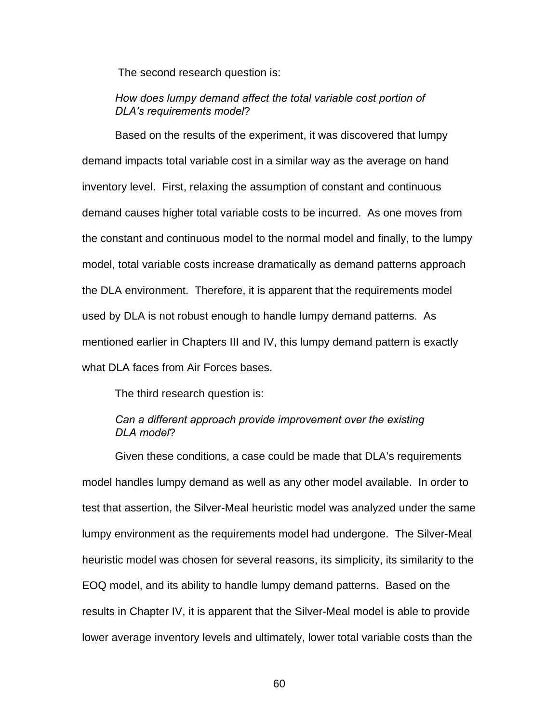The second research question is:

*How does lumpy demand affect the total variable cost portion of DLA's requirements model*?

Based on the results of the experiment, it was discovered that lumpy demand impacts total variable cost in a similar way as the average on hand inventory level. First, relaxing the assumption of constant and continuous demand causes higher total variable costs to be incurred. As one moves from the constant and continuous model to the normal model and finally, to the lumpy model, total variable costs increase dramatically as demand patterns approach the DLA environment. Therefore, it is apparent that the requirements model used by DLA is not robust enough to handle lumpy demand patterns. As mentioned earlier in Chapters III and IV, this lumpy demand pattern is exactly what DLA faces from Air Forces bases.

The third research question is:

## *Can a different approach provide improvement over the existing DLA model*?

Given these conditions, a case could be made that DLA's requirements model handles lumpy demand as well as any other model available. In order to test that assertion, the Silver-Meal heuristic model was analyzed under the same lumpy environment as the requirements model had undergone. The Silver-Meal heuristic model was chosen for several reasons, its simplicity, its similarity to the EOQ model, and its ability to handle lumpy demand patterns. Based on the results in Chapter IV, it is apparent that the Silver-Meal model is able to provide lower average inventory levels and ultimately, lower total variable costs than the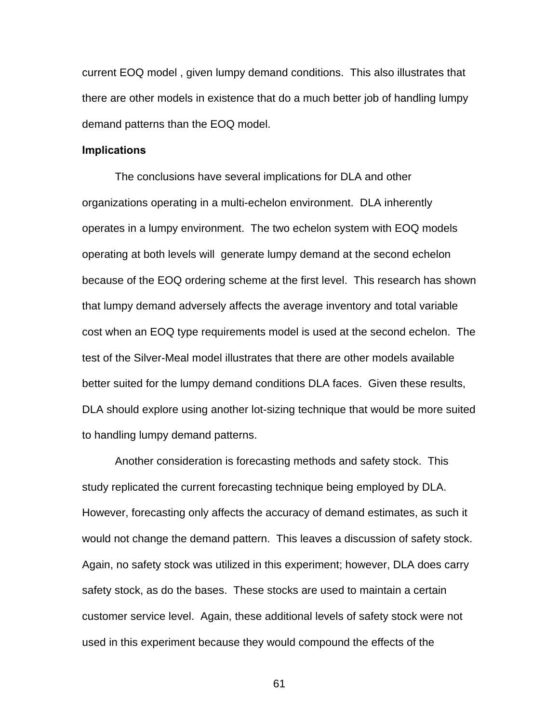current EOQ model , given lumpy demand conditions. This also illustrates that there are other models in existence that do a much better job of handling lumpy demand patterns than the EOQ model.

#### **Implications**

The conclusions have several implications for DLA and other organizations operating in a multi-echelon environment. DLA inherently operates in a lumpy environment. The two echelon system with EOQ models operating at both levels will generate lumpy demand at the second echelon because of the EOQ ordering scheme at the first level. This research has shown that lumpy demand adversely affects the average inventory and total variable cost when an EOQ type requirements model is used at the second echelon. The test of the Silver-Meal model illustrates that there are other models available better suited for the lumpy demand conditions DLA faces. Given these results, DLA should explore using another lot-sizing technique that would be more suited to handling lumpy demand patterns.

Another consideration is forecasting methods and safety stock. This study replicated the current forecasting technique being employed by DLA. However, forecasting only affects the accuracy of demand estimates, as such it would not change the demand pattern. This leaves a discussion of safety stock. Again, no safety stock was utilized in this experiment; however, DLA does carry safety stock, as do the bases. These stocks are used to maintain a certain customer service level. Again, these additional levels of safety stock were not used in this experiment because they would compound the effects of the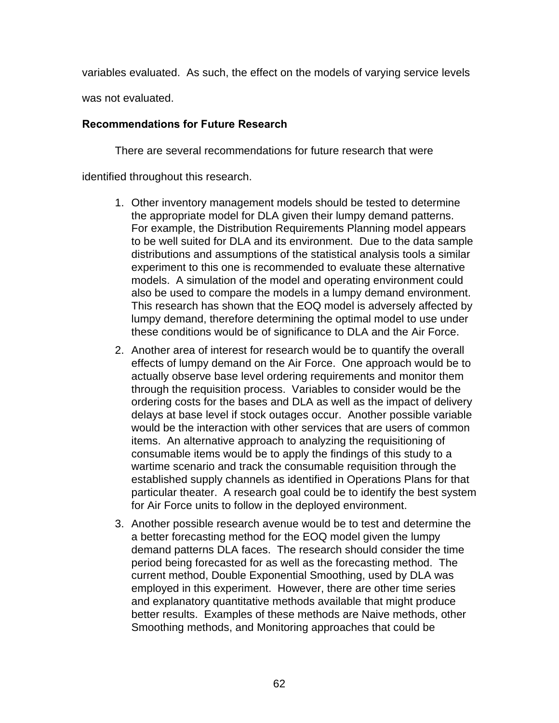variables evaluated. As such, the effect on the models of varying service levels

was not evaluated.

# **Recommendations for Future Research**

There are several recommendations for future research that were

identified throughout this research.

- 1. Other inventory management models should be tested to determine the appropriate model for DLA given their lumpy demand patterns. For example, the Distribution Requirements Planning model appears to be well suited for DLA and its environment. Due to the data sample distributions and assumptions of the statistical analysis tools a similar experiment to this one is recommended to evaluate these alternative models. A simulation of the model and operating environment could also be used to compare the models in a lumpy demand environment. This research has shown that the EOQ model is adversely affected by lumpy demand, therefore determining the optimal model to use under these conditions would be of significance to DLA and the Air Force.
- 2. Another area of interest for research would be to quantify the overall effects of lumpy demand on the Air Force. One approach would be to actually observe base level ordering requirements and monitor them through the requisition process. Variables to consider would be the ordering costs for the bases and DLA as well as the impact of delivery delays at base level if stock outages occur. Another possible variable would be the interaction with other services that are users of common items. An alternative approach to analyzing the requisitioning of consumable items would be to apply the findings of this study to a wartime scenario and track the consumable requisition through the established supply channels as identified in Operations Plans for that particular theater. A research goal could be to identify the best system for Air Force units to follow in the deployed environment.
- 3. Another possible research avenue would be to test and determine the a better forecasting method for the EOQ model given the lumpy demand patterns DLA faces. The research should consider the time period being forecasted for as well as the forecasting method. The current method, Double Exponential Smoothing, used by DLA was employed in this experiment. However, there are other time series and explanatory quantitative methods available that might produce better results. Examples of these methods are Naive methods, other Smoothing methods, and Monitoring approaches that could be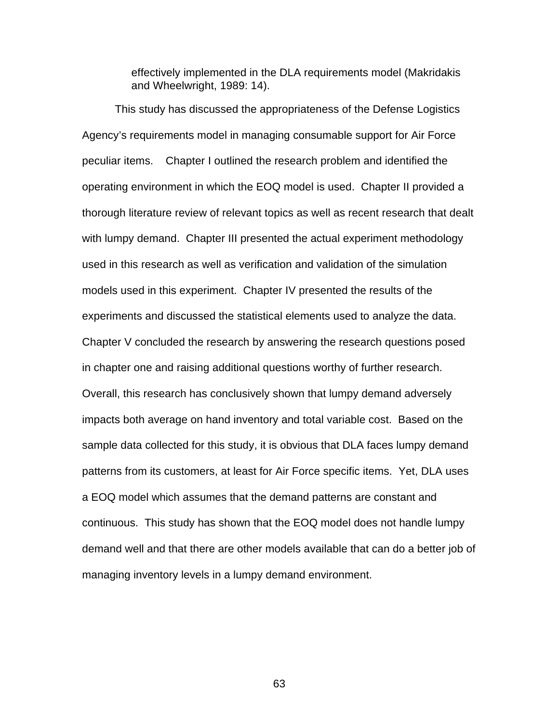effectively implemented in the DLA requirements model (Makridakis and Wheelwright, 1989: 14).

This study has discussed the appropriateness of the Defense Logistics Agency's requirements model in managing consumable support for Air Force peculiar items. Chapter I outlined the research problem and identified the operating environment in which the EOQ model is used. Chapter II provided a thorough literature review of relevant topics as well as recent research that dealt with lumpy demand. Chapter III presented the actual experiment methodology used in this research as well as verification and validation of the simulation models used in this experiment. Chapter IV presented the results of the experiments and discussed the statistical elements used to analyze the data. Chapter V concluded the research by answering the research questions posed in chapter one and raising additional questions worthy of further research. Overall, this research has conclusively shown that lumpy demand adversely impacts both average on hand inventory and total variable cost. Based on the sample data collected for this study, it is obvious that DLA faces lumpy demand patterns from its customers, at least for Air Force specific items. Yet, DLA uses a EOQ model which assumes that the demand patterns are constant and continuous. This study has shown that the EOQ model does not handle lumpy demand well and that there are other models available that can do a better job of managing inventory levels in a lumpy demand environment.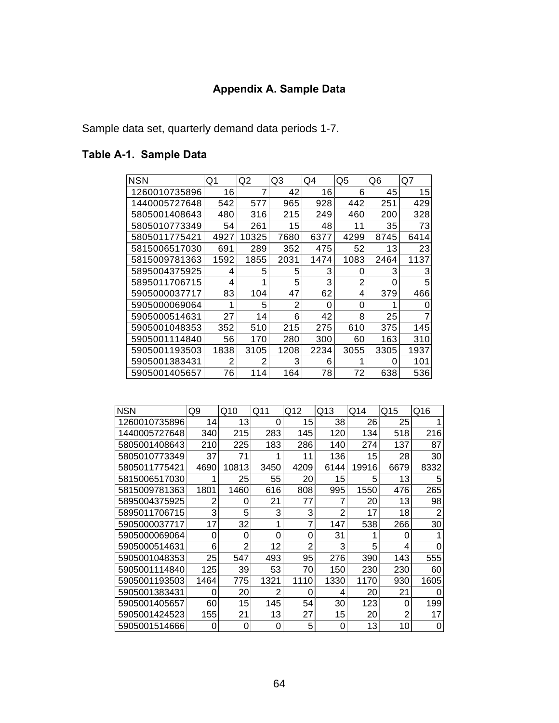# **Appendix A. Sample Data**

Sample data set, quarterly demand data periods 1-7.

# **Table A-1. Sample Data**

| <b>NSN</b>    | Q1             | Q2             | Q <sub>3</sub> | Q4   | Q5             | Q6   | Q7   |
|---------------|----------------|----------------|----------------|------|----------------|------|------|
| 1260010735896 | 16             | 7              | 42             | 16   | 6              | 45   | 15   |
| 1440005727648 | 542            | 577            | 965            | 928  | 442            | 251  | 429  |
| 5805001408643 | 480            | 316            | 215            | 249  | 460            | 200  | 328  |
| 5805010773349 | 54             | 261            | 15             | 48   | 11             | 35   | 73   |
| 5805011775421 | 4927           | 10325          | 7680           | 6377 | 4299           | 8745 | 6414 |
| 5815006517030 | 691            | 289            | 352            | 475  | 52             | 13   | 23   |
| 5815009781363 | 1592           | 1855           | 2031           | 1474 | 1083           | 2464 | 1137 |
| 5895004375925 | 4              | 5              | 5              | 3    | 0              | 3    | 3    |
| 5895011706715 | 4              |                | 5              | 3    | $\overline{2}$ | 0    | 5    |
| 5905000037717 | 83             | 104            | 47             | 62   | 4              | 379  | 466  |
| 5905000069064 |                | 5              | 2              | 0    | 0              |      | 0    |
| 5905000514631 | 27             | 14             | 6              | 42   | 8              | 25   | 7    |
| 5905001048353 | 352            | 510            | 215            | 275  | 610            | 375  | 145  |
| 5905001114840 | 56             | 170            | 280            | 300  | 60             | 163  | 310  |
| 5905001193503 | 1838           | 3105           | 1208           | 2234 | 3055           | 3305 | 1937 |
| 5905001383431 | $\overline{2}$ | $\overline{2}$ | 3              | 6    | 4              | O    | 101  |
| 5905001405657 | 76             | 114            | 164            | 78   | 72             | 638  | 536  |

| <b>NSN</b>    | Q9   | Q10   | Q11  | Q12            | Q13  | Q14   | Q15            | Q16      |
|---------------|------|-------|------|----------------|------|-------|----------------|----------|
| 1260010735896 | 14   | 13    | 0    | 15             | 38   | 26    | 25             | 1        |
| 1440005727648 | 340  | 215   | 283  | 145            | 120  | 134   | 518            | 216      |
| 5805001408643 | 210  | 225   | 183  | 286            | 140  | 274   | 137            | 87       |
| 5805010773349 | 37   | 71    | 1    | 11             | 136  | 15    | 28             | 30       |
| 5805011775421 | 4690 | 10813 | 3450 | 4209           | 6144 | 19916 | 6679           | 8332     |
| 5815006517030 |      | 25    | 55   | 20             | 15   | 5     | 13             | 5        |
| 5815009781363 | 1801 | 1460  | 616  | 808            | 995  | 1550  | 476            | 265      |
| 5895004375925 | 2    | 0     | 21   | 77             | 7    | 20    | 13             | 98       |
| 5895011706715 | 3    | 5     | 3    | 3              | 2    | 17    | 18             | 2        |
| 5905000037717 | 17   | 32    | 1    | 7              | 147  | 538   | 266            | 30       |
| 5905000069064 | 0    | 0     | 0    | $\Omega$       | 31   | 1     | 0              |          |
| 5905000514631 | 6    | 2     | 12   | $\overline{2}$ | 3    | 5     | 4              | $\Omega$ |
| 5905001048353 | 25   | 547   | 493  | 95             | 276  | 390   | 143            | 555      |
| 5905001114840 | 125  | 39    | 53   | 70             | 150  | 230   | 230            | 60       |
| 5905001193503 | 1464 | 775   | 1321 | 1110           | 1330 | 1170  | 930            | 1605     |
| 5905001383431 | 0    | 20    | 2    | 0              | 4    | 20    | 21             | 0        |
| 5905001405657 | 60   | 15    | 145  | 54             | 30   | 123   | $\Omega$       | 199      |
| 5905001424523 | 155  | 21    | 13   | 27             | 15   | 20    | $\overline{2}$ | 17       |
| 5905001514666 | O    | 0     | 0    | 5              | 0    | 13    | 10             | $\Omega$ |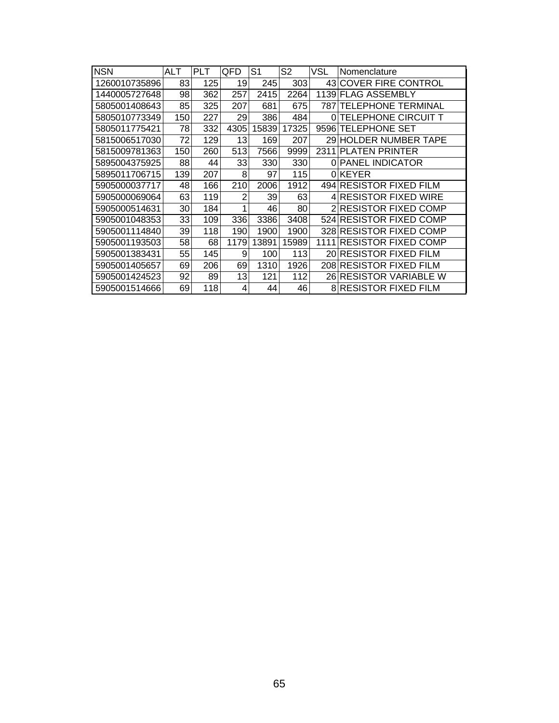| <b>NSN</b>    | ALT | <b>PLT</b> | QFD  | S1    | S <sub>2</sub> | VSL      | Nomenclature                 |
|---------------|-----|------------|------|-------|----------------|----------|------------------------------|
| 1260010735896 | 83  | 125        | 19   | 245   | 303            | 431      | <b>COVER FIRE CONTROL</b>    |
| 1440005727648 | 98  | 362        | 257  | 2415  | 2264           |          | 1139 FLAG ASSEMBLY           |
| 5805001408643 | 85  | 325        | 207  | 681   | 675            |          | 787 TELEPHONE TERMINAL       |
| 5805010773349 | 150 | 227        | 29   | 386   | 484            | $\Omega$ | <b>TELEPHONE CIRCUIT T</b>   |
| 5805011775421 | 78  | 332        | 4305 | 15839 | 17325          | 9596     | <b>TELEPHONE SET</b>         |
| 5815006517030 | 72  | 129        | 13   | 169   | 207            |          | 29 HOLDER NUMBER TAPE        |
| 5815009781363 | 150 | 260        | 513  | 7566  | 9999           |          | 2311 PLATEN PRINTER          |
| 5895004375925 | 88  | 44         | 33   | 330   | 330            |          | 0 PANEL INDICATOR            |
| 5895011706715 | 139 | 207        | 8    | 97    | 115            |          | 0 KEYER                      |
| 5905000037717 | 48  | 166        | 210  | 2006  | 1912           |          | 494 RESISTOR FIXED FILM      |
| 5905000069064 | 63  | 119        | 2    | 39    | 63             | 4        | <b>RESISTOR FIXED WIRE</b>   |
| 5905000514631 | 30  | 184        | 1    | 46    | 80             |          | 2 RESISTOR FIXED COMP        |
| 5905001048353 | 33  | 109        | 336  | 3386  | 3408           |          | 524 RESISTOR FIXED COMP      |
| 5905001114840 | 39  | 118        | 190  | 1900  | 1900           |          | 328 RESISTOR FIXED COMP      |
| 5905001193503 | 58  | 68         | 1179 | 13891 | 15989          | 1111     | <b>RESISTOR FIXED COMP</b>   |
| 5905001383431 | 55  | 145        | 9    | 100   | 113            |          | 20 RESISTOR FIXED FILM       |
| 5905001405657 | 69  | 206        | 69   | 1310  | 1926           |          | 208 RESISTOR FIXED FILM      |
| 5905001424523 | 92  | 89         | 13   | 121   | 112            |          | 26 RESISTOR VARIABLE W       |
| 5905001514666 | 69  | 118        | 4    | 44    | 46             |          | <b>8 RESISTOR FIXED FILM</b> |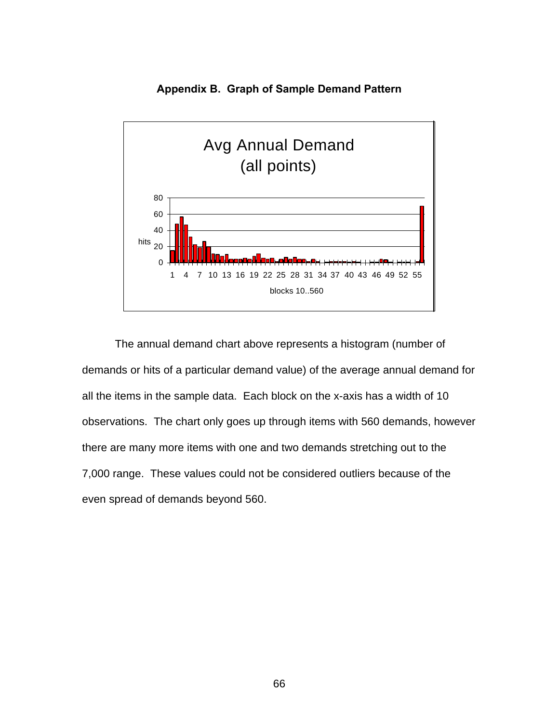

### **Appendix B. Graph of Sample Demand Pattern**

The annual demand chart above represents a histogram (number of demands or hits of a particular demand value) of the average annual demand for all the items in the sample data. Each block on the x-axis has a width of 10 observations. The chart only goes up through items with 560 demands, however there are many more items with one and two demands stretching out to the 7,000 range. These values could not be considered outliers because of the even spread of demands beyond 560.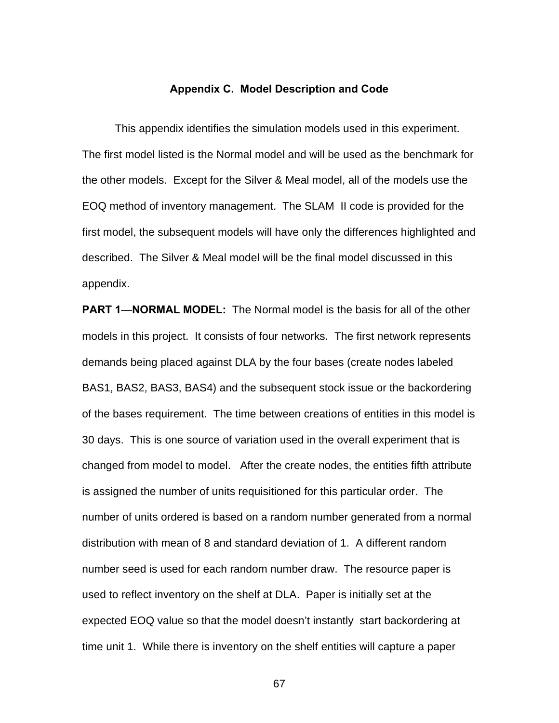#### **Appendix C. Model Description and Code**

This appendix identifies the simulation models used in this experiment. The first model listed is the Normal model and will be used as the benchmark for the other models. Except for the Silver & Meal model, all of the models use the EOQ method of inventory management. The SLAM II code is provided for the first model, the subsequent models will have only the differences highlighted and described. The Silver & Meal model will be the final model discussed in this appendix.

**PART 1**—**NORMAL MODEL:** The Normal model is the basis for all of the other models in this project. It consists of four networks. The first network represents demands being placed against DLA by the four bases (create nodes labeled BAS1, BAS2, BAS3, BAS4) and the subsequent stock issue or the backordering of the bases requirement. The time between creations of entities in this model is 30 days. This is one source of variation used in the overall experiment that is changed from model to model. After the create nodes, the entities fifth attribute is assigned the number of units requisitioned for this particular order. The number of units ordered is based on a random number generated from a normal distribution with mean of 8 and standard deviation of 1. A different random number seed is used for each random number draw. The resource paper is used to reflect inventory on the shelf at DLA. Paper is initially set at the expected EOQ value so that the model doesn't instantly start backordering at time unit 1. While there is inventory on the shelf entities will capture a paper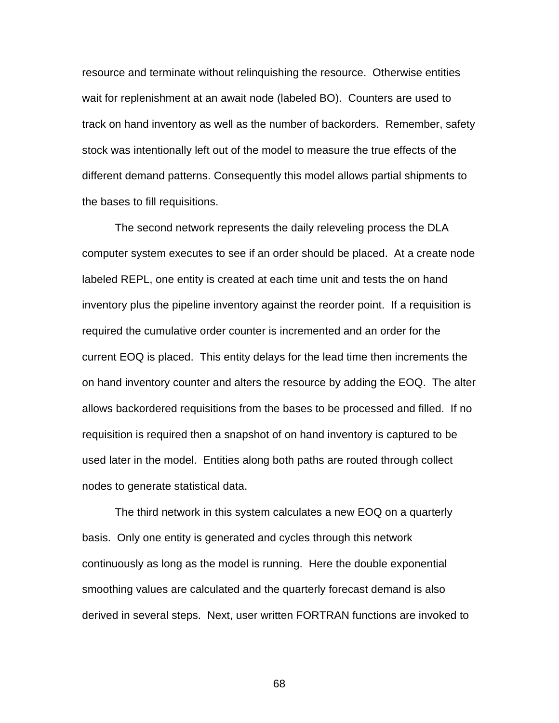resource and terminate without relinquishing the resource. Otherwise entities wait for replenishment at an await node (labeled BO). Counters are used to track on hand inventory as well as the number of backorders. Remember, safety stock was intentionally left out of the model to measure the true effects of the different demand patterns. Consequently this model allows partial shipments to the bases to fill requisitions.

The second network represents the daily releveling process the DLA computer system executes to see if an order should be placed. At a create node labeled REPL, one entity is created at each time unit and tests the on hand inventory plus the pipeline inventory against the reorder point. If a requisition is required the cumulative order counter is incremented and an order for the current EOQ is placed. This entity delays for the lead time then increments the on hand inventory counter and alters the resource by adding the EOQ. The alter allows backordered requisitions from the bases to be processed and filled. If no requisition is required then a snapshot of on hand inventory is captured to be used later in the model. Entities along both paths are routed through collect nodes to generate statistical data.

The third network in this system calculates a new EOQ on a quarterly basis. Only one entity is generated and cycles through this network continuously as long as the model is running. Here the double exponential smoothing values are calculated and the quarterly forecast demand is also derived in several steps. Next, user written FORTRAN functions are invoked to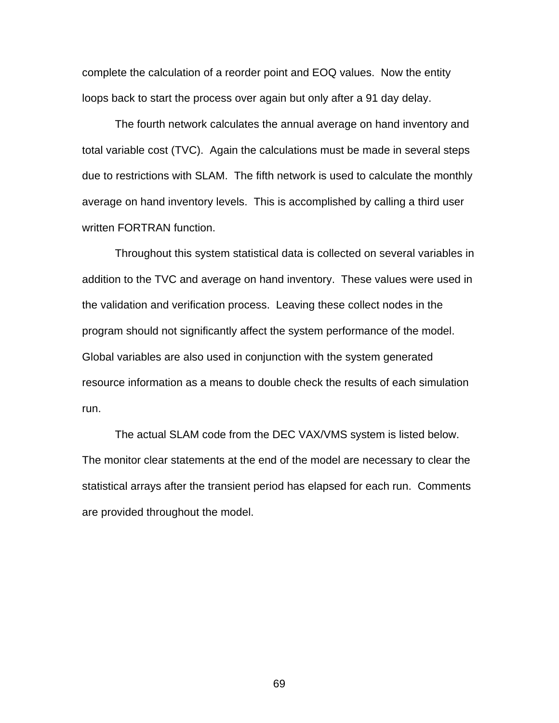complete the calculation of a reorder point and EOQ values. Now the entity loops back to start the process over again but only after a 91 day delay.

The fourth network calculates the annual average on hand inventory and total variable cost (TVC). Again the calculations must be made in several steps due to restrictions with SLAM. The fifth network is used to calculate the monthly average on hand inventory levels. This is accomplished by calling a third user written FORTRAN function.

Throughout this system statistical data is collected on several variables in addition to the TVC and average on hand inventory. These values were used in the validation and verification process. Leaving these collect nodes in the program should not significantly affect the system performance of the model. Global variables are also used in conjunction with the system generated resource information as a means to double check the results of each simulation run.

The actual SLAM code from the DEC VAX/VMS system is listed below. The monitor clear statements at the end of the model are necessary to clear the statistical arrays after the transient period has elapsed for each run. Comments are provided throughout the model.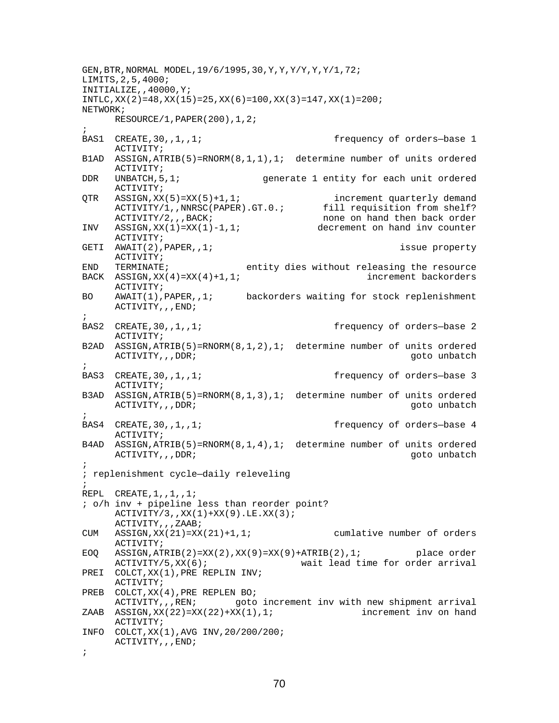GEN,BTR,NORMAL MODEL,19/6/1995,30,Y,Y,Y/Y,Y,Y/1,72; LIMITS,2,5,4000; INITIALIZE,,40000,Y; INTLC,  $XX(2)=48$ ,  $XX(15)=25$ ,  $XX(6)=100$ ,  $XX(3)=147$ ,  $XX(1)=200$ ; NETWORK; RESOURCE/1,PAPER(200),1,2; ; BAS1 CREATE, 30, , 1, , 1; The same intervals of orders-base 1 ACTIVITY; B1AD ASSIGN,ATRIB(5)=RNORM(8,1,1),1; determine number of units ordered ACTIVITY; DDR UNBATCH, 5, 1; The senargement of each unit ordered ACTIVITY; QTR ASSIGN, XX(5)=XX(5)+1,1; increment quarterly demand<br>ACTIVITY/1,, NNRSC(PAPER).GT.0.; fill requisition from shelf? ACTIVITY/1,,NNRSC(PAPER).GT.0.; ACTIVITY/2,,,BACK; hand then back order INV ASSIGN,  $XX(1) = XX(1) - 1, 1$ ; decrement on hand inv counter ACTIVITY; GETI AWAIT(2), PAPER, 1; issue property ACTIVITY; END TERMINATE; entity dies without releasing the resource BACK ASSIGN, XX(4)=XX(4)+1, 1; increment backorders ACTIVITY; BO AWAIT(1),PAPER,,1; backorders waiting for stock replenishment ACTIVITY,,,END; ;<br>BAS2 CREATE, 30, , 1, , 1; frequency of orders-base 2 ACTIVITY; B2AD ASSIGN,ATRIB(5)=RNORM(8,1,2),1; determine number of units ordered ACTIVITY,,,DDR; and the set of the set of the set of the set of the set of the set of the set of the set of the set of the set of the set of the set of the set of the set of the set of the set of the set of the set of the ; BAS3 CREATE, 30, , 1, 1; frequency of orders-base 3 ACTIVITY; B3AD ASSIGN,ATRIB(5)=RNORM(8,1,3),1; determine number of units ordered ACTIVITY,,,DDR; goto unbatch ; BAS4 CREATE, 30, , 1, , 1; frequency of orders-base 4 ACTIVITY; B4AD ASSIGN,ATRIB(5)=RNORM(8,1,4),1; determine number of units ordered ACTIVITY,,,DDR; and the state of the state of the state of the state of the state of the state of the state of the state of the state of the state of the state of the state of the state of the state of the state of the sta ; ; replenishment cycle—daily releveling ; REPL CREATE, 1, , 1, , 1; ; o/h inv + pipeline less than reorder point?  $ACTIVITY/3,$ , $XX(1)+XX(9)$ .LE. $XX(3)$ ; ACTIVITY,,,ZAAB;<br>ASSIGN,XX(21)=XX(21)+1,1; CUM ASSIGN,XX(21)=XX(21)+1,1; cumlative number of orders ACTIVITY; EOQ ASSIGN,  $ATRIB(2) = XX(2)$ ,  $XX(9) = XX(9) + ATRIB(2)$ ,  $1$ ; place order ACTIVITY/5,XX(6); wait lead time for order arrival PREI COLCT, XX(1), PRE REPLIN INV; ACTIVITY; PREB COLCT, XX(4), PRE REPLEN BO; ACTIVITY,,,REN; goto increment inv with new shipment arrival ZAAB ASSIGN,  $XX(22) = XX(22) + XX(1), 1$ ; increment inv on hand ACTIVITY; INFO COLCT,XX(1),AVG INV,20/200/200; ACTIVITY,,,END; ;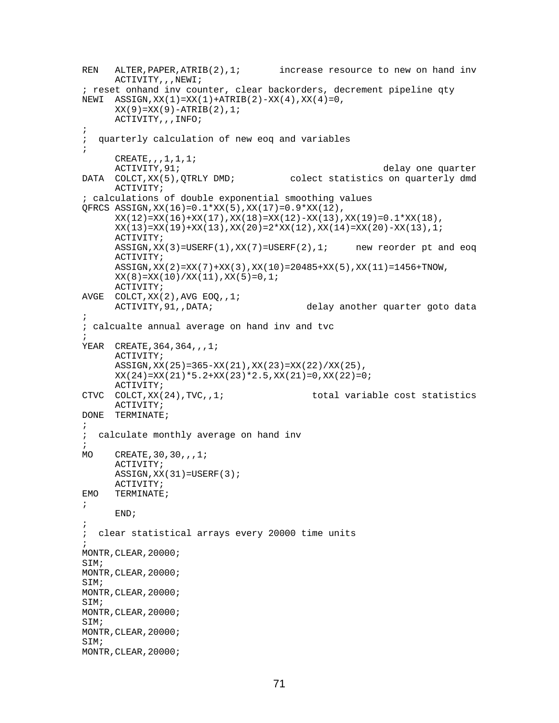```
REN ALTER, PAPER, ATRIB(2), 1; increase resource to new on hand inv
     ACTIVITY,,,NEWI;
; reset onhand inv counter, clear backorders, decrement pipeline qty
NEWI ASSIGN, XX(1)=XX(1)+ATRIB(2)-XX(4),XX(4)=0,XX(9) = XX(9) - ATRIB(2), 1;ACTIVITY,,,INFO;
;
; quarterly calculation of new eoq and variables
;
     CREATE,,,1,1,1;
     ACTIVITY, 91; delay one quarter
DATA COLCT, XX(5), QTRLY DMD; colect statistics on quarterly dmd
      ACTIVITY;
; calculations of double exponential smoothing values
QFRCS ASSIGN,XX(16)=0.1*XX(5),XX(17)=0.9*XX(12),
     XX(12)=XX(16)+XX(17), XX(18)=XX(12)-XX(13), XX(19)=0.1*XX(18),
     XX(13)=XX(19)+XX(13), XX(20)=2*XX(12), XX(14)=XX(20)-XX(13), 1;
     ACTIVITY;
     ASSIGN,XX(3)=USERF(1),XX(7)=USERF(2),1; new reorder pt and eoq
     ACTIVITY;
     ASSIGN,XX(2)=XX(7)+XX(3),XX(10)=20485+XX(5),XX(11)=1456+TNOW,
     XX(8) = XX(10)/XX(11),XX(5) = 0,1;ACTIVITY;
AVGE COLCT,XX(2),AVG EOQ,,1; 
     ACTIVITY,91,,DATA; delay another quarter goto data
;
; calcualte annual average on hand inv and tvc
;
YEAR CREATE,364,364,,,1;
     ACTIVITY;
     ASSIGN,XX(25)=365-XX(21),XX(23)=XX(22)/XX(25),
     XX(24)=XX(21)*5.2+XX(23)*2.5,XX(21)=0,XX(22)=0;ACTIVITY;
CTVC COLCT,XX(24),TVC,,1; total variable cost statistics
     ACTIVITY;
DONE TERMINATE;
;
; calculate monthly average on hand inv
;
MO CREATE,30,30,,,1;
     ACTIVITY;
     ASSIGN,XX(31)=USERF(3);
     ACTIVITY;
EMO TERMINATE;
;
     END;
;
; clear statistical arrays every 20000 time units
;
MONTR, CLEAR, 20000;
SIM;
MONTR, CLEAR, 20000;
SIM;
MONTR,CLEAR,20000;
SIM;
MONTR,CLEAR,20000;
SIM;
MONTR, CLEAR, 20000;
SIM;
MONTR,CLEAR,20000;
```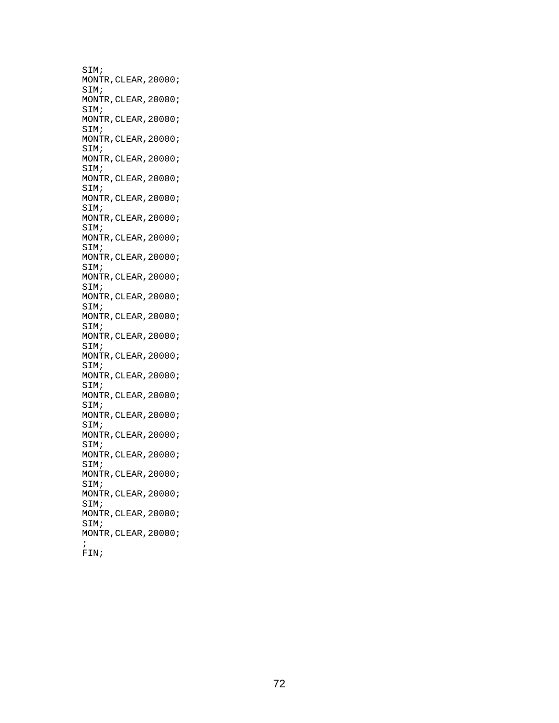SIM; MONTR, CLEAR, 20000; SIM; MONTR,CLEAR,20000; SIM; MONTR, CLEAR, 20000; SIM; MONTR, CLEAR, 20000; SIM; MONTR, CLEAR, 20000; SIM; MONTR, CLEAR, 20000; SIM; MONTR, CLEAR, 20000; SIM; MONTR, CLEAR, 20000; SIM; MONTR,CLEAR,20000; SIM; MONTR, CLEAR, 20000; SIM; MONTR, CLEAR, 20000; SIM; MONTR,CLEAR,20000; SIM; MONTR, CLEAR, 20000; SIM; MONTR,CLEAR,20000; SIM; MONTR, CLEAR, 20000; SIM; MONTR,CLEAR,20000; SIM; MONTR, CLEAR, 20000; SIM; MONTR, CLEAR, 20000; SIM; MONTR,CLEAR,20000; SIM; MONTR, CLEAR, 20000; SIM; MONTR,CLEAR,20000; SIM; MONTR, CLEAR, 20000; SIM; MONTR, CLEAR, 20000; SIM; MONTR,CLEAR,20000; ; FIN;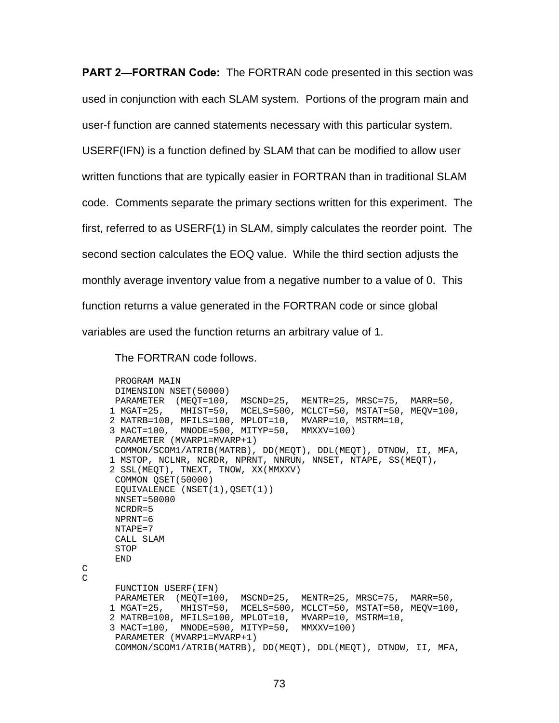**PART 2**—**FORTRAN Code:** The FORTRAN code presented in this section was used in conjunction with each SLAM system. Portions of the program main and user-f function are canned statements necessary with this particular system. USERF(IFN) is a function defined by SLAM that can be modified to allow user written functions that are typically easier in FORTRAN than in traditional SLAM code. Comments separate the primary sections written for this experiment. The first, referred to as USERF(1) in SLAM, simply calculates the reorder point. The second section calculates the EOQ value. While the third section adjusts the monthly average inventory value from a negative number to a value of 0. This function returns a value generated in the FORTRAN code or since global variables are used the function returns an arbitrary value of 1.

The FORTRAN code follows.

C C

```
 PROGRAM MAIN
 DIMENSION NSET(50000)
PARAMETER (MEQT=100, MSCND=25, MENTR=25, MRSC=75, MARR=50,
 1 MGAT=25, MHIST=50, MCELS=500, MCLCT=50, MSTAT=50, MEQV=100,
 2 MATRB=100, MFILS=100, MPLOT=10, MVARP=10, MSTRM=10,
 3 MACT=100, MNODE=500, MITYP=50, MMXXV=100)
 PARAMETER (MVARP1=MVARP+1)
 COMMON/SCOM1/ATRIB(MATRB), DD(MEQT), DDL(MEQT), DTNOW, II, MFA,
 1 MSTOP, NCLNR, NCRDR, NPRNT, NNRUN, NNSET, NTAPE, SS(MEQT),
 2 SSL(MEQT), TNEXT, TNOW, XX(MMXXV)
 COMMON QSET(50000)
 EQUIVALENCE (NSET(1),QSET(1))
 NNSET=50000
 NCRDR=5
 NPRNT=6
 NTAPE=7
 CALL SLAM
 STOP
 END
 FUNCTION USERF(IFN)
 PARAMETER (MEQT=100, MSCND=25, MENTR=25, MRSC=75, MARR=50,
 1 MGAT=25, MHIST=50, MCELS=500, MCLCT=50, MSTAT=50, MEQV=100,
 2 MATRB=100, MFILS=100, MPLOT=10, MVARP=10, MSTRM=10,
 3 MACT=100, MNODE=500, MITYP=50, MMXXV=100)
 PARAMETER (MVARP1=MVARP+1)
 COMMON/SCOM1/ATRIB(MATRB), DD(MEQT), DDL(MEQT), DTNOW, II, MFA,
```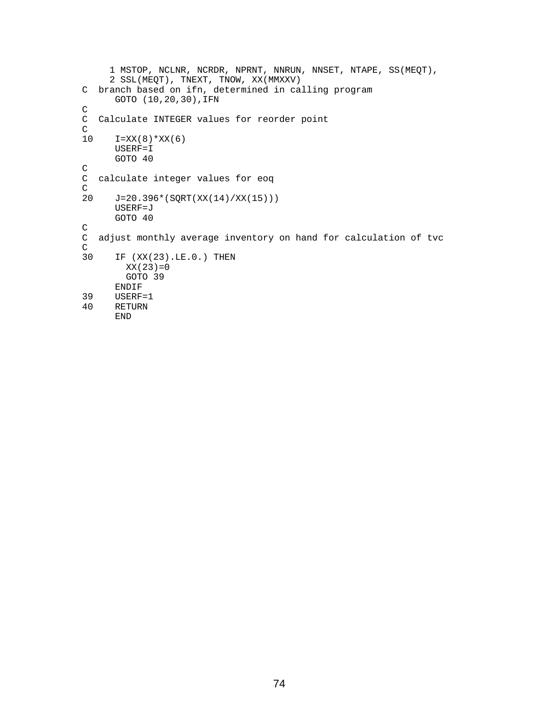```
 1 MSTOP, NCLNR, NCRDR, NPRNT, NNRUN, NNSET, NTAPE, SS(MEQT),
       2 SSL(MEQT), TNEXT, TNOW, XX(MMXXV)
C branch based on ifn, determined in calling program
        GOTO (10,20,30),IFN
\mathsf CC Calculate INTEGER values for reorder point
\begin{array}{c} \texttt{C}\ \texttt{10} \end{array}I=XX(8)*XX(6) USERF=I
        GOTO 40
\mathsf CC calculate integer values for eoq
\frac{C}{20}20 J=20.396*(SQRT(XX(14)/XX(15)))
        USERF=J
        GOTO 40
\mathsf CC adjust monthly average inventory on hand for calculation of tvc
\frac{C}{30}IF (XX(23) .LE.0.) THEN
         XX(23)=0 GOTO 39
ENDIF<br>39 USERF:
39 USERF=1<br>40 RETURN
       40 RETURN
        END
```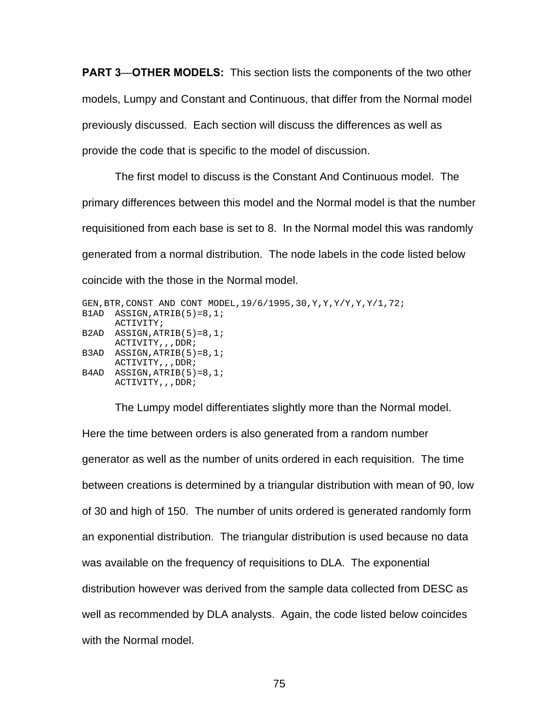**PART 3**—**OTHER MODELS:** This section lists the components of the two other models, Lumpy and Constant and Continuous, that differ from the Normal model previously discussed. Each section will discuss the differences as well as provide the code that is specific to the model of discussion.

The first model to discuss is the Constant And Continuous model. The primary differences between this model and the Normal model is that the number requisitioned from each base is set to 8. In the Normal model this was randomly generated from a normal distribution. The node labels in the code listed below coincide with the those in the Normal model.

```
GEN,BTR,CONST AND CONT MODEL,19/6/1995,30,Y,Y,Y/Y,Y,Y/1,72;
B1AD ASSIGN,ATRIB(5)=8,1;
       ACTIVITY;
B2AD ASSIGN,ATRIB(5)=8,1;
       ACTIVITY,,,DDR;
B3AD ASSIGN,ATRIB(5)=8,1;
      ACTIVITY,,,DDR;
B4AD ASSIGN,ATRIB(5)=8,1;
       ACTIVITY,,,DDR;
```
The Lumpy model differentiates slightly more than the Normal model.

Here the time between orders is also generated from a random number generator as well as the number of units ordered in each requisition. The time between creations is determined by a triangular distribution with mean of 90, low of 30 and high of 150. The number of units ordered is generated randomly form an exponential distribution. The triangular distribution is used because no data was available on the frequency of requisitions to DLA. The exponential distribution however was derived from the sample data collected from DESC as well as recommended by DLA analysts. Again, the code listed below coincides with the Normal model.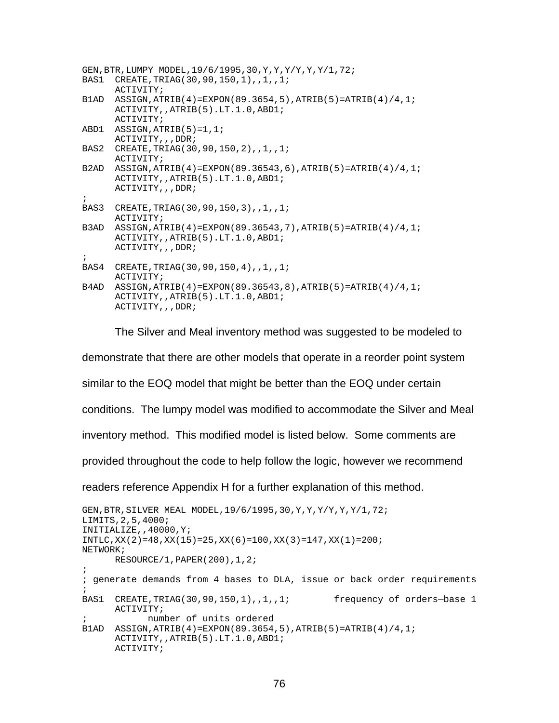| GEN, BTR, LUMPY MODEL, $19/6/1995$ , 30, Y, Y, Y/Y, Y, Y/1, 72;           |
|---------------------------------------------------------------------------|
| CREATE, TRIAG(30, 90, 150, 1), , 1, , 1;                                  |
| ACTIVITY;                                                                 |
| ASSIGN, ATRIB(4)=EXPON(89.3654, 5), ATRIB(5)=ATRIB(4)/4, 1;               |
| ACTIVITY, , ATRIB(5).LT.1.0, ABD1;                                        |
| ACTIVITY;                                                                 |
| $ASSIGN, ATRIB(5)=1,1;$                                                   |
| ACTIVITY, , , DDR;                                                        |
| CREATE, TRIAG(30, 90, 150, 2), 1, 1,                                      |
| ACTIVITY;                                                                 |
| ASSIGN, ATRIB(4)=EXPON(89.36543, 6), ATRIB(5)=ATRIB(4)/4, 1;              |
| ACTIVITY, ATRIB(5) .LT.1.0, ABD1;                                         |
| ACTIVITY, , , DDR;                                                        |
|                                                                           |
| CREATE, TRIAG(30, 90, 150, 3), 1, 1,                                      |
| ACTIVITY;                                                                 |
| ASSIGN, $ARTRIB(4) = EXPON(89, 36543, 7)$ , $ARTRIB(5) = ATRIB(4)/4, 1$ ; |
| ACTIVITY, , ATRIB(5).LT.1.0, ABD1;                                        |
| ACTIVITY,,,DDR;                                                           |
|                                                                           |
| CREATE, TRIAG(30, 90, 150, 4), 1, 1,                                      |
| ACTIVITY;                                                                 |
| ASSIGN, ATRIB(4)=EXPON(89.36543,8), ATRIB(5)=ATRIB(4)/4,1;                |
| ACTIVITY, , ATRIB(5).LT.1.0, ABD1;                                        |
| ACTIVITY,,,DDR;                                                           |
|                                                                           |

The Silver and Meal inventory method was suggested to be modeled to

demonstrate that there are other models that operate in a reorder point system

similar to the EOQ model that might be better than the EOQ under certain

conditions. The lumpy model was modified to accommodate the Silver and Meal

inventory method. This modified model is listed below. Some comments are

provided throughout the code to help follow the logic, however we recommend

readers reference Appendix H for a further explanation of this method.

```
GEN,BTR,SILVER MEAL MODEL,19/6/1995,30,Y,Y,Y/Y,Y,Y/1,72;
LIMITS,2,5,4000;
INITIALIZE,,40000,Y;
INTLC, XX(2)=48, XX(15)=25, XX(6)=100, XX(3)=147, XX(1)=200;
NETWORK;
       RESOURCE/1,PAPER(200),1,2;
;
; generate demands from 4 bases to DLA, issue or back order requirements
;
BAS1 CREATE, TRIAG(30,90,150,1),,1,,1; frequency of orders-base 1
      ACTIVITY; 
; number of units ordered
B1AD ASSIGN,ATRIB(4)=EXPON(89.3654,5),ATRIB(5)=ATRIB(4)/4,1;
       ACTIVITY,,ATRIB(5).LT.1.0,ABD1;
       ACTIVITY;
```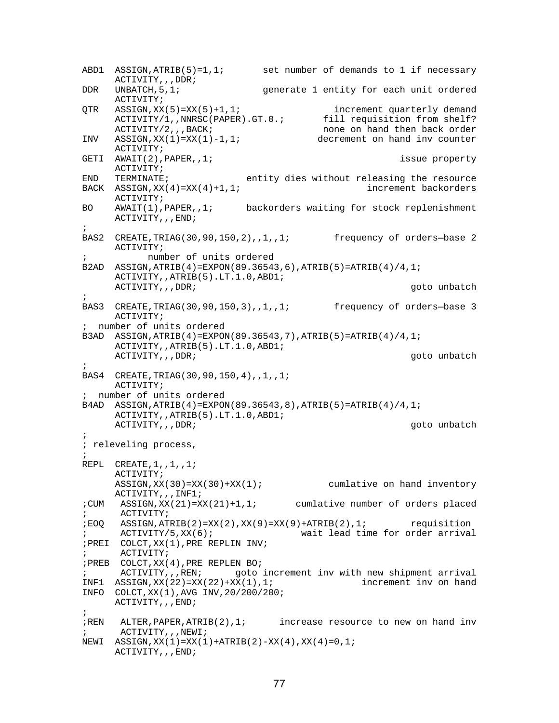| ABD1                | ASSIGN, $ATRIB(5)=1,1;$                                                             | set number of demands to 1 if necessary                                 |
|---------------------|-------------------------------------------------------------------------------------|-------------------------------------------------------------------------|
|                     | ACTIVITY, , , DDR;                                                                  |                                                                         |
| DDR                 | UNBATCH, $5, 1;$                                                                    | generate 1 entity for each unit ordered                                 |
|                     | ACTIVITY;                                                                           |                                                                         |
| QTR                 | $ASSIGN, XX(5)=XX(5)+1,1;$                                                          | increment quarterly demand                                              |
|                     | ACTIVITY/1, , NNRSC(PAPER).GT.0.;                                                   | fill requisition from shelf?                                            |
|                     | ACTIVITY/2,,,BACK;                                                                  | none on hand then back order                                            |
| INV                 | ASSIGN, $XX(1) = XX(1) - 1$ , 1;                                                    | decrement on hand inv counter                                           |
|                     | ACTIVITY;                                                                           |                                                                         |
| GETI                | $AWAIT(2)$ , $PAPER$ , , $1$ ;                                                      | issue property                                                          |
|                     | ACTIVITY;                                                                           |                                                                         |
| END                 | TERMINATE;                                                                          | entity dies without releasing the resource                              |
| BACK                | $ASSIGN, XX(4)=XX(4)+1,1;$                                                          | increment backorders                                                    |
|                     | ACTIVITY;                                                                           |                                                                         |
| BO.<br>$\ddot{i}$   | $AWAIT(1)$ , $PAPER$ , , $1$ ;<br>$\verb ACTIVITY ,$ , , $\verb END $ ;             | backorders waiting for stock replenishment                              |
| BAS2                | CREATE, TRIAG(30, 90, 150, 2), $, 1, 1;$                                            | frequency of orders-base 2                                              |
|                     | ACTIVITY;                                                                           |                                                                         |
| $\ddot{i}$          | number of units ordered                                                             |                                                                         |
| B2AD                |                                                                                     | ASSIGN, ATRIB(4)=EXPON(89.36543,6), ATRIB(5)=ATRIB(4)/4,1;              |
|                     | ACTIVITY, , ATRIB(5).LT.1.0, ABD1;                                                  |                                                                         |
|                     | ACTIVITY, , , DDR;                                                                  | goto unbatch                                                            |
| $\ddot{i}$          |                                                                                     |                                                                         |
| BAS3                | CREATE, TRIAG(30, 90, 150, 3), 1, 1, 1;                                             | frequency of orders-base 3                                              |
|                     | ACTIVITY;                                                                           |                                                                         |
| $\ddot{i}$          | number of units ordered                                                             |                                                                         |
| B3AD                |                                                                                     | ASSIGN, ATRIB(4)=EXPON(89.36543,7), ATRIB(5)=ATRIB(4)/4,1;              |
|                     | ACTIVITY, , ATRIB(5).LT.1.0, ABD1;                                                  |                                                                         |
|                     | ACTIVITY, , , DDR;                                                                  | goto unbatch                                                            |
|                     |                                                                                     |                                                                         |
| $\ddot{i}$          |                                                                                     |                                                                         |
| BAS4                | CREATE, TRIAG(30,90,150,4),,1,,1;                                                   |                                                                         |
|                     | ACTIVITY;                                                                           |                                                                         |
| $\ddot{i}$          | number of units ordered                                                             |                                                                         |
|                     |                                                                                     | B4AD ASSIGN, ATRIB(4)=EXPON(89.36543,8), ATRIB(5)=ATRIB(4)/4,1;         |
|                     | ACTIVITY, , ATRIB(5).LT.1.0, ABD1;                                                  |                                                                         |
|                     | ACTIVITY, , , DDR;                                                                  | goto unbatch                                                            |
| $\ddot{i}$          |                                                                                     |                                                                         |
|                     | ; releveling process,                                                               |                                                                         |
| $\ddot{i}$          |                                                                                     |                                                                         |
|                     | REPL $CREATE, 1, 1, 1, 1$                                                           |                                                                         |
|                     | ACTIVITY;                                                                           |                                                                         |
|                     | $ASSIGN, XX(30) = XX(30) + XX(1);$                                                  | cumlative on hand inventory                                             |
|                     | ACTIVITY, , , INF1;                                                                 |                                                                         |
|                     |                                                                                     | ; CUM ASSIGN, XX(21)=XX(21)+1, 1; cumlative number of orders placed     |
|                     | ${Ctt}$                                                                             |                                                                         |
|                     |                                                                                     | $F \to FQ$ ASSIGN, ATRIB(2)=XX(2), XX(9)=XX(9)+ATRIB(2), 1; requisition |
|                     | ; $ACTIVITY/5, XX(6);$                                                              | wait lead time for order arrival                                        |
|                     | ; PREI COLCT, XX(1), PRE REPLIN INV;                                                |                                                                         |
|                     | ; activity;                                                                         |                                                                         |
|                     | ; PREB COLCT, XX(4), PRE REPLEN BO;                                                 |                                                                         |
| $\mathcal{V}^{\pm}$ |                                                                                     |                                                                         |
|                     | INF1 $ASSIGN, XX(22)=XX(22)+XX(1), 1;$                                              | increment inv on hand                                                   |
| INFO                | $COLCT, XX(1)$ , AVG INV, $20/200/200$ ;                                            |                                                                         |
|                     | ACTIVITY, , , END;                                                                  |                                                                         |
| $\ddot{ }$          |                                                                                     |                                                                         |
|                     |                                                                                     | $i$ REN ALTER, PAPER, ATRIB(2), 1; increase resource to new on hand inv |
| $\ddot{i}$          | ACTIVITY,,,NEWI;                                                                    |                                                                         |
| NEWI                | ASSIGN, $XX(1) = XX(1) + ATRIB(2) - XX(4)$ , $XX(4) = 0$ , 1;<br>ACTIVITY, , , END; |                                                                         |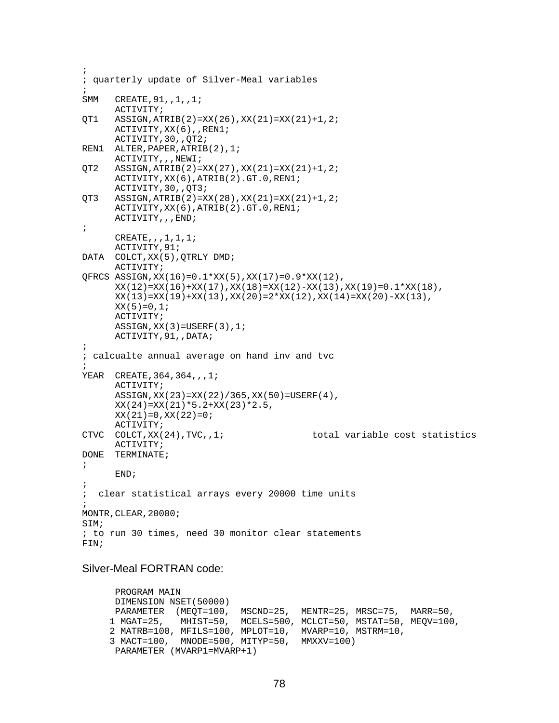```
;
; quarterly update of Silver-Meal variables
;
SMM CREATE,91,,1,,1;
       ACTIVITY;
QT1 ASSIGN,ATRIB(2)=XX(26),XX(21)=XX(21)+1,2;
       ACTIVITY,XX(6),,REN1;
       ACTIVITY,30,,QT2;
REN1 ALTER, PAPER, ATRIB(2), 1;
      ACTIVITY, , , NEWI;
QT2 ASSIGN,ATRIB(2)=XX(27),XX(21)=XX(21)+1,2;
       ACTIVITY,XX(6),ATRIB(2).GT.0,REN1;
       ACTIVITY,30,,QT3;
QT3 ASSIGN,ATRIB(2)=XX(28),XX(21)=XX(21)+1,2;
       ACTIVITY,XX(6),ATRIB(2).GT.0,REN1;
       ACTIVITY,,,END;
;
       CREATE,,,1,1,1;
       ACTIVITY,91;
DATA COLCT,XX(5),QTRLY DMD;
       ACTIVITY;
QFRCS ASSIGN,XX(16)=0.1*XX(5),XX(17)=0.9*XX(12),
      XX(12)=XX(16)+XX(17), XX(18)=XX(12)-XX(13), XX(19)=0.1*XX(18),
      XX(13)=XX(19)+XX(13), XX(20)=2*XX(12), XX(14)=XX(20)-XX(13),
      XX(5)=0,1; ACTIVITY;
       ASSIGN,XX(3)=USERF(3),1;
       ACTIVITY,91,,DATA;
;
; calcualte annual average on hand inv and tvc
;
YEAR CREATE,364,364,,,1;
       ACTIVITY;
       ASSIGN,XX(23)=XX(22)/365,XX(50)=USERF(4),
      XX(24)=XX(21)*5.2+XX(23)*2.5,
      XX(21)=0, XX(22)=0; ACTIVITY;
CTVC COLCT,XX(24),TVC,,1; total variable cost statistics
      ACTIVITY;
DONE TERMINATE;
;
       END;
;
; clear statistical arrays every 20000 time units
;
MONTR,CLEAR,20000;
SIM;
; to run 30 times, need 30 monitor clear statements
FIN;
```
Silver-Meal FORTRAN code:

```
 PROGRAM MAIN
      DIMENSION NSET(50000)
 PARAMETER (MEQT=100, MSCND=25, MENTR=25, MRSC=75, MARR=50,
 1 MGAT=25, MHIST=50, MCELS=500, MCLCT=50, MSTAT=50, MEQV=100,
 2 MATRB=100, MFILS=100, MPLOT=10, MVARP=10, MSTRM=10,
 3 MACT=100, MNODE=500, MITYP=50, MMXXV=100)
      PARAMETER (MVARP1=MVARP+1)
```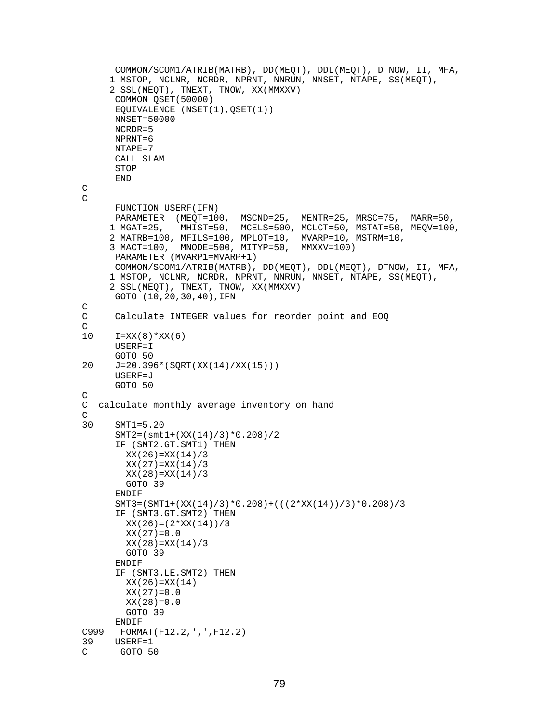```
 COMMON/SCOM1/ATRIB(MATRB), DD(MEQT), DDL(MEQT), DTNOW, II, MFA,
      1 MSTOP, NCLNR, NCRDR, NPRNT, NNRUN, NNSET, NTAPE, SS(MEQT),
      2 SSL(MEQT), TNEXT, TNOW, XX(MMXXV)
       COMMON QSET(50000)
       EQUIVALENCE (NSET(1),QSET(1))
       NNSET=50000
       NCRDR=5
       NPRNT=6
       NTAPE=7
       CALL SLAM
       STOP
       END
\mathcal{C}\mathcal{C} FUNCTION USERF(IFN)
      PARAMETER (MEQT=100, MSCND=25, MENTR=25, MRSC=75, MARR=50,
      1 MGAT=25, MHIST=50, MCELS=500, MCLCT=50, MSTAT=50, MEQV=100,
      2 MATRB=100, MFILS=100, MPLOT=10, MVARP=10, MSTRM=10,
      3 MACT=100, MNODE=500, MITYP=50, MMXXV=100)
      PARAMETER (MVARP1=MVARP+1)
      COMMON/SCOM1/ATRIB(MATRB), DD(MEQT), DDL(MEQT), DTNOW, II, MFA,
      1 MSTOP, NCLNR, NCRDR, NPRNT, NNRUN, NNSET, NTAPE, SS(MEQT),
      2 SSL(MEQT), TNEXT, TNOW, XX(MMXXV)
       GOTO (10,20,30,40),IFN
C
      Calculate INTEGER values for reorder point and EOQ
\frac{C}{10}I=XX(8)*XX(6) USERF=I
       GOTO 50
20 J=20.396*(SQRT(XX(14)/XX(15)))
       USERF=J
       GOTO 50
C
C calculate monthly average inventory on hand
\cap30 SMT1=5.20
       SMT2=(smt1+(XX(14)/3)*0.208)/2
       IF (SMT2.GT.SMT1) THEN
        XX(26) = XX(14)/3XX(27)=XX(14)/3XX(28) = XX(14)/3 GOTO 39
       ENDIF
      SMT3 = (SMT1 + (XX(14)/3)*0.208) + ((2*XX(14))/3)*0.208)/3 IF (SMT3.GT.SMT2) THEN
        XX(26) = (2*XX(14))/3
        XX(27)=0.0 XX(28)=XX(14)/3
         GOTO 39
       ENDIF
       IF (SMT3.LE.SMT2) THEN
        XX(26) = XX(14)XX(27)=0.0XX(28)=0.0 GOTO 39
ENDIF<br>FORM FORM
      FORMAT(F12.2,',',F12.2)
39 USERF=1
C GOTO 50
```

```
79
```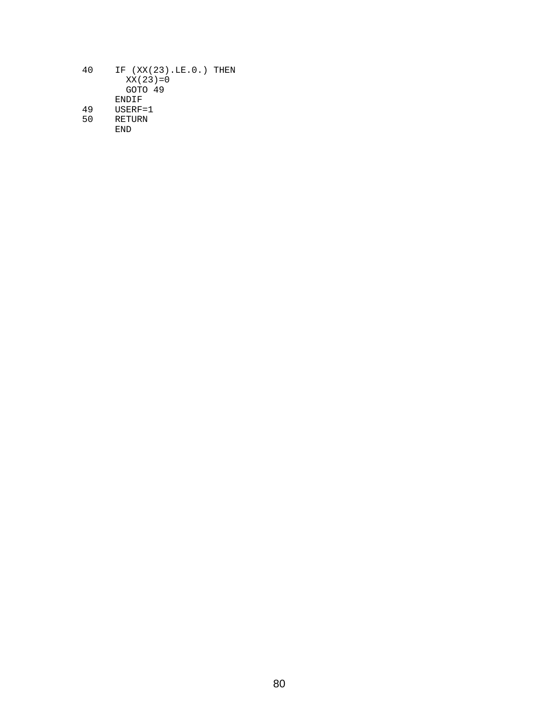| 40 | IF $(XX(23) \tcdot LE.0.)$ THEN |  |
|----|---------------------------------|--|
|    | $XX(23)=0$                      |  |
|    | GOTO 49                         |  |
|    | ENDIF                           |  |
| 49 | $USERF=1$                       |  |
| 50 | RETURN                          |  |
|    | F.ND                            |  |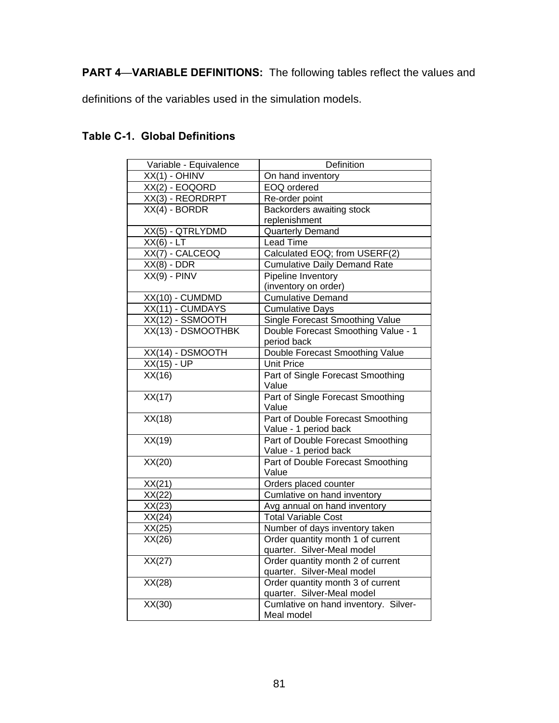**PART 4**—**VARIABLE DEFINITIONS:** The following tables reflect the values and

definitions of the variables used in the simulation models.

# **Table C-1. Global Definitions**

| Variable - Equivalence | Definition                           |
|------------------------|--------------------------------------|
| $XX(1)$ - OHINV        | On hand inventory                    |
| XX(2) - EOQORD         | EOQ ordered                          |
| XX(3) - REORDRPT       | Re-order point                       |
| $XX(4) - BORDR$        | Backorders awaiting stock            |
|                        | replenishment                        |
| XX(5) - QTRLYDMD       | <b>Quarterly Demand</b>              |
| $XX(6) - LT$           | <b>Lead Time</b>                     |
| XX(7) - CALCEOQ        | Calculated EOQ; from USERF(2)        |
| $XX(8) - DDR$          | <b>Cumulative Daily Demand Rate</b>  |
| $XX(9)$ - PINV         | Pipeline Inventory                   |
|                        | (inventory on order)                 |
| XX(10) - CUMDMD        | <b>Cumulative Demand</b>             |
| XX(11) - CUMDAYS       | <b>Cumulative Days</b>               |
| XX(12) - SSMOOTH       | Single Forecast Smoothing Value      |
| XX(13) - DSMOOTHBK     | Double Forecast Smoothing Value - 1  |
|                        | period back                          |
| XX(14) - DSMOOTH       | Double Forecast Smoothing Value      |
| XX(15) - UP            | <b>Unit Price</b>                    |
| XX(16)                 | Part of Single Forecast Smoothing    |
|                        | Value                                |
| XX(17)                 | Part of Single Forecast Smoothing    |
|                        | Value                                |
| XX(18)                 | Part of Double Forecast Smoothing    |
|                        | Value - 1 period back                |
| XX(19)                 | Part of Double Forecast Smoothing    |
|                        | Value - 1 period back                |
| XX(20)                 | Part of Double Forecast Smoothing    |
|                        | Value                                |
| XX(21)                 | Orders placed counter                |
| XX(22)                 | Cumlative on hand inventory          |
| XX(23)                 | Avg annual on hand inventory         |
| XX(24)                 | <b>Total Variable Cost</b>           |
| XX(25)                 | Number of days inventory taken       |
| XX(26)                 | Order quantity month 1 of current    |
|                        | quarter. Silver-Meal model           |
| XX(27)                 | Order quantity month 2 of current    |
|                        | quarter. Silver-Meal model           |
| XX(28)                 | Order quantity month 3 of current    |
|                        | quarter. Silver-Meal model           |
| XX(30)                 | Cumlative on hand inventory. Silver- |
|                        | Meal model                           |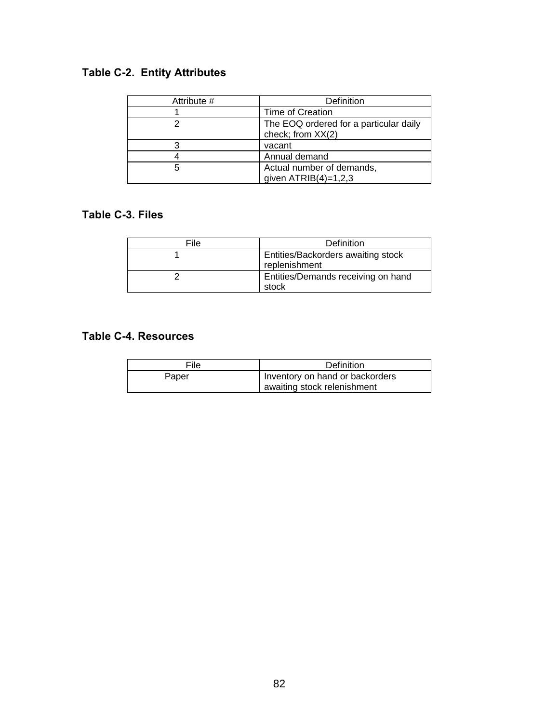# **Table C-2. Entity Attributes**

| Attribute # | Definition                                                  |  |  |  |
|-------------|-------------------------------------------------------------|--|--|--|
|             | <b>Time of Creation</b>                                     |  |  |  |
|             | The EOQ ordered for a particular daily<br>check; from XX(2) |  |  |  |
|             | vacant                                                      |  |  |  |
|             | Annual demand                                               |  |  |  |
| 5           | Actual number of demands,<br>given $ATRIB(4)=1,2,3$         |  |  |  |

# **Table C-3. Files**

| File | Definition                                          |
|------|-----------------------------------------------------|
|      | Entities/Backorders awaiting stock<br>replenishment |
|      | Entities/Demands receiving on hand<br>stock         |

# **Table C-4. Resources**

| File  | Definition                                                     |  |  |
|-------|----------------------------------------------------------------|--|--|
| Paper | Inventory on hand or backorders<br>awaiting stock relenishment |  |  |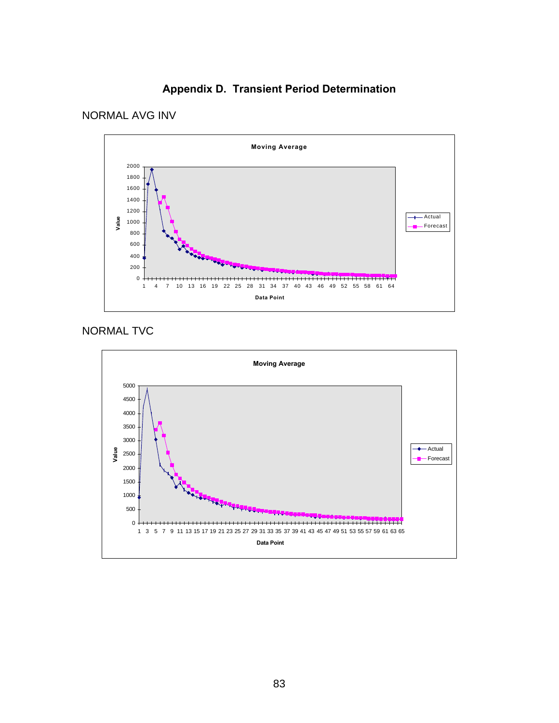# **Appendix D. Transient Period Determination**

#### NORMAL AVG INV



NORMAL TVC

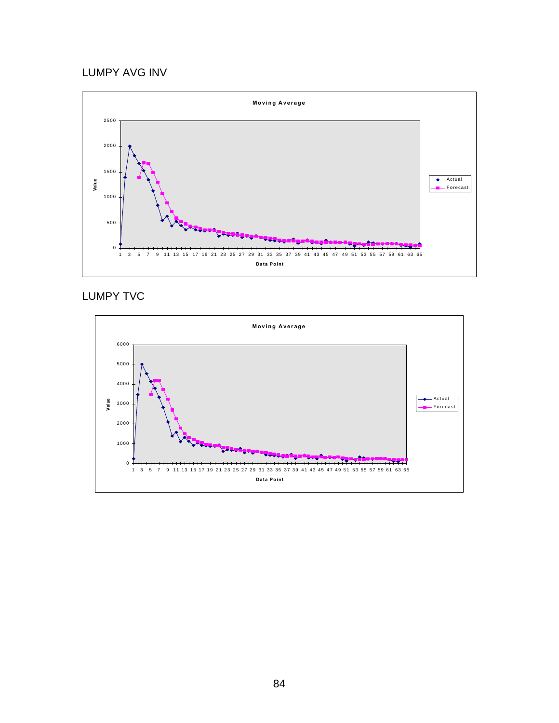### LUMPY AVG INV



### LUMPY TVC

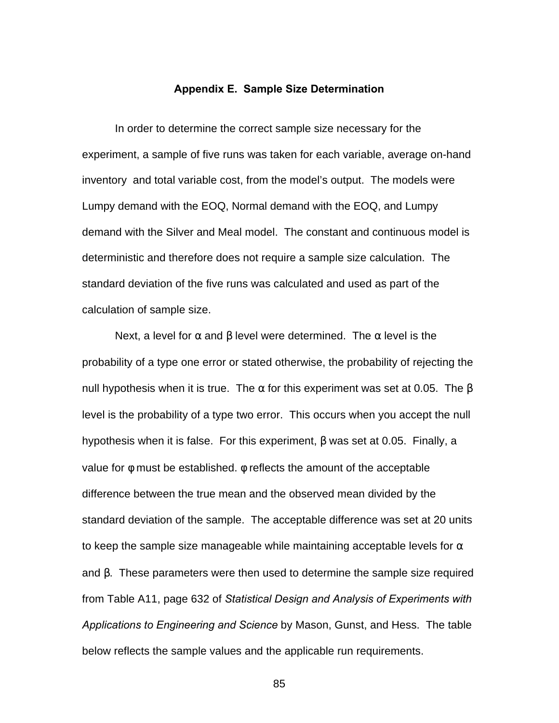#### **Appendix E. Sample Size Determination**

In order to determine the correct sample size necessary for the experiment, a sample of five runs was taken for each variable, average on-hand inventory and total variable cost, from the model's output. The models were Lumpy demand with the EOQ, Normal demand with the EOQ, and Lumpy demand with the Silver and Meal model. The constant and continuous model is deterministic and therefore does not require a sample size calculation. The standard deviation of the five runs was calculated and used as part of the calculation of sample size.

Next, a level for  $\alpha$  and  $\beta$  level were determined. The  $\alpha$  level is the probability of a type one error or stated otherwise, the probability of rejecting the null hypothesis when it is true. The  $\alpha$  for this experiment was set at 0.05. The  $\beta$ level is the probability of a type two error. This occurs when you accept the null hypothesis when it is false. For this experiment, β was set at 0.05. Finally, a value for  $\phi$  must be established.  $\phi$  reflects the amount of the acceptable difference between the true mean and the observed mean divided by the standard deviation of the sample. The acceptable difference was set at 20 units to keep the sample size manageable while maintaining acceptable levels for  $\alpha$ and β. These parameters were then used to determine the sample size required from Table A11, page 632 of *Statistical Design and Analysis of Experiments with Applications to Engineering and Science* by Mason, Gunst, and Hess. The table below reflects the sample values and the applicable run requirements.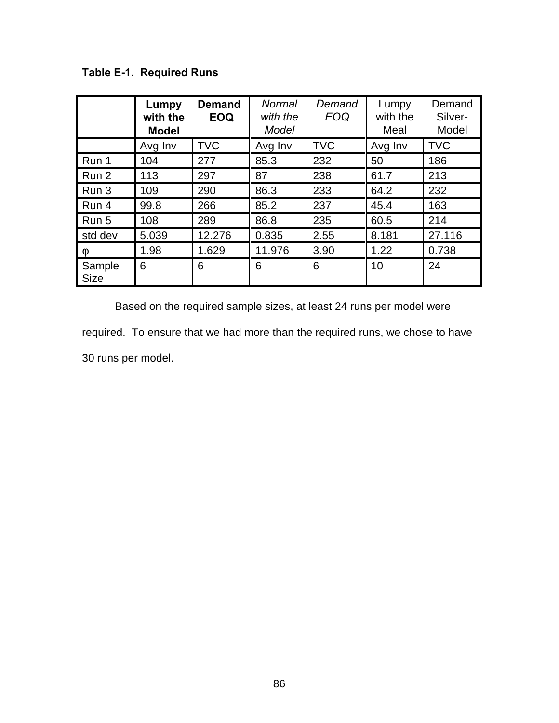**Table E-1. Required Runs**

|                       | Lumpy<br>with the<br><b>Model</b> | <b>Demand</b><br><b>EOQ</b> | <b>Normal</b><br>with the<br>Model | Demand<br><b>EOQ</b> | Lumpy<br>with the<br>Meal | Demand<br>Silver-<br>Model |
|-----------------------|-----------------------------------|-----------------------------|------------------------------------|----------------------|---------------------------|----------------------------|
|                       | Avg Inv                           | <b>TVC</b>                  | Avg Inv                            | <b>TVC</b>           | Avg Inv                   | <b>TVC</b>                 |
| Run 1                 | 104                               | 277                         | 85.3                               | 232                  | 50                        | 186                        |
| Run 2                 | 113                               | 297                         | 87                                 | 238                  | 61.7                      | 213                        |
| Run 3                 | 109                               | 290                         | 86.3                               | 233                  | 64.2                      | 232                        |
| Run 4                 | 99.8                              | 266                         | 85.2                               | 237                  | 45.4                      | 163                        |
| Run 5                 | 108                               | 289                         | 86.8                               | 235                  | 60.5                      | 214                        |
| std dev               | 5.039                             | 12.276                      | 0.835                              | 2.55                 | 8.181                     | 27.116                     |
| $\phi$                | 1.98                              | 1.629                       | 11.976                             | 3.90                 | 1.22                      | 0.738                      |
| Sample<br><b>Size</b> | 6                                 | 6                           | 6                                  | 6                    | 10                        | 24                         |

Based on the required sample sizes, at least 24 runs per model were required. To ensure that we had more than the required runs, we chose to have 30 runs per model.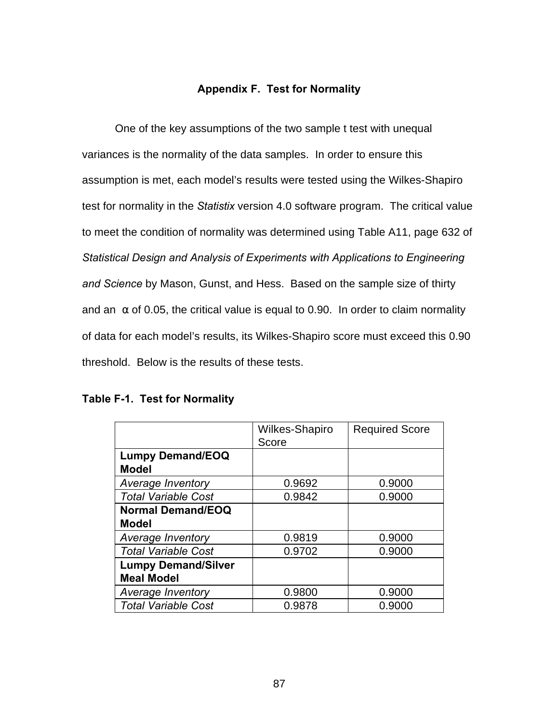### **Appendix F. Test for Normality**

One of the key assumptions of the two sample t test with unequal variances is the normality of the data samples. In order to ensure this assumption is met, each model's results were tested using the Wilkes-Shapiro test for normality in the *Statistix* version 4.0 software program. The critical value to meet the condition of normality was determined using Table A11, page 632 of *Statistical Design and Analysis of Experiments with Applications to Engineering and Science* by Mason, Gunst, and Hess. Based on the sample size of thirty and an  $\alpha$  of 0.05, the critical value is equal to 0.90. In order to claim normality of data for each model's results, its Wilkes-Shapiro score must exceed this 0.90 threshold. Below is the results of these tests.

|                            | Wilkes-Shapiro | <b>Required Score</b> |
|----------------------------|----------------|-----------------------|
|                            | Score          |                       |
| <b>Lumpy Demand/EOQ</b>    |                |                       |
| <b>Model</b>               |                |                       |
| Average Inventory          | 0.9692         | 0.9000                |
| <b>Total Variable Cost</b> | 0.9842         | 0.9000                |
| <b>Normal Demand/EOQ</b>   |                |                       |
| <b>Model</b>               |                |                       |
| Average Inventory          | 0.9819         | 0.9000                |
| <b>Total Variable Cost</b> | 0.9702         | 0.9000                |
| <b>Lumpy Demand/Silver</b> |                |                       |
| <b>Meal Model</b>          |                |                       |
| Average Inventory          | 0.9800         | 0.9000                |
| <b>Total Variable Cost</b> | 0.9878         | 0.9000                |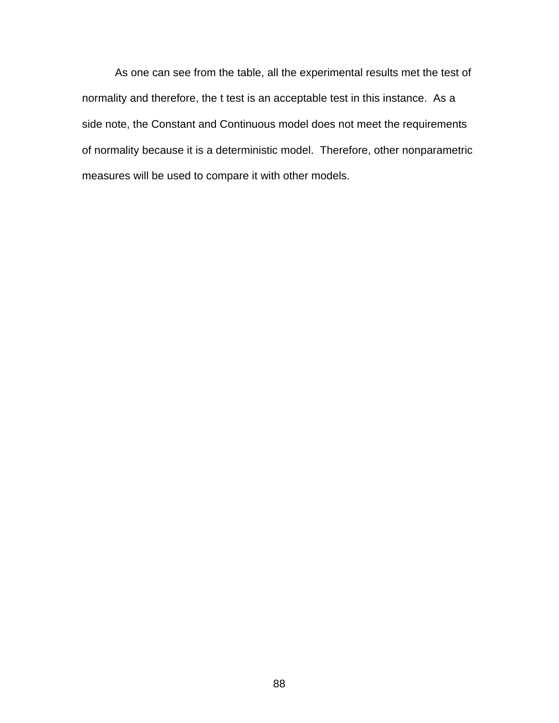As one can see from the table, all the experimental results met the test of normality and therefore, the t test is an acceptable test in this instance. As a side note, the Constant and Continuous model does not meet the requirements of normality because it is a deterministic model. Therefore, other nonparametric measures will be used to compare it with other models.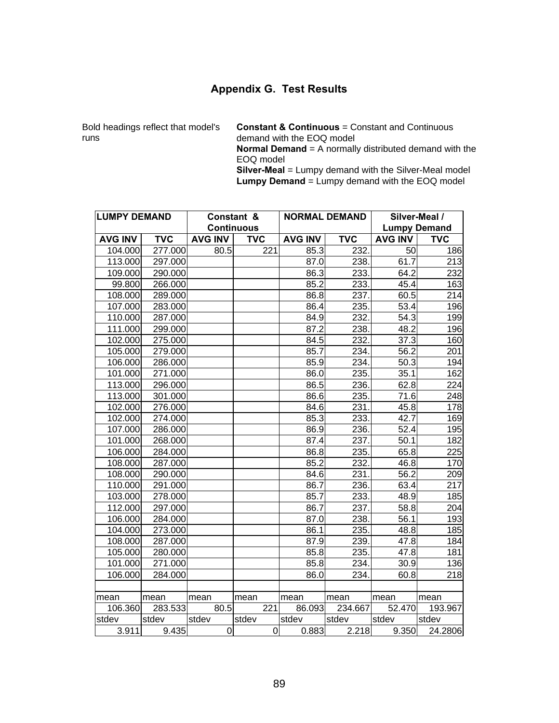### **Appendix G. Test Results**

Bold headings reflect that model's runs

**Constant & Continuous** = Constant and Continuous demand with the EOQ model **Normal Demand** = A normally distributed demand with the EOQ model **Silver-Meal** = Lumpy demand with the Silver-Meal model **Lumpy Demand** = Lumpy demand with the EOQ model

| <b>LUMPY DEMAND</b> |            | Constant &     |                   | <b>NORMAL DEMAND</b> |            | Silver-Meal /  |                     |
|---------------------|------------|----------------|-------------------|----------------------|------------|----------------|---------------------|
|                     |            |                | <b>Continuous</b> |                      |            |                | <b>Lumpy Demand</b> |
| <b>AVG INV</b>      | <b>TVC</b> | <b>AVG INV</b> | <b>TVC</b>        | <b>AVG INV</b>       | <b>TVC</b> | <b>AVG INV</b> | <b>TVC</b>          |
| 104.000             | 277.000    | 80.5           | 221               | 85.3                 | 232.       | 50             | 186                 |
| 113.000             | 297.000    |                |                   | 87.0                 | 238.       | 61.7           | 213                 |
| 109.000             | 290.000    |                |                   | 86.3                 | 233.       | 64.2           | 232                 |
| 99.800              | 266.000    |                |                   | 85.2                 | 233.       | 45.4           | 163                 |
| 108.000             | 289.000    |                |                   | 86.8                 | 237.       | 60.5           | 214                 |
| 107.000             | 283.000    |                |                   | 86.4                 | 235.       | 53.4           | 196                 |
| 110.000             | 287.000    |                |                   | 84.9                 | 232.       | 54.3           | 199                 |
| 111.000             | 299.000    |                |                   | 87.2                 | 238.       | 48.2           | 196                 |
| 102.000             | 275.000    |                |                   | 84.5                 | 232.       | 37.3           | 160                 |
| 105.000             | 279.000    |                |                   | 85.7                 | 234.       | 56.2           | 201                 |
| 106.000             | 286.000    |                |                   | 85.9                 | 234.       | 50.3           | 194                 |
| 101.000             | 271.000    |                |                   | 86.0                 | 235.       | 35.1           | 162                 |
| 113.000             | 296.000    |                |                   | $86.\overline{5}$    | 236.       | 62.8           | 224                 |
| 113.000             | 301.000    |                |                   | 86.6                 | 235.       | 71.6           | 248                 |
| 102.000             | 276.000    |                |                   | 84.6                 | 231.       | 45.8           | 178                 |
| 102.000             | 274.000    |                |                   | 85.3                 | 233.       | 42.7           | 169                 |
| 107.000             | 286.000    |                |                   | 86.9                 | 236.       | 52.4           | 195                 |
| 101.000             | 268.000    |                |                   | 87.4                 | 237.       | 50.1           | 182                 |
| 106.000             | 284.000    |                |                   | 86.8                 | 235.       | 65.8           | 225                 |
| 108.000             | 287.000    |                |                   | 85.2                 | 232.       | 46.8           | 170                 |
| 108.000             | 290.000    |                |                   | 84.6                 | 231.       | 56.2           | 209                 |
| 110.000             | 291.000    |                |                   | 86.7                 | 236.       | 63.4           | 217                 |
| 103.000             | 278.000    |                |                   | 85.7                 | 233.       | 48.9           | 185                 |
| 112.000             | 297.000    |                |                   | 86.7                 | 237.       | 58.8           | 204                 |
| 106.000             | 284.000    |                |                   | 87.0                 | 238.       | 56.1           | 193                 |
| 104.000             | 273.000    |                |                   | 86.1                 | 235.       | 48.8           | 185                 |
| 108.000             | 287.000    |                |                   | 87.9                 | 239.       | 47.8           | 184                 |
| 105.000             | 280.000    |                |                   | 85.8                 | 235.       | 47.8           | 181                 |
| 101.000             | 271.000    |                |                   | 85.8                 | 234.       | 30.9           | 136                 |
| 106.000             | 284.000    |                |                   | 86.0                 | 234.       | 60.8           | 218                 |
|                     |            |                |                   |                      |            |                |                     |
| mean                | mean       | mean           | mean              | mean                 | mean       | mean           | mean                |
| 106.360             | 283.533    | 80.5           | 221               | 86.093               | 234.667    | 52.470         | 193.967             |
| stdev               | stdev      | stdev          | stdev             | stdev                | stdev      | stdev          | stdev               |
| 3.911               | 9.435      | $\mathbf 0$    | $\mathbf 0$       | 0.883                | 2.218      | 9.350          | 24.2806             |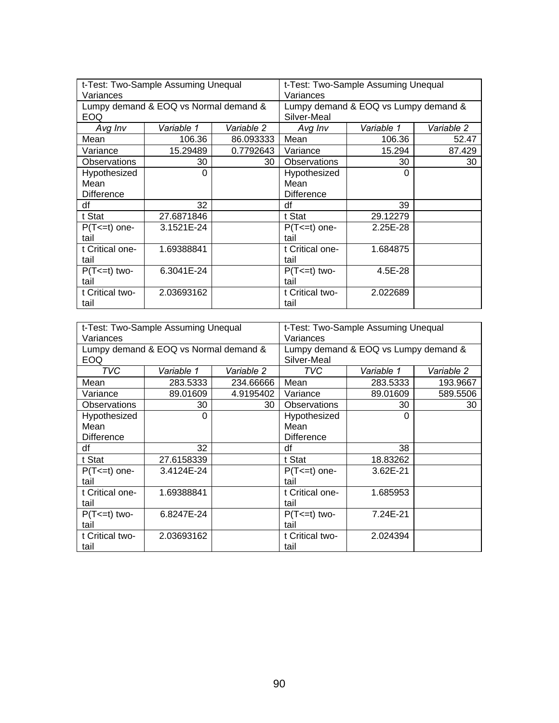| t-Test: Two-Sample Assuming Unequal<br>Variances |                                       |            | t-Test: Two-Sample Assuming Unequal<br>Variances    |            |            |  |
|--------------------------------------------------|---------------------------------------|------------|-----------------------------------------------------|------------|------------|--|
| EOQ                                              | Lumpy demand & EOQ vs Normal demand & |            | Lumpy demand & EOQ vs Lumpy demand &<br>Silver-Meal |            |            |  |
| Avg Inv                                          | Variable 1                            | Variable 2 | Avg Inv                                             | Variable 1 | Variable 2 |  |
| Mean                                             | 106.36                                | 86.093333  | Mean                                                | 106.36     | 52.47      |  |
| Variance                                         | 15.29489                              | 0.7792643  | Variance                                            | 15.294     | 87.429     |  |
| <b>Observations</b>                              | 30                                    | 30         | <b>Observations</b>                                 | 30         | 30         |  |
| Hypothesized                                     | 0                                     |            | Hypothesized                                        | $\Omega$   |            |  |
| Mean                                             |                                       |            | Mean                                                |            |            |  |
| <b>Difference</b>                                |                                       |            | <b>Difference</b>                                   |            |            |  |
| df                                               | 32                                    |            | df                                                  | 39         |            |  |
| t Stat                                           | 27.6871846                            |            | t Stat                                              | 29.12279   |            |  |
| $P(T \le t)$ one-                                | 3.1521E-24                            |            | $P(T \le t)$ one-                                   | 2.25E-28   |            |  |
| tail                                             |                                       |            | tail                                                |            |            |  |
| t Critical one-                                  | 1.69388841                            |            | t Critical one-                                     | 1.684875   |            |  |
| tail                                             |                                       |            | tail                                                |            |            |  |
| $P(T=1)$ two-                                    | 6.3041E-24                            |            | $P(T \le t)$ two-                                   | 4.5E-28    |            |  |
| tail                                             |                                       |            | tail                                                |            |            |  |
| t Critical two-<br>tail                          | 2.03693162                            |            | t Critical two-<br>tail                             | 2.022689   |            |  |

| t-Test: Two-Sample Assuming Unequal<br>Variances |                                       |            | t-Test: Two-Sample Assuming Unequal<br>Variances    |            |            |  |
|--------------------------------------------------|---------------------------------------|------------|-----------------------------------------------------|------------|------------|--|
| <b>EOQ</b>                                       | Lumpy demand & EOQ vs Normal demand & |            | Lumpy demand & EOQ vs Lumpy demand &<br>Silver-Meal |            |            |  |
| TVC.                                             | Variable 1                            | Variable 2 | TVC                                                 | Variable 1 | Variable 2 |  |
| Mean                                             | 283.5333                              | 234.66666  | Mean                                                | 283.5333   | 193.9667   |  |
| Variance                                         | 89.01609                              | 4.9195402  | Variance                                            | 89.01609   | 589.5506   |  |
| <b>Observations</b>                              | 30                                    | 30         | Observations                                        | 30         | 30         |  |
| Hypothesized                                     | 0                                     |            | Hypothesized                                        | O          |            |  |
| Mean                                             |                                       |            | Mean                                                |            |            |  |
| <b>Difference</b>                                |                                       |            | <b>Difference</b>                                   |            |            |  |
| df                                               | 32                                    |            | df                                                  | 38         |            |  |
| t Stat                                           | 27.6158339                            |            | t Stat                                              | 18.83262   |            |  |
| $P(T \le t)$ one-                                | 3.4124E-24                            |            | $P(T=1)$ one-                                       | 3.62E-21   |            |  |
| tail                                             |                                       |            | tail                                                |            |            |  |
| t Critical one-                                  | 1.69388841                            |            | t Critical one-                                     | 1.685953   |            |  |
| tail                                             |                                       |            | tail                                                |            |            |  |
| $P(T=1)$ two-                                    | 6.8247E-24                            |            | $P(T=1)$ two-                                       | 7.24E-21   |            |  |
| tail                                             |                                       |            | tail                                                |            |            |  |
| t Critical two-<br>tail                          | 2.03693162                            |            | t Critical two-<br>tail                             | 2.024394   |            |  |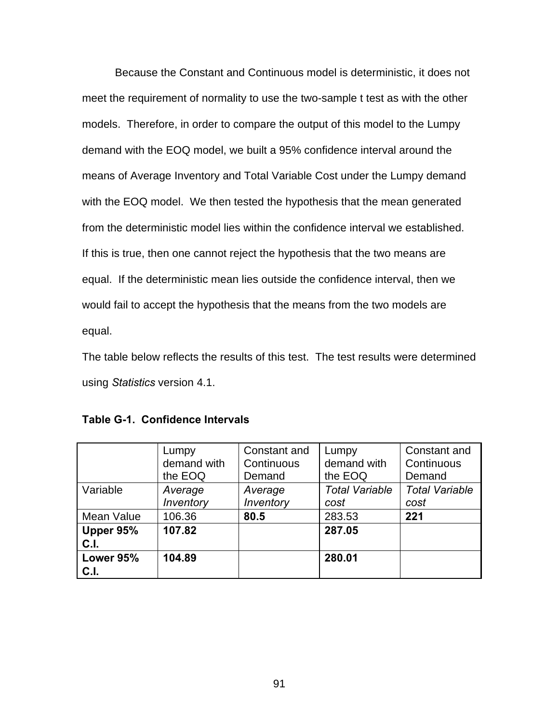Because the Constant and Continuous model is deterministic, it does not meet the requirement of normality to use the two-sample t test as with the other models. Therefore, in order to compare the output of this model to the Lumpy demand with the EOQ model, we built a 95% confidence interval around the means of Average Inventory and Total Variable Cost under the Lumpy demand with the EOQ model. We then tested the hypothesis that the mean generated from the deterministic model lies within the confidence interval we established. If this is true, then one cannot reject the hypothesis that the two means are equal. If the deterministic mean lies outside the confidence interval, then we would fail to accept the hypothesis that the means from the two models are equal.

The table below reflects the results of this test. The test results were determined using *Statistics* version 4.1.

|                   | Lumpy<br>demand with<br>the EOQ | Constant and<br>Continuous<br>Demand | Lumpy<br>demand with<br>the EOQ | Constant and<br>Continuous<br>Demand |
|-------------------|---------------------------------|--------------------------------------|---------------------------------|--------------------------------------|
| Variable          | Average<br>Inventory            | Average<br>Inventory                 | <b>Total Variable</b><br>cost   | <b>Total Variable</b><br>cost        |
| Mean Value        | 106.36                          | 80.5                                 | 283.53                          | 221                                  |
| Upper 95%<br>C.I. | 107.82                          |                                      | 287.05                          |                                      |
| Lower 95%<br>C.I. | 104.89                          |                                      | 280.01                          |                                      |

| <b>Table G-1. Confidence Intervals</b> |  |  |  |
|----------------------------------------|--|--|--|
|----------------------------------------|--|--|--|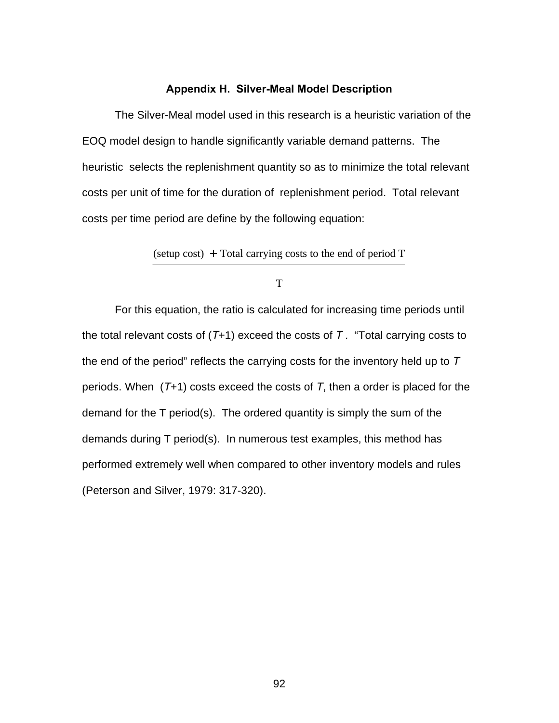#### **Appendix H. Silver-Meal Model Description**

The Silver-Meal model used in this research is a heuristic variation of the EOQ model design to handle significantly variable demand patterns. The heuristic selects the replenishment quantity so as to minimize the total relevant costs per unit of time for the duration of replenishment period. Total relevant costs per time period are define by the following equation:

 $(\text{setup cost}) + \text{Total carrying costs}$  to the end of period T

T

For this equation, the ratio is calculated for increasing time periods until the total relevant costs of (*T*+1) exceed the costs of *T .* "Total carrying costs to the end of the period" reflects the carrying costs for the inventory held up to *T* periods. When (*T*+1) costs exceed the costs of *T*, then a order is placed for the demand for the T period(s). The ordered quantity is simply the sum of the demands during T period(s). In numerous test examples, this method has performed extremely well when compared to other inventory models and rules (Peterson and Silver, 1979: 317-320).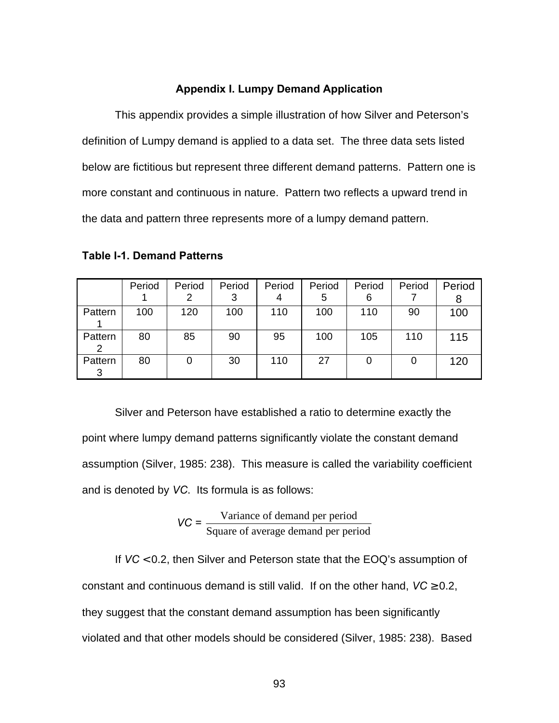#### **Appendix I. Lumpy Demand Application**

This appendix provides a simple illustration of how Silver and Peterson's definition of Lumpy demand is applied to a data set. The three data sets listed below are fictitious but represent three different demand patterns. Pattern one is more constant and continuous in nature. Pattern two reflects a upward trend in the data and pattern three represents more of a lumpy demand pattern.

|              | Period | Period<br>2 | Period<br>З | Period | Period<br>5 | Period<br>6 | Period | Period<br>8 |
|--------------|--------|-------------|-------------|--------|-------------|-------------|--------|-------------|
| Pattern      | 100    | 120         | 100         | 110    | 100         | 110         | 90     | 100         |
| Pattern<br>2 | 80     | 85          | 90          | 95     | 100         | 105         | 110    | 115         |
| Pattern      | 80     |             | 30          | 110    | 27          | 0           | 0      | 120         |

**Table I-1. Demand Patterns**

Silver and Peterson have established a ratio to determine exactly the point where lumpy demand patterns significantly violate the constant demand assumption (Silver, 1985: 238). This measure is called the variability coefficient and is denoted by *VC*. Its formula is as follows:

$$
VC = \frac{\text{Variance of demand per period}}{\text{Square of average demand per period}}
$$

If *VC* < 0.2, then Silver and Peterson state that the EOQ's assumption of constant and continuous demand is still valid. If on the other hand,  $VC \geq 0.2$ , they suggest that the constant demand assumption has been significantly violated and that other models should be considered (Silver, 1985: 238). Based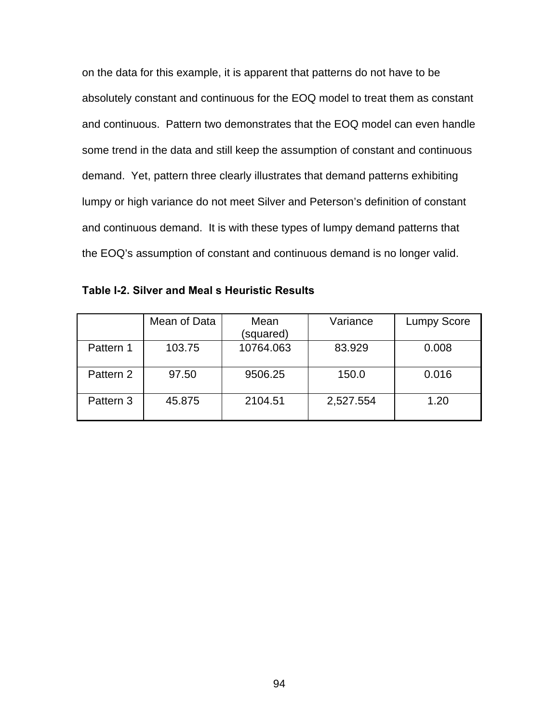on the data for this example, it is apparent that patterns do not have to be absolutely constant and continuous for the EOQ model to treat them as constant and continuous. Pattern two demonstrates that the EOQ model can even handle some trend in the data and still keep the assumption of constant and continuous demand. Yet, pattern three clearly illustrates that demand patterns exhibiting lumpy or high variance do not meet Silver and Peterson's definition of constant and continuous demand. It is with these types of lumpy demand patterns that the EOQ's assumption of constant and continuous demand is no longer valid.

| <b>Table I-2. Silver and Meal s Heuristic Results</b> |
|-------------------------------------------------------|
|-------------------------------------------------------|

|           | Mean of Data | Mean<br>(squared) | Variance  | <b>Lumpy Score</b> |
|-----------|--------------|-------------------|-----------|--------------------|
|           |              |                   |           |                    |
| Pattern 1 | 103.75       | 10764.063         | 83.929    | 0.008              |
|           |              |                   |           |                    |
| Pattern 2 | 97.50        | 9506.25           | 150.0     | 0.016              |
|           |              |                   |           |                    |
| Pattern 3 | 45.875       | 2104.51           | 2,527.554 | 1.20               |
|           |              |                   |           |                    |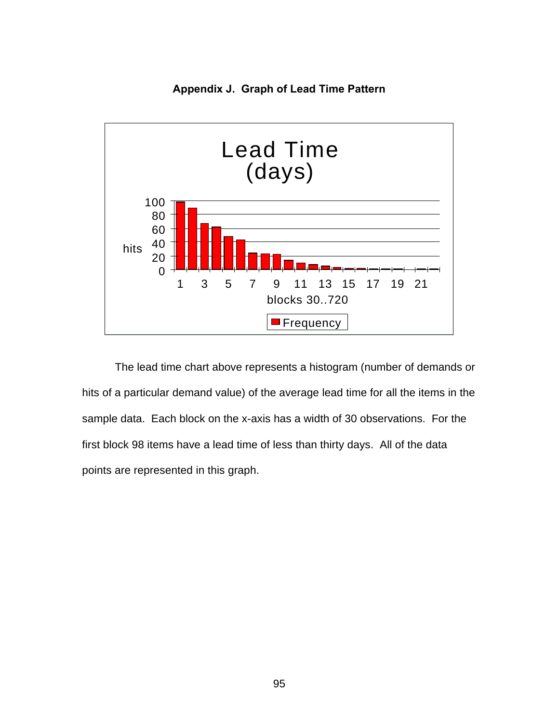



The lead time chart above represents a histogram (number of demands or hits of a particular demand value) of the average lead time for all the items in the sample data. Each block on the x-axis has a width of 30 observations. For the first block 98 items have a lead time of less than thirty days. All of the data points are represented in this graph.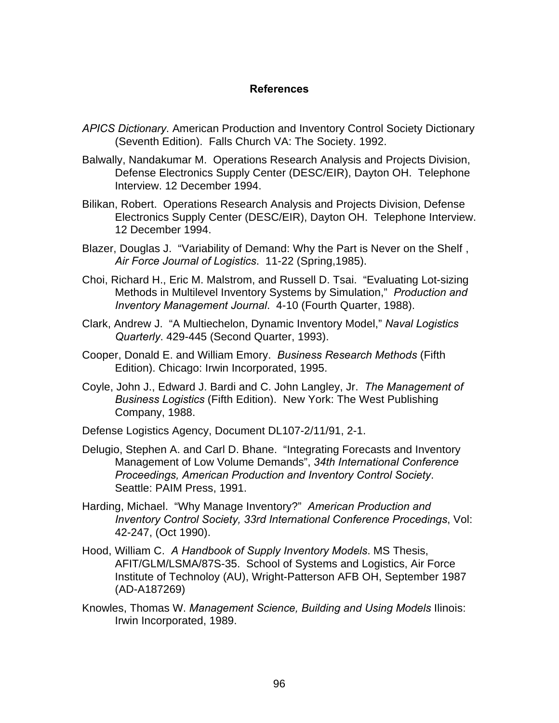#### **References**

- *APICS Dictionary*. American Production and Inventory Control Society Dictionary (Seventh Edition). Falls Church VA: The Society. 1992.
- Balwally, Nandakumar M. Operations Research Analysis and Projects Division, Defense Electronics Supply Center (DESC/EIR), Dayton OH. Telephone Interview. 12 December 1994.
- Bilikan, Robert. Operations Research Analysis and Projects Division, Defense Electronics Supply Center (DESC/EIR), Dayton OH. Telephone Interview. 12 December 1994.
- Blazer, Douglas J. "Variability of Demand: Why the Part is Never on the Shelf , *Air Force Journal of Logistics*. 11-22 (Spring,1985).
- Choi, Richard H., Eric M. Malstrom, and Russell D. Tsai. "Evaluating Lot-sizing Methods in Multilevel Inventory Systems by Simulation," *Production and Inventory Management Journal*. 4-10 (Fourth Quarter, 1988).
- Clark, Andrew J. "A Multiechelon, Dynamic Inventory Model," *Naval Logistics Quarterly*. 429-445 (Second Quarter, 1993).
- Cooper, Donald E. and William Emory. *Business Research Methods* (Fifth Edition). Chicago: Irwin Incorporated, 1995.
- Coyle, John J., Edward J. Bardi and C. John Langley, Jr. *The Management of Business Logistics* (Fifth Edition). New York: The West Publishing Company, 1988.
- Defense Logistics Agency, Document DL107-2/11/91, 2-1.
- Delugio, Stephen A. and Carl D. Bhane. "Integrating Forecasts and Inventory Management of Low Volume Demands", *34th International Conference Proceedings, American Production and Inventory Control Society*. Seattle: PAIM Press, 1991.
- Harding, Michael. "Why Manage Inventory?" *American Production and Inventory Control Society, 33rd International Conference Procedings*, Vol: 42-247, (Oct 1990).
- Hood, William C. *A Handbook of Supply Inventory Models*. MS Thesis, AFIT/GLM/LSMA/87S-35. School of Systems and Logistics, Air Force Institute of Technoloy (AU), Wright-Patterson AFB OH, September 1987 (AD-A187269)
- Knowles, Thomas W. *Management Science, Building and Using Models* Ilinois: Irwin Incorporated, 1989.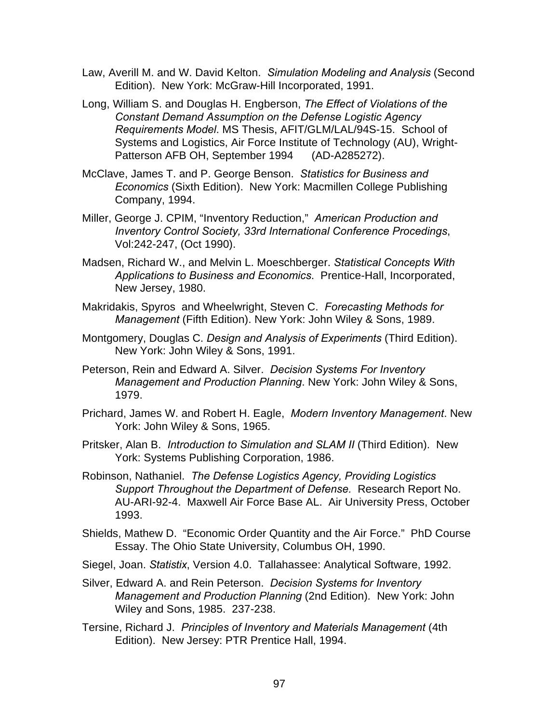- Law, Averill M. and W. David Kelton. *Simulation Modeling and Analysis* (Second Edition). New York: McGraw-Hill Incorporated, 1991.
- Long, William S. and Douglas H. Engberson, *The Effect of Violations of the Constant Demand Assumption on the Defense Logistic Agency Requirements Model*. MS Thesis, AFIT/GLM/LAL/94S-15. School of Systems and Logistics, Air Force Institute of Technology (AU), Wright-Patterson AFB OH, September 1994 (AD-A285272).
- McClave, James T. and P. George Benson. *Statistics for Business and Economics* (Sixth Edition). New York: Macmillen College Publishing Company, 1994.
- Miller, George J. CPIM, "Inventory Reduction," *American Production and Inventory Control Society, 33rd International Conference Procedings*, Vol:242-247, (Oct 1990).
- Madsen, Richard W., and Melvin L. Moeschberger. *Statistical Concepts With Applications to Business and Economics*. Prentice-Hall, Incorporated, New Jersey, 1980.
- Makridakis, Spyros and Wheelwright, Steven C. *Forecasting Methods for Management* (Fifth Edition). New York: John Wiley & Sons, 1989.
- Montgomery, Douglas C. *Design and Analysis of Experiments* (Third Edition). New York: John Wiley & Sons, 1991.
- Peterson, Rein and Edward A. Silver. *Decision Systems For Inventory Management and Production Planning*. New York: John Wiley & Sons, 1979.
- Prichard, James W. and Robert H. Eagle, *Modern Inventory Management*. New York: John Wiley & Sons, 1965.
- Pritsker, Alan B. *Introduction to Simulation and SLAM II* (Third Edition). New York: Systems Publishing Corporation, 1986.
- Robinson, Nathaniel. *The Defense Logistics Agency, Providing Logistics Support Throughout the Department of Defense.* Research Report No. AU-ARI-92-4. Maxwell Air Force Base AL. Air University Press, October 1993.
- Shields, Mathew D. "Economic Order Quantity and the Air Force." PhD Course Essay. The Ohio State University, Columbus OH, 1990.
- Siegel, Joan. *Statistix*, Version 4.0. Tallahassee: Analytical Software, 1992.
- Silver, Edward A. and Rein Peterson. *Decision Systems for Inventory Management and Production Planning* (2nd Edition)*.* New York: John Wiley and Sons, 1985. 237-238.
- Tersine, Richard J. *Principles of Inventory and Materials Management* (4th Edition).New Jersey: PTR Prentice Hall, 1994.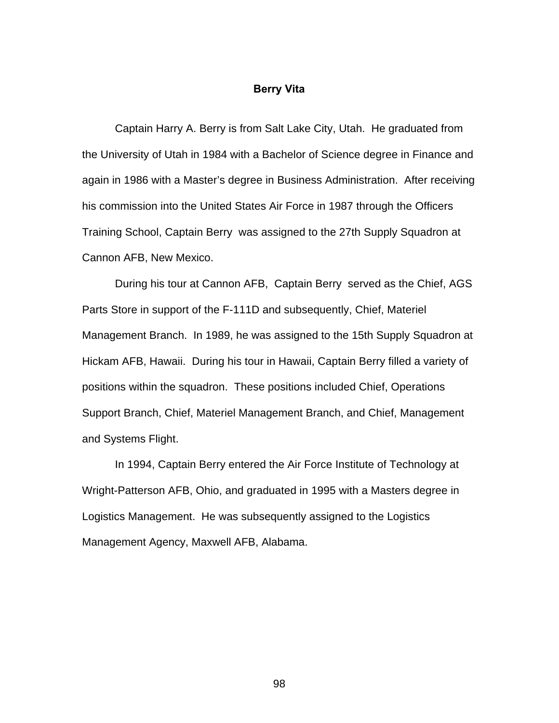#### **Berry Vita**

Captain Harry A. Berry is from Salt Lake City, Utah. He graduated from the University of Utah in 1984 with a Bachelor of Science degree in Finance and again in 1986 with a Master's degree in Business Administration. After receiving his commission into the United States Air Force in 1987 through the Officers Training School, Captain Berry was assigned to the 27th Supply Squadron at Cannon AFB, New Mexico.

During his tour at Cannon AFB, Captain Berry served as the Chief, AGS Parts Store in support of the F-111D and subsequently, Chief, Materiel Management Branch. In 1989, he was assigned to the 15th Supply Squadron at Hickam AFB, Hawaii. During his tour in Hawaii, Captain Berry filled a variety of positions within the squadron. These positions included Chief, Operations Support Branch, Chief, Materiel Management Branch, and Chief, Management and Systems Flight.

In 1994, Captain Berry entered the Air Force Institute of Technology at Wright-Patterson AFB, Ohio, and graduated in 1995 with a Masters degree in Logistics Management. He was subsequently assigned to the Logistics Management Agency, Maxwell AFB, Alabama.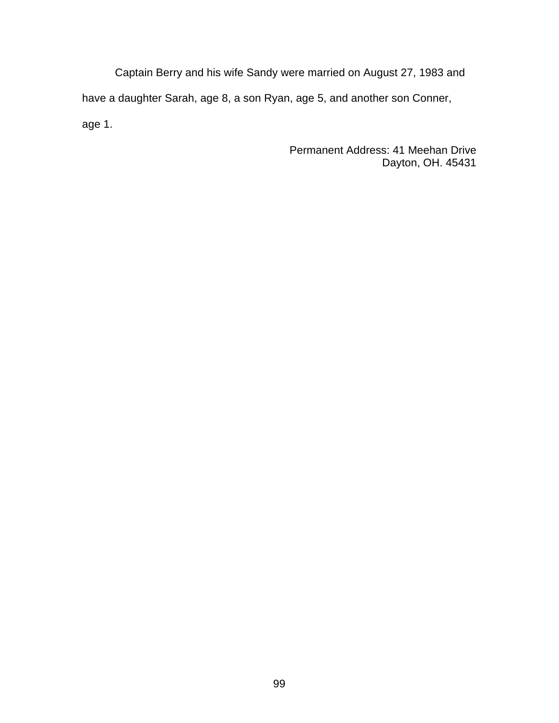Captain Berry and his wife Sandy were married on August 27, 1983 and have a daughter Sarah, age 8, a son Ryan, age 5, and another son Conner, age 1.

> Permanent Address: 41 Meehan Drive Dayton, OH. 45431